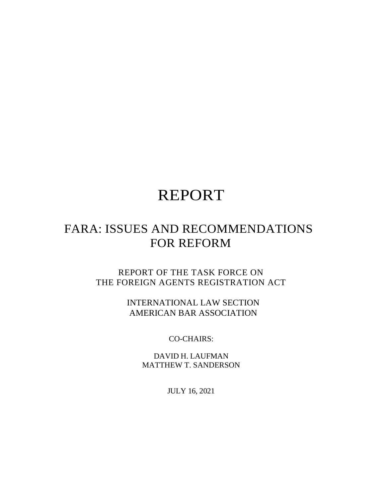# REPORT

## FARA: ISSUES AND RECOMMENDATIONS FOR REFORM

REPORT OF THE TASK FORCE ON THE FOREIGN AGENTS REGISTRATION ACT

> INTERNATIONAL LAW SECTION AMERICAN BAR ASSOCIATION

> > CO-CHAIRS:

DAVID H. LAUFMAN MATTHEW T. SANDERSON

JULY 16, 2021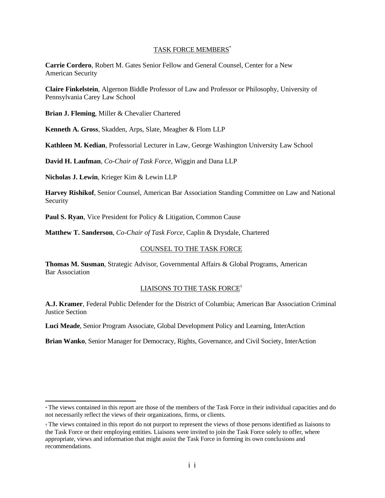#### TASK FORCE MEMBERS\*

**Carrie Cordero**, Robert M. Gates Senior Fellow and General Counsel, Center for a New American Security

**Claire Finkelstein**, Algernon Biddle Professor of Law and Professor or Philosophy, University of Pennsylvania Carey Law School

**Brian J. Fleming**, Miller & Chevalier Chartered

**Kenneth A. Gross**, Skadden, Arps, Slate, Meagher & Flom LLP

**Kathleen M. Kedian**, Professorial Lecturer in Law, George Washington University Law School

**David H. Laufman**, *Co-Chair of Task Force*, Wiggin and Dana LLP

**Nicholas J. Lewin**, Krieger Kim & Lewin LLP

**Harvey Rishikof**, Senior Counsel, American Bar Association Standing Committee on Law and National Security

**Paul S. Ryan**, Vice President for Policy & Litigation, Common Cause

**Matthew T. Sanderson**, *Co-Chair of Task Force*, Caplin & Drysdale, Chartered

#### COUNSEL TO THE TASK FORCE

**Thomas M. Susman**, Strategic Advisor, Governmental Affairs & Global Programs, American Bar Association

#### LIAISONS TO THE TASK FORCE†

**A.J. Kramer**, Federal Public Defender for the District of Columbia; American Bar Association Criminal Justice Section

**Luci Meade**, Senior Program Associate, Global Development Policy and Learning, InterAction

**Brian Wanko**, Senior Manager for Democracy, Rights, Governance, and Civil Society, InterAction

<sup>\*</sup> The views contained in this report are those of the members of the Task Force in their individual capacities and do not necessarily reflect the views of their organizations, firms, or clients.

<sup>†</sup> The views contained in this report do not purport to represent the views of those persons identified as liaisons to the Task Force or their employing entities. Liaisons were invited to join the Task Force solely to offer, where appropriate, views and information that might assist the Task Force in forming its own conclusions and recommendations.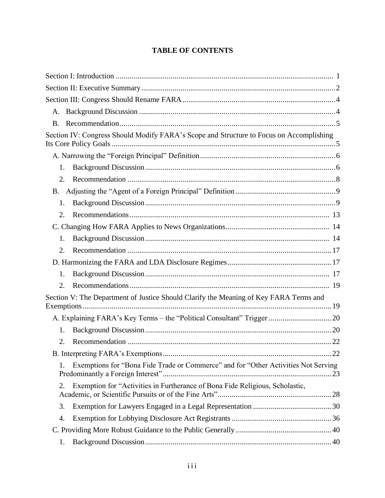## **TABLE OF CONTENTS**

| А.                                                                                       |  |
|------------------------------------------------------------------------------------------|--|
| <b>B.</b>                                                                                |  |
| Section IV: Congress Should Modify FARA's Scope and Structure to Focus on Accomplishing  |  |
|                                                                                          |  |
| 1.                                                                                       |  |
| 2.                                                                                       |  |
| B.                                                                                       |  |
| 1.                                                                                       |  |
| 2.                                                                                       |  |
|                                                                                          |  |
| 1.                                                                                       |  |
| 2.                                                                                       |  |
|                                                                                          |  |
| 1.                                                                                       |  |
| 2.                                                                                       |  |
| Section V: The Department of Justice Should Clarify the Meaning of Key FARA Terms and    |  |
| A. Explaining FARA's Key Terms - the "Political Consultant" Trigger  20                  |  |
| 1.                                                                                       |  |
| 2.                                                                                       |  |
|                                                                                          |  |
| Exemptions for "Bona Fide Trade or Commerce" and for "Other Activities Not Serving<br>1. |  |
| Exemption for "Activities in Furtherance of Bona Fide Religious, Scholastic,<br>2.       |  |
| 3.                                                                                       |  |
| 4.                                                                                       |  |
|                                                                                          |  |
| 1.                                                                                       |  |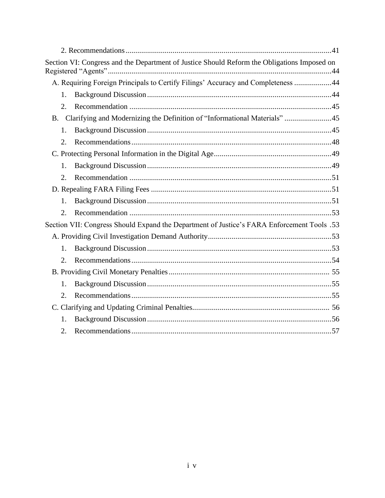|           | Section VI: Congress and the Department of Justice Should Reform the Obligations Imposed on |  |
|-----------|---------------------------------------------------------------------------------------------|--|
|           | A. Requiring Foreign Principals to Certify Filings' Accuracy and Completeness 44            |  |
| 1.        |                                                                                             |  |
| 2.        |                                                                                             |  |
| <b>B.</b> | Clarifying and Modernizing the Definition of "Informational Materials" 45                   |  |
| 1.        |                                                                                             |  |
| 2.        |                                                                                             |  |
|           |                                                                                             |  |
| 1.        |                                                                                             |  |
| 2.        |                                                                                             |  |
|           |                                                                                             |  |
| 1.        |                                                                                             |  |
| 2.        |                                                                                             |  |
|           | 53. Section VII: Congress Should Expand the Department of Justice's FARA Enforcement Tools  |  |
|           |                                                                                             |  |
| 1.        |                                                                                             |  |
| 2.        |                                                                                             |  |
|           |                                                                                             |  |
| 1.        |                                                                                             |  |
| 2.        |                                                                                             |  |
|           |                                                                                             |  |
| 1.        |                                                                                             |  |
| 2.        |                                                                                             |  |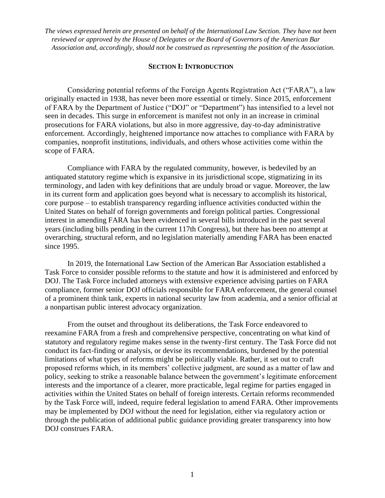*The views expressed herein are presented on behalf of the International Law Section. They have not been reviewed or approved by the House of Delegates or the Board of Governors of the American Bar Association and, accordingly, should not be construed as representing the position of the Association.*

#### **SECTION I: INTRODUCTION**

Considering potential reforms of the Foreign Agents Registration Act ("FARA"), a law originally enacted in 1938, has never been more essential or timely. Since 2015, enforcement of FARA by the Department of Justice ("DOJ" or "Department") has intensified to a level not seen in decades. This surge in enforcement is manifest not only in an increase in criminal prosecutions for FARA violations, but also in more aggressive, day-to-day administrative enforcement. Accordingly, heightened importance now attaches to compliance with FARA by companies, nonprofit institutions, individuals, and others whose activities come within the scope of FARA.

Compliance with FARA by the regulated community, however, is bedeviled by an antiquated statutory regime which is expansive in its jurisdictional scope, stigmatizing in its terminology, and laden with key definitions that are unduly broad or vague. Moreover, the law in its current form and application goes beyond what is necessary to accomplish its historical, core purpose – to establish transparency regarding influence activities conducted within the United States on behalf of foreign governments and foreign political parties. Congressional interest in amending FARA has been evidenced in several bills introduced in the past several years (including bills pending in the current 117th Congress), but there has been no attempt at overarching, structural reform, and no legislation materially amending FARA has been enacted since 1995.

In 2019, the International Law Section of the American Bar Association established a Task Force to consider possible reforms to the statute and how it is administered and enforced by DOJ. The Task Force included attorneys with extensive experience advising parties on FARA compliance, former senior DOJ officials responsible for FARA enforcement, the general counsel of a prominent think tank, experts in national security law from academia, and a senior official at a nonpartisan public interest advocacy organization.

From the outset and throughout its deliberations, the Task Force endeavored to reexamine FARA from a fresh and comprehensive perspective, concentrating on what kind of statutory and regulatory regime makes sense in the twenty-first century. The Task Force did not conduct its fact-finding or analysis, or devise its recommendations, burdened by the potential limitations of what types of reforms might be politically viable. Rather, it set out to craft proposed reforms which, in its members' collective judgment, are sound as a matter of law and policy, seeking to strike a reasonable balance between the government's legitimate enforcement interests and the importance of a clearer, more practicable, legal regime for parties engaged in activities within the United States on behalf of foreign interests. Certain reforms recommended by the Task Force will, indeed, require federal legislation to amend FARA. Other improvements may be implemented by DOJ without the need for legislation, either via regulatory action or through the publication of additional public guidance providing greater transparency into how DOJ construes FARA.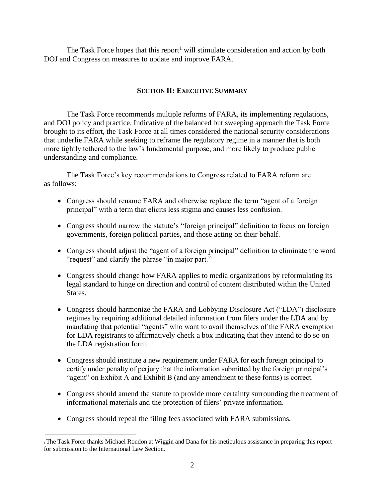The Task Force hopes that this report<sup>1</sup> will stimulate consideration and action by both DOJ and Congress on measures to update and improve FARA.

## **SECTION II: EXECUTIVE SUMMARY**

The Task Force recommends multiple reforms of FARA, its implementing regulations, and DOJ policy and practice. Indicative of the balanced but sweeping approach the Task Force brought to its effort, the Task Force at all times considered the national security considerations that underlie FARA while seeking to reframe the regulatory regime in a manner that is both more tightly tethered to the law's fundamental purpose, and more likely to produce public understanding and compliance.

The Task Force's key recommendations to Congress related to FARA reform are as follows:

- Congress should rename FARA and otherwise replace the term "agent of a foreign principal" with a term that elicits less stigma and causes less confusion.
- Congress should narrow the statute's "foreign principal" definition to focus on foreign governments, foreign political parties, and those acting on their behalf.
- Congress should adjust the "agent of a foreign principal" definition to eliminate the word "request" and clarify the phrase "in major part."
- Congress should change how FARA applies to media organizations by reformulating its legal standard to hinge on direction and control of content distributed within the United States.
- Congress should harmonize the FARA and Lobbying Disclosure Act ("LDA") disclosure regimes by requiring additional detailed information from filers under the LDA and by mandating that potential "agents" who want to avail themselves of the FARA exemption for LDA registrants to affirmatively check a box indicating that they intend to do so on the LDA registration form.
- Congress should institute a new requirement under FARA for each foreign principal to certify under penalty of perjury that the information submitted by the foreign principal's "agent" on Exhibit A and Exhibit B (and any amendment to these forms) is correct.
- Congress should amend the statute to provide more certainty surrounding the treatment of informational materials and the protection of filers' private information.
- Congress should repeal the filing fees associated with FARA submissions.

<sup>1</sup>The Task Force thanks Michael Rondon at Wiggin and Dana for his meticulous assistance in preparing this report for submission to the International Law Section.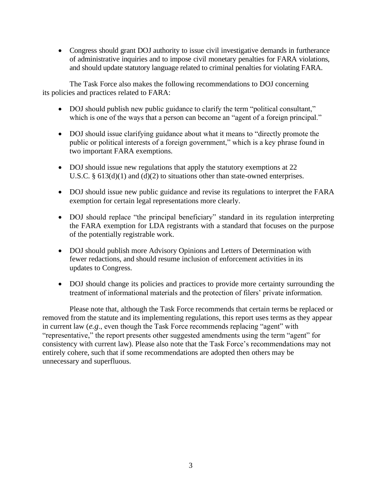• Congress should grant DOJ authority to issue civil investigative demands in furtherance of administrative inquiries and to impose civil monetary penalties for FARA violations, and should update statutory language related to criminal penalties for violating FARA.

The Task Force also makes the following recommendations to DOJ concerning its policies and practices related to FARA:

- DOJ should publish new public guidance to clarify the term "political consultant," which is one of the ways that a person can become an "agent of a foreign principal."
- DOJ should issue clarifying guidance about what it means to "directly promote the public or political interests of a foreign government," which is a key phrase found in two important FARA exemptions.
- DOJ should issue new regulations that apply the statutory exemptions at 22 U.S.C. § 613(d)(1) and (d)(2) to situations other than state-owned enterprises.
- DOJ should issue new public guidance and revise its regulations to interpret the FARA exemption for certain legal representations more clearly.
- DOJ should replace "the principal beneficiary" standard in its regulation interpreting the FARA exemption for LDA registrants with a standard that focuses on the purpose of the potentially registrable work.
- DOJ should publish more Advisory Opinions and Letters of Determination with fewer redactions, and should resume inclusion of enforcement activities in its updates to Congress.
- DOJ should change its policies and practices to provide more certainty surrounding the treatment of informational materials and the protection of filers' private information.

Please note that, although the Task Force recommends that certain terms be replaced or removed from the statute and its implementing regulations, this report uses terms as they appear in current law (*e.g*., even though the Task Force recommends replacing "agent" with "representative," the report presents other suggested amendments using the term "agent" for consistency with current law). Please also note that the Task Force's recommendations may not entirely cohere, such that if some recommendations are adopted then others may be unnecessary and superfluous.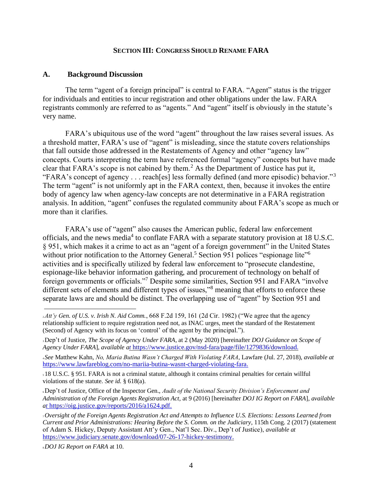#### **SECTION III: CONGRESS SHOULD RENAME FARA**

#### **A. Background Discussion**

The term "agent of a foreign principal" is central to FARA. "Agent" status is the trigger for individuals and entities to incur registration and other obligations under the law. FARA registrants commonly are referred to as "agents." And "agent" itself is obviously in the statute's very name.

FARA's ubiquitous use of the word "agent" throughout the law raises several issues. As a threshold matter, FARA's use of "agent" is misleading, since the statute covers relationships that fall outside those addressed in the Restatements of Agency and other "agency law" concepts. Courts interpreting the term have referenced formal "agency" concepts but have made clear that FARA's scope is not cabined by them.<sup>2</sup> As the Department of Justice has put it, "FARA's concept of agency . . . reach[es] less formally defined (and more episodic) behavior."<sup>3</sup> The term "agent" is not uniformly apt in the FARA context, then, because it invokes the entire body of agency law when agency-law concepts are not determinative in a FARA registration analysis. In addition, "agent" confuses the regulated community about FARA's scope as much or more than it clarifies.

FARA's use of "agent" also causes the American public, federal law enforcement officials, and the news media<sup>4</sup> to conflate FARA with a separate statutory provision at 18 U.S.C. § 951, which makes it a crime to act as an "agent of a foreign government" in the United States without prior notification to the Attorney General.<sup>5</sup> Section 951 polices "espionage lite"<sup>6</sup> activities and is specifically utilized by federal law enforcement to "prosecute clandestine, espionage-like behavior information gathering, and procurement of technology on behalf of foreign governments or officials."<sup>7</sup> Despite some similarities, Section 951 and FARA "involve different sets of elements and different types of issues,"<sup>8</sup> meaning that efforts to enforce these separate laws are and should be distinct. The overlapping use of "agent" by Section 951 and

<sup>6</sup>Dep't of Justice, Office of the Inspector Gen., *Audit of the National Security Division's Enforcement and Administration of the Foreign Agents Registration Act*, at 9 (2016) [hereinafter *DOJ IG Report on FARA*], *available [at](https://oig.justice.gov/reports/2016/a1624.pdf)* https://oig.justice.gov/reports/2016/a1624.pdf.

<sup>8</sup>*DOJ IG Report on FARA* at 10.

 $2Att'$  Gen. of U.S. v. Irish N. Aid Comm., 668 F.2d 159, 161 (2d Cir. 1982) ("We agree that the agency relationship sufficient to require registration need not, as INAC urges, meet the standard of the Restatement (Second) of Agency with its focus on 'control' of the agent by the principal.").

<sup>3</sup>Dep't of Justice, *The Scope of Agency Under FARA*, at 2 (May 2020) [hereinafter *DOJ Guidance on Scope of Agency Under FARA*], *available [at](https://www.justice.gov/nsd-fara/page/file/1279836/download)* https://www.justice.gov/nsd-fara/page/file/1279836/download.

<sup>4</sup>*See* Matthew Kahn, *No, Maria Butina Wasn't Charged With Violating FARA*, Lawfare (Jul. 27, 2018), *available at*  [https://www.lawfareblog.com/no-mariia-butina-wasnt-charged-violating-fara.](https://www.lawfareblog.com/no-mariia-butina-wasnt-charged-violating-fara)

<sup>5</sup>18 U.S.C. § 951. FARA is not a criminal statute, although it contains criminal penalties for certain willful violations of the statute. *See id.* § 618(a).

<sup>7</sup>*Oversight of the Foreign Agents Registration Act and Attempts to Influence U.S. Elections: Lessons Learned from Current and Prior Administrations: Hearing Before the S. Comm. on the Judiciary*, 115th Cong. 2 (2017) (statement of Adam S. Hickey, Deputy Assistant Att'y Gen., Nat'l Sec. Div., Dep't of Justice), *available at*  [https://www.judiciary.senate.gov/download/07-26-17-hickey-testimony.](https://www.judiciary.senate.gov/download/07-26-17-hickey-testimony)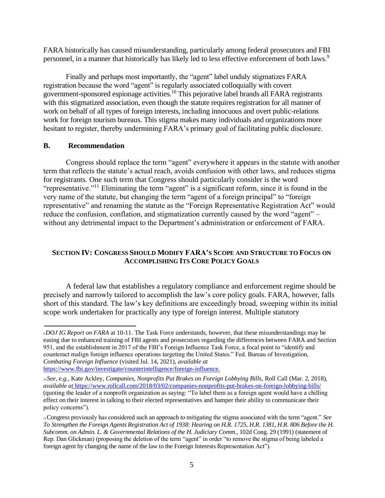FARA historically has caused misunderstanding, particularly among federal prosecutors and FBI personnel, in a manner that historically has likely led to less effective enforcement of both laws.<sup>9</sup>

Finally and perhaps most importantly, the "agent" label unduly stigmatizes FARA registration because the word "agent" is regularly associated colloquially with covert government-sponsored espionage activities.<sup>10</sup> This pejorative label brands all FARA registrants with this stigmatized association, even though the statute requires registration for all manner of work on behalf of all types of foreign interests, including innocuous and overt public-relations work for foreign tourism bureaus. This stigma makes many individuals and organizations more hesitant to register, thereby undermining FARA's primary goal of facilitating public disclosure.

#### **B. Recommendation**

Congress should replace the term "agent" everywhere it appears in the statute with another term that reflects the statute's actual reach, avoids confusion with other laws, and reduces stigma for registrants. One such term that Congress should particularly consider is the word "representative."<sup>11</sup> Eliminating the term "agent" is a significant reform, since it is found in the very name of the statute, but changing the term "agent of a foreign principal" to "foreign representative" and renaming the statute as the "Foreign Representative Registration Act" would reduce the confusion, conflation, and stigmatization currently caused by the word "agent" – without any detrimental impact to the Department's administration or enforcement of FARA.

## **SECTION IV: CONGRESS SHOULD MODIFY FARA'S SCOPE AND STRUCTURE TO FOCUS ON ACCOMPLISHING ITS CORE POLICY GOALS**

A federal law that establishes a regulatory compliance and enforcement regime should be precisely and narrowly tailored to accomplish the law's core policy goals. FARA, however, falls short of this standard. The law's key definitions are exceedingly broad, sweeping within its initial scope work undertaken for practically any type of foreign interest. Multiple statutory

<sup>9</sup>*DOJ IG Report on FARA* at 10-11. The Task Force understands, however, that these misunderstandings may be easing due to enhanced training of FBI agents and prosecutors regarding the differences between FARA and Section 951, and the establishment in 2017 of the FBI's Foreign Influence Task Force, a focal point to "identify and counteract malign foreign influence operations targeting the United States." Fed. Bureau of Investigation, *Combating Foreign Influence* (visited Jul. 14, 2021), *available at* 

[https://www.fbi.gov/investigate/counterintelligence/foreign-influence.](https://www.fbi.gov/investigate/counterintelligence/foreign-influence)

<sup>10</sup>*See, e.g.*, Kate Ackley, *Companies, Nonprofits Put Brakes on Foreign Lobbying Bills*, Roll Call (Mar. 2, 2018), *available [at](https://www.rollcall.com/2018/03/02/companies-nonprofits-put-brakes-on-foreign-lobbying-bills/)* https://www.rollcall.com/2018/03/02/companies-nonprofits-put-brakes-on-foreign-lobbying-bills/ (quoting the leader of a nonprofit organization as saying: "To label them as a foreign agent would have a chilling effect on their interest in talking to their elected representatives and hamper their ability to communicate their policy concerns").

<sup>11</sup>Congress previously has considered such an approach to mitigating the stigma associated with the term "agent." *See To Strengthen the Foreign Agents Registration Act of 1938: Hearing on H.R. 1725, H.R. 1381, H.R. 806 Before the H. Subcomm. on Admin. L. & Governmental Relations of the H. Judiciary Comm*., 102d Cong. 29 (1991) (statement of Rep. Dan Glickman) (proposing the deletion of the term "agent" in order "to remove the stigma of being labeled a foreign agent by changing the name of the law to the Foreign Interests Representation Act").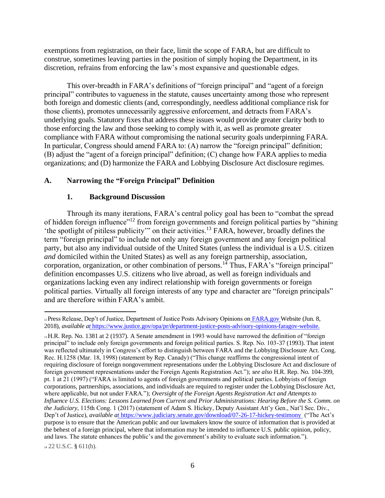exemptions from registration, on their face, limit the scope of FARA, but are difficult to construe, sometimes leaving parties in the position of simply hoping the Department, in its discretion, refrains from enforcing the law's most expansive and questionable edges.

This over-breadth in FARA's definitions of "foreign principal" and "agent of a foreign principal" contributes to vagueness in the statute, causes uncertainty among those who represent both foreign and domestic clients (and, correspondingly, needless additional compliance risk for those clients), promotes unnecessarily aggressive enforcement, and detracts from FARA's underlying goals. Statutory fixes that address these issues would provide greater clarity both to those enforcing the law and those seeking to comply with it, as well as promote greater compliance with FARA without compromising the national security goals underpinning FARA. In particular, Congress should amend FARA to: (A) narrow the "foreign principal" definition; (B) adjust the "agent of a foreign principal" definition; (C) change how FARA applies to media organizations; and (D) harmonize the FARA and Lobbying Disclosure Act disclosure regimes.

#### **A. Narrowing the "Foreign Principal" Definition**

#### **1. Background Discussion**

Through its many iterations, FARA's central policy goal has been to "combat the spread of hidden foreign influence"<sup>12</sup> from foreign governments and foreign political parties by "shining 'the spotlight of pitiless publicity'" on their activities.<sup>13</sup> FARA, however, broadly defines the term "foreign principal" to include not only any foreign government and any foreign political party, but also any individual outside of the United States (unless the individual is a U.S. citizen *and* domiciled within the United States) as well as any foreign partnership, association, corporation, organization, or other combination of persons.<sup>14</sup> Thus, FARA's "foreign principal" definition encompasses U.S. citizens who live abroad, as well as foreign individuals and organizations lacking even any indirect relationship with foreign governments or foreign political parties. Virtually all foreign interests of any type and character are "foreign principals" and are therefore within FARA's ambit.

<sup>14</sup> 22 U.S.C. § 611(b).

<sup>12</sup> Press Release, Dep't of Justice, Department of Justice Posts Advisory Opinions on [FARA.gov](http://fara.gov/) Website (Jun. 8, 2018), *available [at](https://www.justice.gov/opa/pr/department-justice-posts-advisory-opinions-faragov-website)* https://www.justice.gov/opa/pr/department-justice-posts-advisory-opinions-faragov-website.

<sup>13</sup>H.R. Rep. No. 1381 at 2 (1937). A Senate amendment in 1993 would have narrowed the definition of "foreign principal" to include only foreign governments and foreign political parties. S. Rep. No. 103-37 (1993). That intent was reflected ultimately in Congress's effort to distinguish between FARA and the Lobbying Disclosure Act. Cong. Rec. H.1258 (Mar. 18, 1998) (statement by Rep. Canady) ("This change reaffirms the congressional intent of requiring disclosure of foreign nongovernment representations under the Lobbying Disclosure Act and disclosure of foreign government representations under the Foreign Agents Registration Act."); *see also* H.R. Rep. No. 104-399, pt. 1 at 21 (1997) ("FARA is limited to agents of foreign governments and political parties. Lobbyists of foreign corporations, partnerships, associations, and individuals are required to register under the Lobbying Disclosure Act, where applicable, but not under FARA."); *Oversight of the Foreign Agents Registration Act and Attempts to Influence U.S. Elections: Lessons Learned from Current and Prior Administrations: Hearing Before the S. Comm. on the Judiciary*, 115th Cong. 1 (2017) (statement of Adam S. Hickey, Deputy Assistant Att'y Gen., Nat'l Sec. Div., Dep't of Justice), *available [at](https://www.judiciary.senate.gov/download/07-26-17-hickey-testimony)* https://www.judiciary.senate.gov/download/07-26-17-hickey-testimony ("The Act's purpose is to ensure that the American public and our lawmakers know the source of information that is provided at the behest of a foreign principal, where that information may be intended to influence U.S. public opinion, policy, and laws. The statute enhances the public's and the government's ability to evaluate such information.").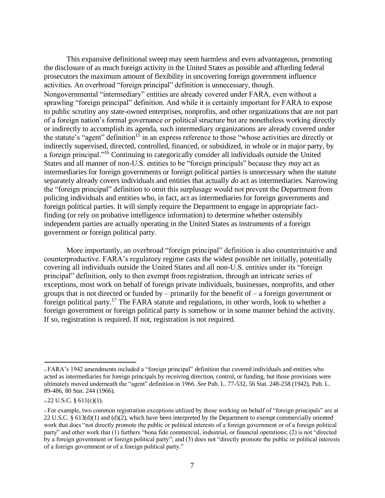This expansive definitional sweep may seem harmless and even advantageous, promoting the disclosure of as much foreign activity in the United States as possible and affording federal prosecutors the maximum amount of flexibility in uncovering foreign government influence activities. An overbroad "foreign principal" definition is unnecessary, though. Nongovernmental "intermediary" entities are already covered under FARA, even without a sprawling "foreign principal" definition. And while it is certainly important for FARA to expose to public scrutiny any state-owned enterprises, nonprofits, and other organizations that are not part of a foreign nation's formal governance or political structure but are nonetheless working directly or indirectly to accomplish its agenda, such intermediary organizations are already covered under the statute's "agent" definition<sup>15</sup> in an express reference to those "whose activities are directly or indirectly supervised, directed, controlled, financed, or subsidized, in whole or in major party, by a foreign principal."<sup>16</sup> Continuing to categorically consider all individuals outside the United States and all manner of non-U.S. entities to be "foreign principals" because they *may* act as intermediaries for foreign governments or foreign political parties is unnecessary when the statute separately already covers individuals and entities that actually *do* act as intermediaries. Narrowing the "foreign principal" definition to omit this surplusage would not prevent the Department from policing individuals and entities who, in fact, act as intermediaries for foreign governments and foreign political parties. It will simply require the Department to engage in appropriate factfinding (or rely on probative intelligence information) to determine whether ostensibly independent parties are actually operating in the United States as instruments of a foreign government or foreign political party.

More importantly, an overbroad "foreign principal" definition is also counterintuitive and counterproductive. FARA's regulatory regime casts the widest possible net initially, potentially covering all individuals outside the United States and all non-U.S. entities under its "foreign principal" definition, only to then exempt from registration, through an intricate series of exceptions, most work on behalf of foreign private individuals, businesses, nonprofits, and other groups that is not directed or funded by – primarily for the benefit of – a foreign government or foreign political party.<sup>17</sup> The FARA statute and regulations, in other words, look to whether a foreign government or foreign political party is somehow or in some manner behind the activity. If so, registration is required. If not, registration is not required.

<sup>15</sup>FARA's 1942 amendments included a "foreign principal" definition that covered individuals and entities who acted as intermediaries for foreign principals by receiving direction, control, or funding, but those provisions were ultimately moved underneath the "agent" definition in 1966. *See* Pub. L. 77-532, 56 Stat. 248-258 (1942), Pub. L. 89-486, 80 Stat. 244 (1966).

 $1622$  U.S.C. § 611(c)(1).

<sup>17</sup>For example, two common registration exceptions utilized by those working on behalf of "foreign principals" are at 22 U.S.C. §  $613(d)(1)$  and  $(d)(2)$ , which have been interpreted by the Department to exempt commercially oriented work that does "not directly promote the public or political interests of a foreign government or of a foreign political party" and other work that (1) furthers "bona fide commercial, industrial, or financial operations; (2) is not "directed by a foreign government or foreign political party"; and (3) does not "directly promote the public or political interests of a foreign government or of a foreign political party."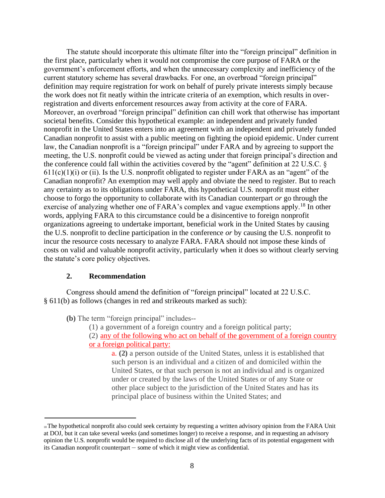The statute should incorporate this ultimate filter into the "foreign principal" definition in the first place, particularly when it would not compromise the core purpose of FARA or the government's enforcement efforts, and when the unnecessary complexity and inefficiency of the current statutory scheme has several drawbacks. For one, an overbroad "foreign principal" definition may require registration for work on behalf of purely private interests simply because the work does not fit neatly within the intricate criteria of an exemption, which results in overregistration and diverts enforcement resources away from activity at the core of FARA. Moreover, an overbroad "foreign principal" definition can chill work that otherwise has important societal benefits. Consider this hypothetical example: an independent and privately funded nonprofit in the United States enters into an agreement with an independent and privately funded Canadian nonprofit to assist with a public meeting on fighting the opioid epidemic. Under current law, the Canadian nonprofit is a "foreign principal" under FARA and by agreeing to support the meeting, the U.S. nonprofit could be viewed as acting under that foreign principal's direction and the conference could fall within the activities covered by the "agent" definition at 22 U.S.C. §  $611(c)(1)(i)$  or (ii). Is the U.S. nonprofit obligated to register under FARA as an "agent" of the Canadian nonprofit? An exemption may well apply and obviate the need to register. But to reach any certainty as to its obligations under FARA, this hypothetical U.S. nonprofit must either choose to forgo the opportunity to collaborate with its Canadian counterpart *or* go through the exercise of analyzing whether one of FARA's complex and vague exemptions apply.<sup>18</sup> In other words, applying FARA to this circumstance could be a disincentive to foreign nonprofit organizations agreeing to undertake important, beneficial work in the United States by causing the U.S. nonprofit to decline participation in the conference *or* by causing the U.S. nonprofit to incur the resource costs necessary to analyze FARA. FARA should not impose these kinds of costs on valid and valuable nonprofit activity, particularly when it does so without clearly serving the statute's core policy objectives.

#### **2. Recommendation**

Congress should amend the definition of "foreign principal" located at 22 U.S.C. § 611(b) as follows (changes in red and strikeouts marked as such):

**(b)** The term "foreign principal" includes--

(1) a government of a foreign country and a foreign political party;

(2) any of the following who act on behalf of the government of a foreign country or a foreign political party:

a. **(2)** a person outside of the United States, unless it is established that such person is an individual and a citizen of and domiciled within the United States, or that such person is not an individual and is organized under or created by the laws of the United States or of any State or other place subject to the jurisdiction of the United States and has its principal place of business within the United States; and

<sup>&</sup>lt;sup>18</sup>The hypothetical nonprofit also could seek certainty by requesting a written advisory opinion from the FARA Unit at DOJ, but it can take several weeks (and sometimes longer) to receive a response, and in requesting an advisory opinion the U.S. nonprofit would be required to disclose all of the underlying facts of its potential engagement with its Canadian nonprofit counterpart – some of which it might view as confidential.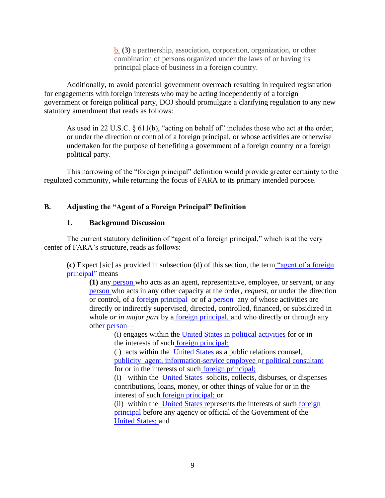b. **(3)** a partnership, association, corporation, organization, or other combination of persons organized under the laws of or having its principal place of business in a foreign country.

Additionally, to avoid potential government overreach resulting in required registration for engagements with foreign interests who may be acting independently of a foreign government or foreign political party, DOJ should promulgate a clarifying regulation to any new statutory amendment that reads as follows:

As used in 22 U.S.C.  $\S 611(b)$ , "acting on behalf of" includes those who act at the order, or under the direction or control of a foreign principal, or whose activities are otherwise undertaken for the purpose of benefiting a government of a foreign country or a foreign political party.

This narrowing of the "foreign principal" definition would provide greater certainty to the regulated community, while returning the focus of FARA to its primary intended purpose.

## **B. Adjusting the "Agent of a Foreign Principal" Definition**

#### **1. Background Discussion**

The current statutory definition of "agent of a foreign principal," which is at the very center of FARA's structure, reads as follows:

**(c)** Expect [sic] as provided in subsection (d) of this section, the term ["agent of a fo](https://www.law.cornell.edu/definitions/uscode.php?width=840&height=800&iframe=true&def_id=22-USC-804798869-1739142024&term_occur=999&term_src=)reign principal" means—

**(1)** any [person](https://www.law.cornell.edu/definitions/uscode.php?width=840&height=800&iframe=true&def_id=22-USC-991716523-1739142021&term_occur=999&term_src=) who acts as an agent, representative, employee, or servant, or any [person](https://www.law.cornell.edu/definitions/uscode.php?width=840&height=800&iframe=true&def_id=22-USC-991716523-1739142021&term_occur=999&term_src=) who acts in any other capacity at the order, *request*, or under the direction or control, of a [foreign principal](https://www.law.cornell.edu/definitions/uscode.php?width=840&height=800&iframe=true&def_id=22-USC-365698018-1739142022&term_occur=999&term_src=title:22:chapter:11:subchapter:II:section:611) or of a [person](https://www.law.cornell.edu/definitions/uscode.php?width=840&height=800&iframe=true&def_id=22-USC-991716523-1739142021&term_occur=999&term_src=) any of whose activities are directly or indirectly supervised, directed, controlled, financed, or subsidized in whole *or in major part* by a <u>foreign principal</u>, and who directly or through any oth[er](https://www.law.cornell.edu/definitions/uscode.php?width=840&height=800&iframe=true&def_id=22-USC-991716523-1739142021&term_occur=999&term_src=title:22:chapter:11:subchapter:II:section:611) person—

(i) engages within the [United States](https://www.law.cornell.edu/definitions/uscode.php?width=840&height=800&iframe=true&def_id=22-USC-2032517217-1739142033&term_occur=999&term_src=) in [political activities](https://www.law.cornell.edu/definitions/uscode.php?width=840&height=800&iframe=true&def_id=22-USC-1509260048-1739142035&term_occur=999&term_src=title:22:chapter:11:subchapter:II:section:611) for or in the interests of such [foreign principal;](https://www.law.cornell.edu/definitions/uscode.php?width=840&height=800&iframe=true&def_id=22-USC-365698018-1739142022&term_occur=999&term_src=title:22:chapter:11:subchapter:II:section:611)

( ) acts within the [United States](https://www.law.cornell.edu/definitions/uscode.php?width=840&height=800&iframe=true&def_id=22-USC-2032517217-1739142033&term_occur=999&term_src=) as a public relations counse[l,](https://www.law.cornell.edu/definitions/uscode.php?width=840&height=800&iframe=true&def_id=22-USC-1061672758-1739142028&term_occur=999&term_src=title:22:chapter:11:subchapter:II:section:611) [publicity](https://www.law.cornell.edu/definitions/uscode.php?width=840&height=800&iframe=true&def_id=22-USC-1061672758-1739142028&term_occur=999&term_src=title:22:chapter:11:subchapter:II:section:611) [agent](https://www.law.cornell.edu/definitions/uscode.php?width=840&height=800&iframe=true&def_id=22-USC-1061672758-1739142028&term_occur=999&term_src=title:22:chapter:11:subchapter:II:section:611)[, information-service employee](https://www.law.cornell.edu/definitions/uscode.php?width=840&height=800&iframe=true&def_id=22-USC-18232774-1739142029&term_occur=999&term_src=title:22:chapter:11:subchapter:II:section:611) [or](https://www.law.cornell.edu/definitions/uscode.php?width=840&height=800&iframe=true&def_id=22-USC-570371966-1739142036&term_occur=999&term_src=title:22:chapter:11:subchapter:II:section:611) political consultant for or in the interests of such [foreign principal;](https://www.law.cornell.edu/definitions/uscode.php?width=840&height=800&iframe=true&def_id=22-USC-365698018-1739142022&term_occur=999&term_src=title:22:chapter:11:subchapter:II:section:611)

(i) within the [United States](https://www.law.cornell.edu/definitions/uscode.php?width=840&height=800&iframe=true&def_id=22-USC-2032517217-1739142033&term_occur=999&term_src=) solicits, collects, disburses, or dispenses contributions, loans, money, or other things of value for or in the interest of such [foreign principal;](https://www.law.cornell.edu/definitions/uscode.php?width=840&height=800&iframe=true&def_id=22-USC-365698018-1739142022&term_occur=999&term_src=title:22:chapter:11:subchapter:II:section:611) or

(ii) within the [United States](https://www.law.cornell.edu/definitions/uscode.php?width=840&height=800&iframe=true&def_id=22-USC-2032517217-1739142033&term_occur=999&term_src=) represents the interests of such [foreign](https://www.law.cornell.edu/definitions/uscode.php?width=840&height=800&iframe=true&def_id=22-USC-365698018-1739142022&term_occur=999&term_src=title:22:chapter:11:subchapter:II:section:611) [principal](https://www.law.cornell.edu/definitions/uscode.php?width=840&height=800&iframe=true&def_id=22-USC-365698018-1739142022&term_occur=999&term_src=title:22:chapter:11:subchapter:II:section:611) before any agency or official of the Government of the [United States;](https://www.law.cornell.edu/definitions/uscode.php?width=840&height=800&iframe=true&def_id=22-USC-2032517217-1739142033&term_occur=999&term_src=title:22:chapter:11:subchapter:II:section:611) and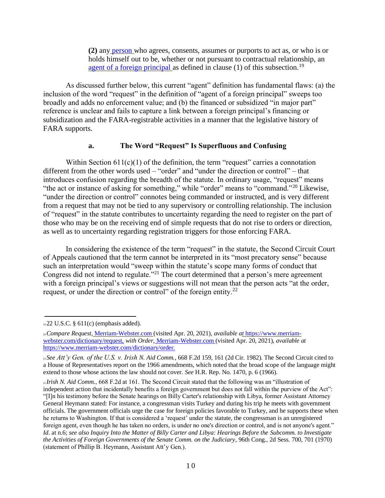**(2)** any [person](https://www.law.cornell.edu/definitions/uscode.php?width=840&height=800&iframe=true&def_id=22-USC-991716523-1739142021&term_occur=999&term_src=) who agrees, consents, assumes or purports to act as, or who is or holds himself out to be, whether or not pursuant to contractual relationship, an [agent of a foreign principal](https://www.law.cornell.edu/definitions/uscode.php?width=840&height=800&iframe=true&def_id=22-USC-804798869-1739142024&term_occur=999&term_src=title:22:chapter:11:subchapter:II:section:611) as defined in clause  $(1)$  of this subsection.<sup>19</sup>

As discussed further below, this current "agent" definition has fundamental flaws: (a) the inclusion of the word "request" in the definition of "agent of a foreign principal" sweeps too broadly and adds no enforcement value; and (b) the financed or subsidized "in major part" reference is unclear and fails to capture a link between a foreign principal's financing or subsidization and the FARA-registrable activities in a manner that the legislative history of FARA supports.

#### **a. The Word "Request" Is Superfluous and Confusing**

Within Section  $611(c)(1)$  of the definition, the term "request" carries a connotation different from the other words used – "order" and "under the direction or control" – that introduces confusion regarding the breadth of the statute. In ordinary usage, "request" means "the act or instance of asking for something," while "order" means to "command."<sup>20</sup> Likewise, "under the direction or control" connotes being commanded or instructed, and is very different from a request that may not be tied to any supervisory or controlling relationship. The inclusion of "request" in the statute contributes to uncertainty regarding the need to register on the part of those who may be on the receiving end of simple requests that do not rise to orders or direction, as well as to uncertainty regarding registration triggers for those enforcing FARA.

In considering the existence of the term "request" in the statute, the Second Circuit Court of Appeals cautioned that the term cannot be interpreted in its "most precatory sense" because such an interpretation would "sweep within the statute's scope many forms of conduct that Congress did not intend to regulate.<sup>"21</sup> The court determined that a person's mere agreement with a foreign principal's views or suggestions will not mean that the person acts "at the order, request, or under the direction or control" of the foreign entity.<sup>22</sup>

<sup>19</sup>22 U.S.C. § 611(c) (emphasis added).

<sup>20</sup>*Compare Request*, [Merriam-Webster.com](http://merriam-webster.com/) (visited Apr. 20, 2021), *available [at](https://www.merriam-webster.com/dictionary/request)* [https://www.merriam](https://with/)[webster.com/dictionary/request,](https://with/) *with Order*, [Merriam-Webster.com](http://merriam-webster.com/) (visited Apr. 20, 2021), *available at*  [https://www.merriam-webster.com/dictionary/order.](https://www.merriam-webster.com/dictionary/order)

<sup>21</sup>*See Att'y Gen. of the U.S. v. Irish N. Aid Comm.*, 668 F.2d 159, 161 (2d Cir. 1982). The Second Circuit cited to a House of Representatives report on the 1966 amendments, which noted that the broad scope of the language might extend to those whose actions the law should not cover. *See* H.R. Rep. No. 1470, p. 6 (1966).

<sup>22</sup>*Irish N. Aid Comm.*, 668 F.2d at 161. The Second Circuit stated that the following was an "illustration of independent action that incidentally benefits a foreign government but does not fall within the purview of the Act": "[I]n his testimony before the Senate hearings on Billy Carter's relationship with Libya, former Assistant Attorney General Heymann stated: For instance, a congressman visits Turkey and during his trip he meets with government officials. The government officials urge the case for foreign policies favorable to Turkey, and he supports these when he returns to Washington. If that is considered a 'request' under the statute, the congressman is an unregistered foreign agent, even though he has taken no orders, is under no one's direction or control, and is not anyone's agent." *Id*. at n.6; *see also Inquiry Into the Matter of Billy Carter and Libya: Hearings Before the Subcomm. to Investigate the Activities of Foreign Governments of the Senate Comm. on the Judiciary*, 96th Cong., 2d Sess. 700, 701 (1970) (statement of Phillip B. Heymann, Assistant Att'y Gen.).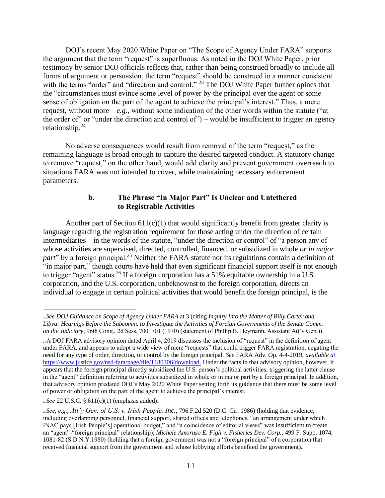DOJ's recent May 2020 White Paper on "The Scope of Agency Under FARA" supports the argument that the term "request" is superfluous. As noted in the DOJ White Paper, prior testimony by senior DOJ officials reflects that, rather than being construed broadly to include all forms of argument or persuasion, the term "request" should be construed in a manner consistent with the terms "order" and "direction and control." <sup>23</sup> The DOJ White Paper further opines that the "circumstances must evince some level of power by the principal over the agent or some sense of obligation on the part of the agent to achieve the principal's interest." Thus, a mere request, without more  $-e.g.,$  without some indication of the other words within the statute ("at the order of" or "under the direction and control of") – would be insufficient to trigger an agency relationship. $24$ 

No adverse consequences would result from removal of the term "request," as the remaining language is broad enough to capture the desired targeted conduct. A statutory change to remove "request," on the other hand, would add clarity and prevent government overreach to situations FARA was not intended to cover, while maintaining necessary enforcement parameters.

#### **b. The Phrase "In Major Part" Is Unclear and Untethered to Registrable Activities**

Another part of Section  $611(c)(1)$  that would significantly benefit from greater clarity is language regarding the registration requirement for those acting under the direction of certain intermediaries – in the words of the statute, "under the direction or control" of "a person any of whose activities are supervised, directed, controlled, financed, or subsidized in whole *or in major part*" by a foreign principal.<sup>25</sup> Neither the FARA statute nor its regulations contain a definition of "in major part," though courts have held that even significant financial support itself is not enough to trigger "agent" status.<sup>26</sup> If a foreign corporation has a 51% equitable ownership in a U.S. corporation, and the U.S. corporation, unbeknownst to the foreign corporation, directs an individual to engage in certain political activities that would benefit the foreign principal, is the

<sup>23</sup>*See DOJ Guidance on Scope of Agency Under FARA* at 3 (citing *Inquiry Into the Matter of Billy Carter and Libya: Hearings Before the Subcomm. to Investigate the Activities of Foreign Governments of the Senate Comm. on the Judiciary*, 96th Cong., 2d Sess. 700, 701 (1970) (statement of Phillip B. Heymann, Assistant Att'y Gen.)).

<sup>24</sup> A DOJ FARA advisory opinion dated April 4, 2019 discusses the inclusion of "request" in the definition of agent under FARA, and appears to adopt a wide view of mere "requests" that could trigger FARA registration, negating the need for any type of order, direction, or control by the foreign principal. *See* FARA Adv. Op. 4-4-2019, *available [at](https://www.justice.gov/nsd-fara/page/file/1180306/download)* [https://www.justice.gov/nsd-fara/page/file/1180306/download.](https://under/) Under the facts in that advisory opinion, however, it appears that the foreign principal directly subsidized the U.S. person's political activities, triggering the latter clause in the "agent" definition referring to activities subsidized in whole or in major part by a foreign principal. In addition, that advisory opinion predated DOJ's May 2020 White Paper setting forth its guidance that there must be some level of power or obligation on the part of the agent to achieve the principal's interest.

<sup>25</sup>*See* 22 U.S.C. § 611(c)(1) (emphasis added).

<sup>26</sup>*See, e.g.*, *Att'y Gen. of U.S. v. Irish People, Inc.*, 796 F.2d 520 (D.C. Cir. 1986) (holding that evidence, including overlapping personnel, financial support, shared offices and telephones, "an arrangement under which INAC pays [Irish People's] operational budget," and "a coincidence of editorial views" was insufficient to create an "agent"-"foreign principal" relationship); *Michele Amoruso E. Figli v. Fisheries Dev. Corp.*, 499 F. Supp. 1074, 1081-82 (S.D.N.Y.1980) (holding that a foreign government was not a "foreign principal" of a corporation that received financial support from the government and whose lobbying efforts benefited the government).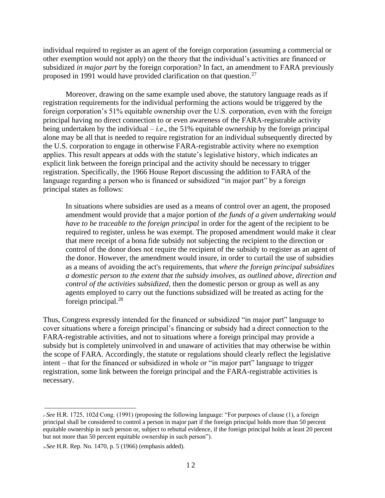individual required to register as an agent of the foreign corporation (assuming a commercial or other exemption would not apply) on the theory that the individual's activities are financed or subsidized *in major part* by the foreign corporation? In fact, an amendment to FARA previously proposed in 1991 would have provided clarification on that question.<sup>27</sup>

Moreover, drawing on the same example used above, the statutory language reads as if registration requirements for the individual performing the actions would be triggered by the foreign corporation's 51% equitable ownership over the U.S. corporation, even with the foreign principal having no direct connection to or even awareness of the FARA-registrable activity being undertaken by the individual – *i.e*., the 51% equitable ownership by the foreign principal alone may be all that is needed to require registration for an individual subsequently directed by the U.S. corporation to engage in otherwise FARA-registrable activity where no exemption applies. This result appears at odds with the statute's legislative history, which indicates an explicit link between the foreign principal and the activity should be necessary to trigger registration. Specifically, the 1966 House Report discussing the addition to FARA of the language regarding a person who is financed or subsidized "in major part" by a foreign principal states as follows:

In situations where subsidies are used as a means of control over an agent, the proposed amendment would provide that a major portion of *the funds of a given undertaking would have to be traceable to the foreign principal* in order for the agent of the recipient to be required to register, unless he was exempt. The proposed amendment would make it clear that mere receipt of a bona fide subsidy not subjecting the recipient to the direction or control of the donor does not require the recipient of the subsidy to register as an agent of the donor. However, the amendment would insure, in order to curtail the use of subsidies as a means of avoiding the act's requirements, that *where the foreign principal subsidizes a domestic person to the extent that the subsidy involves, as outlined above, direction and control of the activities subsidized*, then the domestic person or group as well as any agents employed to carry out the functions subsidized will be treated as acting for the foreign principal.<sup>28</sup>

Thus, Congress expressly intended for the financed or subsidized "in major part" language to cover situations where a foreign principal's financing or subsidy had a direct connection to the FARA-registrable activities, and not to situations where a foreign principal may provide a subsidy but is completely uninvolved in and unaware of activities that may otherwise be within the scope of FARA. Accordingly, the statute or regulations should clearly reflect the legislative intent – that for the financed or subsidized in whole or "in major part" language to trigger registration, some link between the foreign principal and the FARA-registrable activities is necessary.

<sup>27</sup>*See* H.R. 1725, 102d Cong. (1991) (proposing the following language: "For purposes of clause (1), a foreign principal shall be considered to control a person in major part if the foreign principal holds more than 50 percent equitable ownership in such person or, subject to rebuttal evidence, if the foreign principal holds at least 20 percent but not more than 50 percent equitable ownership in such person").

<sup>28</sup>*See* H.R. Rep. No. 1470, p. 5 (1966) (emphasis added).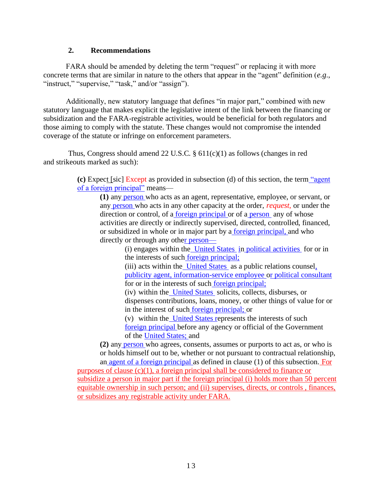#### **2. Recommendations**

FARA should be amended by deleting the term "request" or replacing it with more concrete terms that are similar in nature to the others that appear in the "agent" definition (*e.g*., "instruct," "supervise," "task," and/or "assign").

Additionally, new statutory language that defines "in major part," combined with new statutory language that makes explicit the legislative intent of the link between the financing or subsidization and the FARA-registrable activities, would be beneficial for both regulators and those aiming to comply with the statute. These changes would not compromise the intended coverage of the statute or infringe on enforcement parameters.

Thus, Congress should amend 22 U.S.C.  $\S 611(c)(1)$  as follows (changes in red and strikeouts marked as such):

> **(c)** Expect [sic] Except as provided in subsection (d) of this section, the ter[m](https://www.law.cornell.edu/definitions/uscode.php?width=840&height=800&iframe=true&def_id=22-USC-804798869-1739142024&term_occur=999&term_src=) "agent of a foreign principal" means—

**(1)** any [person](https://www.law.cornell.edu/definitions/uscode.php?width=840&height=800&iframe=true&def_id=22-USC-991716523-1739142021&term_occur=999&term_src=) who acts as an agent, representative, employee, or servant, or any [person](https://www.law.cornell.edu/definitions/uscode.php?width=840&height=800&iframe=true&def_id=22-USC-991716523-1739142021&term_occur=999&term_src=) who acts in any other capacity at the order, *request*, or under the direction or control, of a [foreign principal](https://www.law.cornell.edu/definitions/uscode.php?width=840&height=800&iframe=true&def_id=22-USC-365698018-1739142022&term_occur=999&term_src=title:22:chapter:11:subchapter:II:section:611) or of a [person](https://www.law.cornell.edu/definitions/uscode.php?width=840&height=800&iframe=true&def_id=22-USC-991716523-1739142021&term_occur=999&term_src=) any of whose activities are directly or indirectly supervised, directed, controlled, financed, or subsidized in whole or in major part by a [foreign principal,](https://www.law.cornell.edu/definitions/uscode.php?width=840&height=800&iframe=true&def_id=22-USC-365698018-1739142022&term_occur=999&term_src=title:22:chapter:11:subchapter:II:section:611) and who directly or through any oth[er](https://www.law.cornell.edu/definitions/uscode.php?width=840&height=800&iframe=true&def_id=22-USC-991716523-1739142021&term_occur=999&term_src=title:22:chapter:11:subchapter:II:section:611) person—

(i) engages within the [United States](https://www.law.cornell.edu/definitions/uscode.php?width=840&height=800&iframe=true&def_id=22-USC-2032517217-1739142033&term_occur=999&term_src=) [in](https://www.law.cornell.edu/definitions/uscode.php?width=840&height=800&iframe=true&def_id=22-USC-2032517217-1739142033&term_occur=999&term_src=) [political activities](https://www.law.cornell.edu/definitions/uscode.php?width=840&height=800&iframe=true&def_id=22-USC-1509260048-1739142035&term_occur=999&term_src=title:22:chapter:11:subchapter:II:section:611) for or in the interests of such [foreign principal;](https://www.law.cornell.edu/definitions/uscode.php?width=840&height=800&iframe=true&def_id=22-USC-365698018-1739142022&term_occur=999&term_src=title:22:chapter:11:subchapter:II:section:611)

(iii) acts within the [United States](https://www.law.cornell.edu/definitions/uscode.php?width=840&height=800&iframe=true&def_id=22-USC-2032517217-1739142033&term_occur=999&term_src=) as a public relations counsel, publicity agen[t, information-service employee](https://www.law.cornell.edu/definitions/uscode.php?width=840&height=800&iframe=true&def_id=22-USC-18232774-1739142029&term_occur=999&term_src=title:22:chapter:11:subchapter:II:section:611) [or](https://www.law.cornell.edu/definitions/uscode.php?width=840&height=800&iframe=true&def_id=22-USC-570371966-1739142036&term_occur=999&term_src=title:22:chapter:11:subchapter:II:section:611) political consultant for or in the interests of such [foreign principal;](https://www.law.cornell.edu/definitions/uscode.php?width=840&height=800&iframe=true&def_id=22-USC-365698018-1739142022&term_occur=999&term_src=title:22:chapter:11:subchapter:II:section:611)

(iv) within the [United States](https://www.law.cornell.edu/definitions/uscode.php?width=840&height=800&iframe=true&def_id=22-USC-2032517217-1739142033&term_occur=999&term_src=) solicits, collects, disburses, or dispenses contributions, loans, money, or other things of value for or in the interest of such [foreign principal;](https://www.law.cornell.edu/definitions/uscode.php?width=840&height=800&iframe=true&def_id=22-USC-365698018-1739142022&term_occur=999&term_src=title:22:chapter:11:subchapter:II:section:611) or

(v) within the [United States](https://www.law.cornell.edu/definitions/uscode.php?width=840&height=800&iframe=true&def_id=22-USC-2032517217-1739142033&term_occur=999&term_src=) represents the interests of suc[h](https://www.law.cornell.edu/definitions/uscode.php?width=840&height=800&iframe=true&def_id=22-USC-365698018-1739142022&term_occur=999&term_src=title:22:chapter:11:subchapter:II:section:611) [foreign principal](https://www.law.cornell.edu/definitions/uscode.php?width=840&height=800&iframe=true&def_id=22-USC-365698018-1739142022&term_occur=999&term_src=title:22:chapter:11:subchapter:II:section:611) before any agency or official of the Government of the [United States;](https://www.law.cornell.edu/definitions/uscode.php?width=840&height=800&iframe=true&def_id=22-USC-2032517217-1739142033&term_occur=999&term_src=title:22:chapter:11:subchapter:II:section:611) and

**(2)** any [person](https://www.law.cornell.edu/definitions/uscode.php?width=840&height=800&iframe=true&def_id=22-USC-991716523-1739142021&term_occur=999&term_src=) who agrees, consents, assumes or purports to act as, or who is or holds himself out to be, whether or not pursuant to contractual relationship, an [agent of a foreign principal](https://www.law.cornell.edu/definitions/uscode.php?width=840&height=800&iframe=true&def_id=22-USC-804798869-1739142024&term_occur=999&term_src=title:22:chapter:11:subchapter:II:section:611) as defined in clause (1) of this subsection. For

purposes of clause  $(c)(1)$ , a foreign principal shall be considered to finance or subsidize a person in major part if the foreign principal (i) holds more than 50 percent equitable ownership in such person; and (ii) supervises, directs, or controls , finances, or subsidizes any registrable activity under FARA.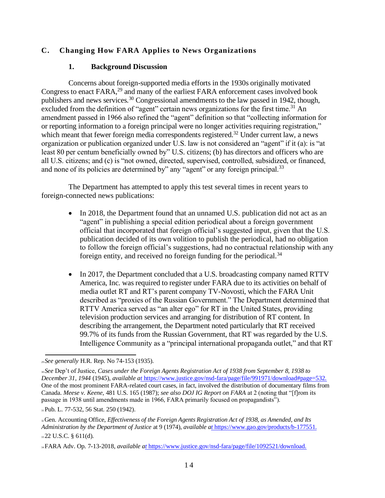## **C. Changing How FARA Applies to News Organizations**

#### **1. Background Discussion**

Concerns about foreign-supported media efforts in the 1930s originally motivated Congress to enact FARA,<sup>29</sup> and many of the earliest FARA enforcement cases involved book publishers and news services.<sup>30</sup> Congressional amendments to the law passed in 1942, though, excluded from the definition of "agent" certain news organizations for the first time.<sup>31</sup> An amendment passed in 1966 also refined the "agent" definition so that "collecting information for or reporting information to a foreign principal were no longer activities requiring registration," which meant that fewer foreign media correspondents registered.<sup>32</sup> Under current law, a news organization or publication organized under U.S. law is not considered an "agent" if it (a): is "at least 80 per centum beneficially owned by" U.S. citizens; (b) has directors and officers who are all U.S. citizens; and (c) is "not owned, directed, supervised, controlled, subsidized, or financed, and none of its policies are determined by" any "agent" or any foreign principal.<sup>33</sup>

The Department has attempted to apply this test several times in recent years to foreign-connected news publications:

- In 2018, the Department found that an unnamed U.S. publication did not act as an "agent" in publishing a special edition periodical about a foreign government official that incorporated that foreign official's suggested input, given that the U.S. publication decided of its own volition to publish the periodical, had no obligation to follow the foreign official's suggestions, had no contractual relationship with any foreign entity, and received no foreign funding for the periodical.<sup>34</sup>
- In 2017, the Department concluded that a U.S. broadcasting company named RTTV America, Inc. was required to register under FARA due to its activities on behalf of media outlet RT and RT's parent company TV-Novosti, which the FARA Unit described as "proxies of the Russian Government." The Department determined that RTTV America served as "an alter ego" for RT in the United States, providing television production services and arranging for distribution of RT content. In describing the arrangement, the Department noted particularly that RT received 99.7% of its funds from the Russian Government, that RT was regarded by the U.S. Intelligence Community as a "principal international propaganda outlet," and that RT

<sup>29</sup>*See generally* H.R. Rep. No 74-153 (1935).

<sup>30</sup>*See* Dep't of Justice, *Cases under the Foreign Agents Registration Act of 1938 from September 8, 1938 to December 31, 1944* (1945), *available [at](https://www.justice.gov/nsd-fara/page/file/991971/download#page=532)* [https://www.justice.gov/nsd-fara/page/file/991971/download#page=532.](https://one/)  One of the most prominent FARA-related court cases, in fact, involved the distribution of documentary films from Canada. *Meese v. Keene*, 481 U.S. 165 (1987); *see also DOJ IG Report on FARA* at 2 (noting that "[f]rom its passage in 1938 until amendments made in 1966, FARA primarily focused on propagandists").

<sup>31</sup> Pub. L. 77-532, 56 Stat. 250 (1942).

<sup>32</sup>Gen. Accounting Office, *Effectiveness of the Foreign Agents Registration Act of 1938, as Amended, and Its Administration by the Department of Justice* at 9 (1974), *available [at](https://www.gao.gov/products/b-177551)* https://www.gao.gov/products/b-177551. 33 22 U.S.C. § 611(d).

<sup>34</sup>FARA Adv. Op. 7-13-2018, *available [at](https://www.justice.gov/nsd-fara/page/file/1092521/download)* https://www.justice.gov/nsd-fara/page/file/1092521/download.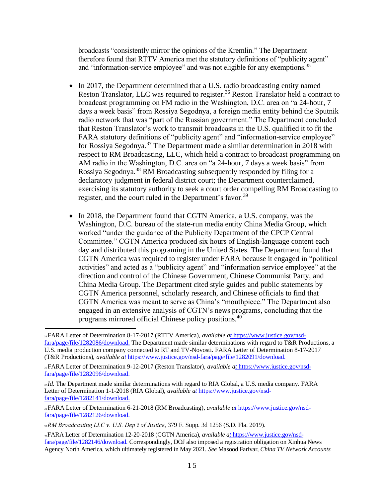broadcasts "consistently mirror the opinions of the Kremlin." The Department therefore found that RTTV America met the statutory definitions of "publicity agent" and "information-service employee" and was not eligible for any exemptions.<sup>35</sup>

- In 2017, the Department determined that a U.S. radio broadcasting entity named Reston Translator, LLC was required to register.<sup>36</sup> Reston Translator held a contract to broadcast programming on FM radio in the Washington, D.C. area on "a 24-hour, 7 days a week basis" from Rossiya Segodnya, a foreign media entity behind the Sputnik radio network that was "part of the Russian government." The Department concluded that Reston Translator's work to transmit broadcasts in the U.S. qualified it to fit the FARA statutory definitions of "publicity agent" and "information-service employee" for Rossiya Segodnya.<sup>37</sup> The Department made a similar determination in 2018 with respect to RM Broadcasting, LLC, which held a contract to broadcast programming on AM radio in the Washington, D.C. area on "a 24-hour, 7 days a week basis" from Rossiya Segodnya.<sup>38</sup> RM Broadcasting subsequently responded by filing for a declaratory judgment in federal district court; the Department counterclaimed, exercising its statutory authority to seek a court order compelling RM Broadcasting to register, and the court ruled in the Department's favor.<sup>39</sup>
- In 2018, the Department found that CGTN America, a U.S. company, was the Washington, D.C. bureau of the state-run media entity China Media Group, which worked "under the guidance of the Publicity Department of the CPCP Central Committee." CGTN America produced six hours of English-language content each day and distributed this programing in the United States. The Department found that CGTN America was required to register under FARA because it engaged in "political activities" and acted as a "publicity agent" and "information service employee" at the direction and control of the Chinese Government, Chinese Communist Party, and China Media Group. The Department cited style guides and public statements by CGTN America personnel, scholarly research, and Chinese officials to find that CGTN America was meant to serve as China's "mouthpiece." The Department also engaged in an extensive analysis of CGTN's news programs, concluding that the programs mirrored official Chinese policy positions.<sup>40</sup>

<sup>35</sup>FARA Letter of Determination 8-17-2017 (RTTV America), *available [at](https://www.justice.gov/nsd-fara/page/file/1282086/download)* [https://www.justice.gov/nsd](https://the/)[fara/page/file/1282086/download.](https://the/) The Department made similar determinations with regard to T&R Productions, a U.S. media production company connected to RT and TV-Novosti. FARA Letter of Determination 8-17-2017 (T&R Productions), *available [at](https://www.justice.gov/nsd-fara/page/file/1282091/download)* https://www.justice.gov/nsd-fara/page/file/1282091/download.

<sup>36</sup>FARA Letter of Determination 9-12-2017 (Reston Translator), *available [at](https://www.justice.gov/nsd-fara/page/file/1282096/download)* https://www.justice.gov/nsdfara/page/file/1282096/download.

<sup>37</sup>*Id*. The Department made similar determinations with regard to RIA Global, a U.S. media company. FARA Letter of Determination 1-1-2018 (RIA Global), *available [at](https://www.justice.gov/nsd-fara/page/file/1282141/download)* https://www.justice.gov/nsdfara/page/file/1282141/download.

<sup>38</sup>FARA Letter of Determination 6-21-2018 (RM Broadcasting), *available [at](https://www.justice.gov/nsd-fara/page/file/1282126/download)* https://www.justice.gov/nsdfara/page/file/1282126/download.

<sup>39</sup>*RM Broadcasting LLC v. U.S. Dep't of Justice*, 379 F. Supp. 3d 1256 (S.D. Fla. 2019).

<sup>40</sup>FARA Letter of Determination 12-20-2018 (CGTN America), *available [at](https://www.justice.gov/nsd-fara/page/file/1282146/download)* [https://www.justice.gov/nsd](https://correspondingly/)[fara/page/file/1282146/download.](https://correspondingly/) Correspondingly, DOJ also imposed a registration obligation on Xinhua News Agency North America, which ultimately registered in May 2021. *See* Masood Farivar, *China TV Network Accounts*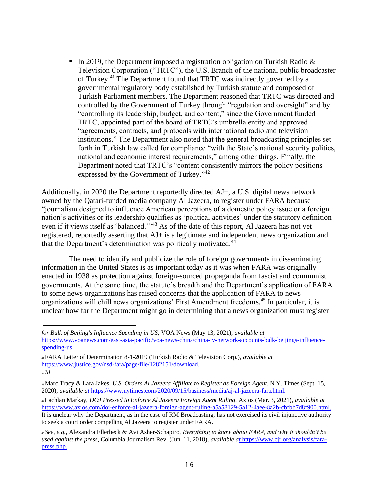In 2019, the Department imposed a registration obligation on Turkish Radio  $\&$ Television Corporation ("TRTC"), the U.S. Branch of the national public broadcaster of Turkey.<sup>41</sup> The Department found that TRTC was indirectly governed by a governmental regulatory body established by Turkish statute and composed of Turkish Parliament members. The Department reasoned that TRTC was directed and controlled by the Government of Turkey through "regulation and oversight" and by "controlling its leadership, budget, and content," since the Government funded TRTC, appointed part of the board of TRTC's umbrella entity and approved "agreements, contracts, and protocols with international radio and television institutions." The Department also noted that the general broadcasting principles set forth in Turkish law called for compliance "with the State's national security politics, national and economic interest requirements," among other things. Finally, the Department noted that TRTC's "content consistently mirrors the policy positions expressed by the Government of Turkey."<sup>42</sup>

Additionally, in 2020 the Department reportedly directed AJ+, a U.S. digital news network owned by the Qatari-funded media company Al Jazeera, to register under FARA because "journalism designed to influence American perceptions of a domestic policy issue or a foreign nation's activities or its leadership qualifies as 'political activities' under the statutory definition even if it views itself as 'balanced.'"<sup>43</sup> As of the date of this report, Al Jazeera has not yet registered, reportedly asserting that AJ+ is a legitimate and independent news organization and that the Department's determination was politically motivated.<sup>44</sup>

The need to identify and publicize the role of foreign governments in disseminating information in the United States is as important today as it was when FARA was originally enacted in 1938 as protection against foreign-sourced propaganda from fascist and communist governments. At the same time, the statute's breadth and the Department's application of FARA to some news organizations has raised concerns that the application of FARA to news organizations will chill news organizations' First Amendment freedoms.<sup>45</sup> In particular, it is unclear how far the Department might go in determining that a news organization must register

*for Bulk of Beijing's Influence Spending in US*, VOA News (May 13, 2021), *available at* [https://www.voanews.com/east-asia-pacific/voa-news-china/china-tv-network-accounts-bulk-beijings-influence](https://www.voanews.com/east-asia-pacific/voa-news-china/china-tv-network-accounts-bulk-beijings-influence-spending-us)[spending-us.](https://www.voanews.com/east-asia-pacific/voa-news-china/china-tv-network-accounts-bulk-beijings-influence-spending-us)

<sup>41</sup>FARA Letter of Determination 8-1-2019 (Turkish Radio & Television Corp.), *available at*  [https://www.justice.gov/nsd-fara/page/file/1282151/download.](https://www.justice.gov/nsd-fara/page/file/1282151/download) <sup>42</sup>*Id*.

<sup>43</sup>Marc Tracy & Lara Jakes, *U.S. Orders Al Jazeera Affiliate to Register as Foreign Agent*, N.Y. Times (Sept. 15, 2020), *available [at](https://www.nytimes.com/2020/09/15/business/media/aj-al-jazeera-fara.html)* https://www.nytimes.com/2020/09/15/business/media/aj-al-jazeera-fara.html.

<sup>44</sup>Lachlan Markay, *DOJ Pressed to Enforce Al Jazeera Foreign Agent Ruling*, Axios (Mar. 3, 2021), *available at*  [https://www.axios.com/doj-enforce-al-jazeera-foreign-agent-ruling-a5a58129-5a12-4aee-8a2b-cbfbb7d8f900.html.](https://www.axios.com/doj-enforce-al-jazeera-foreign-agent-ruling-a5a58129-5a12-4aee-8a2b-cbfbb7d8f900.html)  It is unclear why the Department, as in the case of RM Broadcasting, has not exercised its civil injunctive authority to seek a court order compelling Al Jazeera to register under FARA.

<sup>45</sup>*See, e.g.*, Alexandra Ellerbeck & Avi Asher-Schapiro, *Everything to know about FARA, and why it shouldn't be used against the press*, Columbia Journalism Rev. (Jun. 11, 2018), *available [at](https://www.cjr.org/analysis/fara-press.php)* https://www.cjr.org/analysis/farapress.php.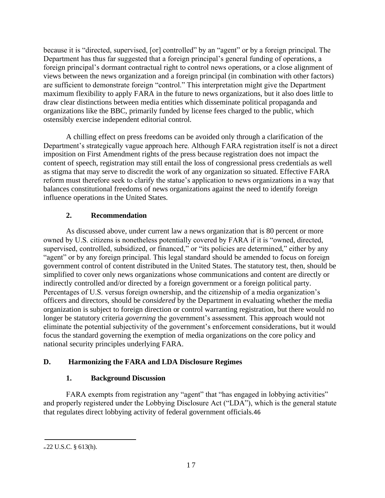because it is "directed, supervised, [or] controlled" by an "agent" or by a foreign principal. The Department has thus far suggested that a foreign principal's general funding of operations, a foreign principal's dormant contractual right to control news operations, or a close alignment of views between the news organization and a foreign principal (in combination with other factors) are sufficient to demonstrate foreign "control." This interpretation might give the Department maximum flexibility to apply FARA in the future to news organizations, but it also does little to draw clear distinctions between media entities which disseminate political propaganda and organizations like the BBC, primarily funded by license fees charged to the public, which ostensibly exercise independent editorial control.

A chilling effect on press freedoms can be avoided only through a clarification of the Department's strategically vague approach here. Although FARA registration itself is not a direct imposition on First Amendment rights of the press because registration does not impact the content of speech, registration may still entail the loss of congressional press credentials as well as stigma that may serve to discredit the work of any organization so situated. Effective FARA reform must therefore seek to clarify the statue's application to news organizations in a way that balances constitutional freedoms of news organizations against the need to identify foreign influence operations in the United States.

## **2. Recommendation**

As discussed above, under current law a news organization that is 80 percent or more owned by U.S. citizens is nonetheless potentially covered by FARA if it is "owned, directed, supervised, controlled, subsidized, or financed," or "its policies are determined," either by any "agent" or by any foreign principal. This legal standard should be amended to focus on foreign government control of content distributed in the United States. The statutory test, then, should be simplified to cover only news organizations whose communications and content are directly or indirectly controlled and/or directed by a foreign government or a foreign political party. Percentages of U.S. versus foreign ownership, and the citizenship of a media organization's officers and directors, should be *considered* by the Department in evaluating whether the media organization is subject to foreign direction or control warranting registration, but there would no longer be statutory criteria *governing* the government's assessment. This approach would not eliminate the potential subjectivity of the government's enforcement considerations, but it would focus the standard governing the exemption of media organizations on the core policy and national security principles underlying FARA.

## **D. Harmonizing the FARA and LDA Disclosure Regimes**

## **1. Background Discussion**

FARA exempts from registration any "agent" that "has engaged in lobbying activities" and properly registered under the Lobbying Disclosure Act ("LDA"), which is the general statute that regulates direct lobbying activity of federal government officials.46

<sup>46</sup>22 U.S.C. § 613(h).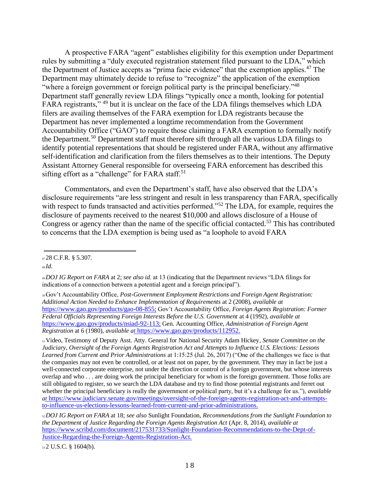A prospective FARA "agent" establishes eligibility for this exemption under Department rules by submitting a "duly executed registration statement filed pursuant to the LDA," which the Department of Justice accepts as "prima facie evidence" that the exemption applies.<sup>47</sup> The Department may ultimately decide to refuse to "recognize" the application of the exemption "where a foreign government or foreign political party is the principal beneficiary."<sup>48</sup> Department staff generally review LDA filings "typically once a month, looking for potential FARA registrants," <sup>49</sup> but it is unclear on the face of the LDA filings themselves which LDA filers are availing themselves of the FARA exemption for LDA registrants because the Department has never implemented a longtime recommendation from the Government Accountability Office ("GAO") to require those claiming a FARA exemption to formally notify the Department.<sup>50</sup> Department staff must therefore sift through all the various LDA filings to identify potential representations that should be registered under FARA, without any affirmative self-identification and clarification from the filers themselves as to their intentions. The Deputy Assistant Attorney General responsible for overseeing FARA enforcement has described this sifting effort as a "challenge" for FARA staff.<sup>51</sup>

Commentators, and even the Department's staff, have also observed that the LDA's disclosure requirements "are less stringent and result in less transparency than FARA, specifically with respect to funds transacted and activities performed."<sup>52</sup> The LDA, for example, requires the disclosure of payments received to the nearest \$10,000 and allows disclosure of a House of Congress or agency rather than the name of the specific official contacted.<sup>53</sup> This has contributed to concerns that the LDA exemption is being used as "a loophole to avoid FARA

<sup>53</sup>2 U.S.C. § 1604(b).

<sup>47</sup>28 C.F.R. § 5.307.

<sup>48</sup>*Id*.

<sup>49</sup>*DOJ IG Report on FARA* at 2; *see also id.* at 13 (indicating that the Department reviews "LDA filings for indications of a connection between a potential agent and a foreign principal").

<sup>50</sup>Gov't Accountability Office, *Post-Government Employment Restrictions and Foreign Agent Registration: Additional Action Needed to Enhance Implementation of Requirements* at 2 (2008), *available at*  [https://www.gao.gov/products/gao-08-855;](https://www.gao.gov/products/gao-08-855) Gov't Accountability Office, *Foreign Agents Registration: Former Federal Officials Representing Foreign Interests Before the U.S. Government* at 4 (1992), *available at*  [https://www.gao.gov/products/nsiad-92-113;](https://www.gao.gov/products/nsiad-92-113) Gen. Accounting Office, *Administration of Foreign Agent Registration* at 6 (1980), *available [at](https://www.gao.gov/products/112952)* https://www.gao.gov/products/112952.

<sup>51</sup>Video, Testimony of Deputy Asst. Atty. General for National Security Adam Hickey*, Senate Committee on the Judiciary, Oversight of the Foreign Agents Registration Act and Attempts to Influence U.S. Elections: Lessons Learned from Current and Prior Administrations* at 1:15:25 (Jul. 26, 2017) ("One of the challenges we face is that the companies may not even be controlled, or at least not on paper, by the government. They may in fact be just a well-connected corporate enterprise, not under the direction or control of a foreign government, but whose interests overlap and who . . . are doing work the principal beneficiary for whom is the foreign government. Those folks are still obligated to register, so we search the LDA database and try to find those potential registrants and ferret out whether the principal beneficiary is really the government or political party, but it's a challenge for us."), *available [at](https://www.judiciary.senate.gov/meetings/oversight-of-the-foreign-agents-registration-act-and-attempts-to-influence-us-elections-lessons-learned-from-current-and-prior-administrations)* https://www.judiciary.senate.gov/meetings/oversight-of-the-foreign-agents-registration-act-and-attemptsto-influence-us-elections-lessons-learned-from-current-and-prior-administrations.

<sup>52</sup>*DOJ IG Report on FARA* at 18; *see also* Sunlight Foundation, *Recommendations from the Sunlight Foundation to the Department of Justice Regarding the Foreign Agents Registration Act* (Apr. 8, 2014), *available at*  [https://www.scribd.com/document/217531733/Sunlight-Foundation-Recommendations-to-the-Dept-of-](https://www.scribd.com/document/217531733/Sunlight-Foundation-Recommendations-to-the-Dept-of-Justice-Regarding-the-Foreign-Agents-Registration-Act)[Justice-Regarding-the-Foreign-Agents-Registration-Act.](https://www.scribd.com/document/217531733/Sunlight-Foundation-Recommendations-to-the-Dept-of-Justice-Regarding-the-Foreign-Agents-Registration-Act)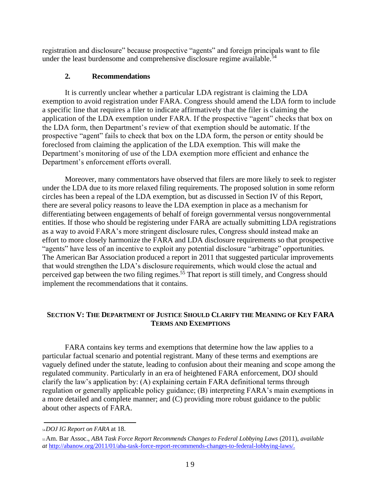registration and disclosure" because prospective "agents" and foreign principals want to file under the least burdensome and comprehensive disclosure regime available.<sup>54</sup>

## **2. Recommendations**

It is currently unclear whether a particular LDA registrant is claiming the LDA exemption to avoid registration under FARA. Congress should amend the LDA form to include a specific line that requires a filer to indicate affirmatively that the filer is claiming the application of the LDA exemption under FARA. If the prospective "agent" checks that box on the LDA form, then Department's review of that exemption should be automatic. If the prospective "agent" fails to check that box on the LDA form, the person or entity should be foreclosed from claiming the application of the LDA exemption. This will make the Department's monitoring of use of the LDA exemption more efficient and enhance the Department's enforcement efforts overall.

Moreover, many commentators have observed that filers are more likely to seek to register under the LDA due to its more relaxed filing requirements. The proposed solution in some reform circles has been a repeal of the LDA exemption, but as discussed in Section IV of this Report, there are several policy reasons to leave the LDA exemption in place as a mechanism for differentiating between engagements of behalf of foreign governmental versus nongovernmental entities. If those who should be registering under FARA are actually submitting LDA registrations as a way to avoid FARA's more stringent disclosure rules, Congress should instead make an effort to more closely harmonize the FARA and LDA disclosure requirements so that prospective "agents" have less of an incentive to exploit any potential disclosure "arbitrage" opportunities. The American Bar Association produced a report in 2011 that suggested particular improvements that would strengthen the LDA's disclosure requirements, which would close the actual and perceived gap between the two filing regimes.<sup>55</sup> That report is still timely, and Congress should implement the recommendations that it contains.

## **SECTION V: THE DEPARTMENT OF JUSTICE SHOULD CLARIFY THE MEANING OF KEY FARA TERMS AND EXEMPTIONS**

FARA contains key terms and exemptions that determine how the law applies to a particular factual scenario and potential registrant. Many of these terms and exemptions are vaguely defined under the statute, leading to confusion about their meaning and scope among the regulated community. Particularly in an era of heightened FARA enforcement, DOJ should clarify the law's application by: (A) explaining certain FARA definitional terms through regulation or generally applicable policy guidance; (B) interpreting FARA's main exemptions in a more detailed and complete manner; and (C) providing more robust guidance to the public about other aspects of FARA.

<sup>54</sup>*DOJ IG Report on FARA* at 18.

<sup>55</sup>Am. Bar Assoc., *ABA Task Force Report Recommends Changes to Federal Lobbying Laws* (2011), *available at* [http://abanow.org/2011/01/aba-task-force-report-recommends-changes-to-federal-lobbying-laws/.](http://abanow.org/2011/01/aba-task-force-report-recommends-changes-to-federal-lobbying-laws/)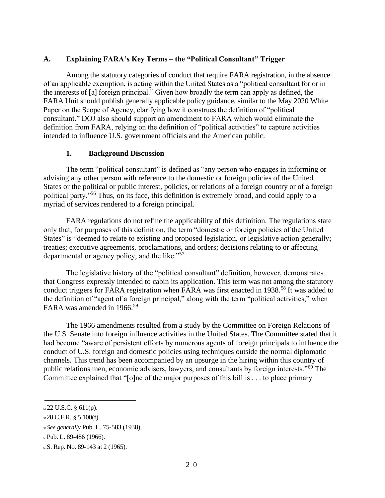#### **A. Explaining FARA's Key Terms – the "Political Consultant" Trigger**

Among the statutory categories of conduct that require FARA registration, in the absence of an applicable exemption, is acting within the United States as a "political consultant for or in the interests of [a] foreign principal." Given how broadly the term can apply as defined, the FARA Unit should publish generally applicable policy guidance, similar to the May 2020 White Paper on the Scope of Agency, clarifying how it construes the definition of "political consultant." DOJ also should support an amendment to FARA which would eliminate the definition from FARA, relying on the definition of "political activities" to capture activities intended to influence U.S. government officials and the American public.

#### **1. Background Discussion**

The term "political consultant" is defined as "any person who engages in informing or advising any other person with reference to the domestic or foreign policies of the United States or the political or public interest, policies, or relations of a foreign country or of a foreign political party."<sup>56</sup> Thus, on its face, this definition is extremely broad, and could apply to a myriad of services rendered to a foreign principal.

FARA regulations do not refine the applicability of this definition. The regulations state only that, for purposes of this definition, the term "domestic or foreign policies of the United States" is "deemed to relate to existing and proposed legislation, or legislative action generally; treaties; executive agreements, proclamations, and orders; decisions relating to or affecting departmental or agency policy, and the like."<sup>57</sup>

The legislative history of the "political consultant" definition, however, demonstrates that Congress expressly intended to cabin its application. This term was not among the statutory conduct triggers for FARA registration when FARA was first enacted in 1938.<sup>58</sup> It was added to the definition of "agent of a foreign principal," along with the term "political activities," when FARA was amended in 1966.<sup>59</sup>

The 1966 amendments resulted from a study by the Committee on Foreign Relations of the U.S. Senate into foreign influence activities in the United States. The Committee stated that it had become "aware of persistent efforts by numerous agents of foreign principals to influence the conduct of U.S. foreign and domestic policies using techniques outside the normal diplomatic channels. This trend has been accompanied by an upsurge in the hiring within this country of public relations men, economic advisers, lawyers, and consultants by foreign interests."<sup>60</sup> The Committee explained that "[o]ne of the major purposes of this bill is . . . to place primary

<sup>56</sup>22 U.S.C. § 611(p).

 $5728$  C.F.R. § 5.100(f).

<sup>58</sup>*See generally* Pub. L. 75-583 (1938).

<sup>59</sup>Pub. L. 89-486 (1966).

<sup>60</sup>S. Rep. No. 89-143 at 2 (1965).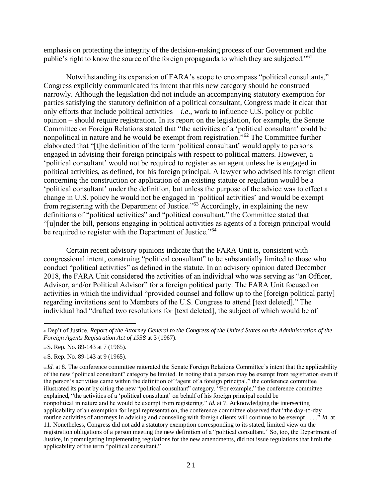emphasis on protecting the integrity of the decision-making process of our Government and the public's right to know the source of the foreign propaganda to which they are subjected."<sup>61</sup>

Notwithstanding its expansion of FARA's scope to encompass "political consultants," Congress explicitly communicated its intent that this new category should be construed narrowly. Although the legislation did not include an accompanying statutory exemption for parties satisfying the statutory definition of a political consultant, Congress made it clear that only efforts that include political activities  $-i.e.,$  work to influence U.S. policy or public opinion – should require registration. In its report on the legislation, for example, the Senate Committee on Foreign Relations stated that "the activities of a 'political consultant' could be nonpolitical in nature and he would be exempt from registration."<sup>62</sup> The Committee further elaborated that "[t]he definition of the term 'political consultant' would apply to persons engaged in advising their foreign principals with respect to political matters. However, a 'political consultant' would not be required to register as an agent unless he is engaged in political activities, as defined, for his foreign principal. A lawyer who advised his foreign client concerning the construction or application of an existing statute or regulation would be a 'political consultant' under the definition, but unless the purpose of the advice was to effect a change in U.S. policy he would not be engaged in 'political activities' and would be exempt from registering with the Department of Justice."<sup>63</sup> Accordingly, in explaining the new definitions of "political activities" and "political consultant," the Committee stated that "[u]nder the bill, persons engaging in political activities as agents of a foreign principal would be required to register with the Department of Justice."<sup>64</sup>

Certain recent advisory opinions indicate that the FARA Unit is, consistent with congressional intent, construing "political consultant" to be substantially limited to those who conduct "political activities" as defined in the statute. In an advisory opinion dated December 2018, the FARA Unit considered the activities of an individual who was serving as "an Officer, Advisor, and/or Political Advisor" for a foreign political party. The FARA Unit focused on activities in which the individual "provided counsel and follow up to the [foreign political party] regarding invitations sent to Members of the U.S. Congress to attend [text deleted]." The individual had "drafted two resolutions for [text deleted], the subject of which would be of

<sup>61</sup>Dep't of Justice, *Report of the Attorney General to the Congress of the United States on the Administration of the Foreign Agents Registration Act of 1938* at 3 (1967).

<sup>62</sup>S. Rep. No. 89-143 at 7 (1965).

<sup>63</sup>S. Rep. No. 89-143 at 9 (1965).

<sup>64</sup>*Id.* at 8. The conference committee reiterated the Senate Foreign Relations Committee's intent that the applicability of the new "political consultant" category be limited. In noting that a person may be exempt from registration even if the person's activities came within the definition of "agent of a foreign principal," the conference committee illustrated its point by citing the new "political consultant" category. "For example," the conference committee explained, "the activities of a 'political consultant' on behalf of his foreign principal could be nonpolitical in nature and he would be exempt from registering." *Id.* at 7. Acknowledging the intersecting applicability of an exemption for legal representation, the conference committee observed that "the day-to-day routine activities of attorneys in advising and counseling with foreign clients will continue to be exempt . . . ." *Id.* at 11. Nonetheless, Congress did not add a statutory exemption corresponding to its stated, limited view on the registration obligations of a person meeting the new definition of a "political consultant." So, too, the Department of Justice, in promulgating implementing regulations for the new amendments, did not issue regulations that limit the applicability of the term "political consultant."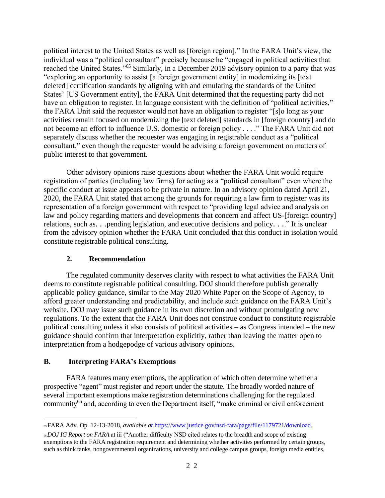political interest to the United States as well as [foreign region]." In the FARA Unit's view, the individual was a "political consultant" precisely because he "engaged in political activities that reached the United States."<sup>65</sup> Similarly, in a December 2019 advisory opinion to a party that was "exploring an opportunity to assist [a foreign government entity] in modernizing its [text deleted] certification standards by aligning with and emulating the standards of the United States' [US Government entity], the FARA Unit determined that the requesting party did not have an obligation to register. In language consistent with the definition of "political activities," the FARA Unit said the requestor would not have an obligation to register "[s]o long as your activities remain focused on modernizing the [text deleted] standards in [foreign country] and do not become an effort to influence U.S. domestic or foreign policy . . . ." The FARA Unit did not separately discuss whether the requester was engaging in registrable conduct as a "political consultant," even though the requester would be advising a foreign government on matters of public interest to that government.

Other advisory opinions raise questions about whether the FARA Unit would require registration of parties (including law firms) for acting as a "political consultant" even where the specific conduct at issue appears to be private in nature. In an advisory opinion dated April 21, 2020, the FARA Unit stated that among the grounds for requiring a law firm to register was its representation of a foreign government with respect to "providing legal advice and analysis on law and policy regarding matters and developments that concern and affect US-[foreign country] relations, such as*. . .*pending legislation, and executive decisions and policy*. . .*." It is unclear from the advisory opinion whether the FARA Unit concluded that this conduct in isolation would constitute registrable political consulting.

#### **2. Recommendation**

The regulated community deserves clarity with respect to what activities the FARA Unit deems to constitute registrable political consulting. DOJ should therefore publish generally applicable policy guidance, similar to the May 2020 White Paper on the Scope of Agency, to afford greater understanding and predictability, and include such guidance on the FARA Unit's website. DOJ may issue such guidance in its own discretion and without promulgating new regulations. To the extent that the FARA Unit does not construe conduct to constitute registrable political consulting unless it also consists of political activities – as Congress intended – the new guidance should confirm that interpretation explicitly, rather than leaving the matter open to interpretation from a hodgepodge of various advisory opinions.

## **B. Interpreting FARA's Exemptions**

FARA features many exemptions, the application of which often determine whether a prospective "agent" must register and report under the statute. The broadly worded nature of several important exemptions make registration determinations challenging for the regulated community<sup>66</sup> and, according to even the Department itself, "make criminal or civil enforcement

<sup>65</sup>FARA Adv. Op. 12-13-2018, *available [at](https://www.justice.gov/nsd-fara/page/file/1179721/download)* https://www.justice.gov/nsd-fara/page/file/1179721/download.

<sup>66</sup>*DOJ IG Report on FARA* at iii ("Another difficulty NSD cited relates to the breadth and scope of existing exemptions to the FARA registration requirement and determining whether activities performed by certain groups, such as think tanks, nongovernmental organizations, university and college campus groups, foreign media entities,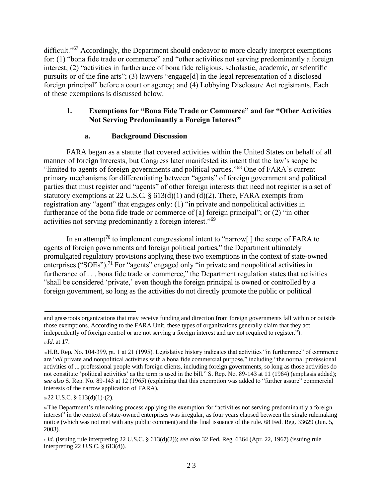difficult."<sup>67</sup> Accordingly, the Department should endeavor to more clearly interpret exemptions for: (1) "bona fide trade or commerce" and "other activities not serving predominantly a foreign interest; (2) "activities in furtherance of bona fide religious, scholastic, academic, or scientific pursuits or of the fine arts"; (3) lawyers "engage[d] in the legal representation of a disclosed foreign principal" before a court or agency; and (4) Lobbying Disclosure Act registrants. Each of these exemptions is discussed below.

## **1. Exemptions for "Bona Fide Trade or Commerce" and for "Other Activities Not Serving Predominantly a Foreign Interest"**

## **a. Background Discussion**

FARA began as a statute that covered activities within the United States on behalf of all manner of foreign interests, but Congress later manifested its intent that the law's scope be "limited to agents of foreign governments and political parties."<sup>68</sup> One of FARA's current primary mechanisms for differentiating between "agents" of foreign government and political parties that must register and "agents" of other foreign interests that need not register is a set of statutory exemptions at 22 U.S.C.  $\S$  613(d)(1) and (d)(2). There, FARA exempts from registration any "agent" that engages only: (1) "in private and nonpolitical activities in furtherance of the bona fide trade or commerce of [a] foreign principal"; or (2) "in other activities not serving predominantly a foreign interest."<sup>69</sup>

In an attempt<sup>70</sup> to implement congressional intent to "narrow  $\lceil \cdot \rceil$  the scope of FARA to agents of foreign governments and foreign political parties," the Department ultimately promulgated regulatory provisions applying these two exemptions in the context of state-owned enterprises ("SOEs").<sup>71</sup> For "agents" engaged only "in private and nonpolitical activities in furtherance of . . . bona fide trade or commerce," the Department regulation states that activities "shall be considered 'private,' even though the foreign principal is owned or controlled by a foreign government, so long as the activities do not directly promote the public or political

and grassroots organizations that may receive funding and direction from foreign governments fall within or outside those exemptions. According to the FARA Unit, these types of organizations generally claim that they act independently of foreign control or are not serving a foreign interest and are not required to register."). <sup>67</sup>*Id*. at 17.

<sup>68</sup>H.R. Rep. No. 104-399, pt. 1 at 21 (1995). Legislative history indicates that activities "in furtherance" of commerce are "*all* private and nonpolitical activities with a bona fide commercial purpose," including "the normal professional activities of ... professional people with foreign clients, including foreign governments, so long as those activities do not constitute 'political activities' as the term is used in the bill." S. Rep. No. 89-143 at 11 (1964) (emphasis added); *see also* S. Rep. No. 89-143 at 12 (1965) (explaining that this exemption was added to "further assure" commercial interests of the narrow application of FARA).

<sup>69</sup>22 U.S.C. § 613(d)(1)-(2).

<sup>70</sup>The Department's rulemaking process applying the exemption for "activities not serving predominantly a foreign interest" in the context of state-owned enterprises was irregular, as four years elapsed between the single rulemaking notice (which was not met with any public comment) and the final issuance of the rule. 68 Fed. Reg. 33629 (Jun. 5, 2003).

<sup>71</sup>*Id.* (issuing rule interpreting 22 U.S.C. § 613(d)(2)); *see also* 32 Fed. Reg. 6364 (Apr. 22, 1967) (issuing rule interpreting 22 U.S.C. § 613(d)).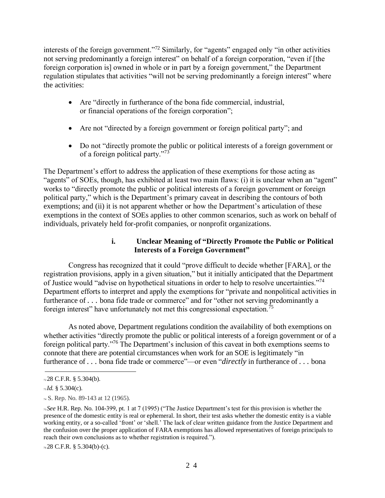interests of the foreign government."<sup>72</sup> Similarly, for "agents" engaged only "in other activities not serving predominantly a foreign interest" on behalf of a foreign corporation, "even if [the foreign corporation is] owned in whole or in part by a foreign government," the Department regulation stipulates that activities "will not be serving predominantly a foreign interest" where the activities:

- Are "directly in furtherance of the bona fide commercial, industrial, or financial operations of the foreign corporation";
- Are not "directed by a foreign government or foreign political party"; and
- Do not "directly promote the public or political interests of a foreign government or of a foreign political party."<sup>73</sup>

The Department's effort to address the application of these exemptions for those acting as "agents" of SOEs, though, has exhibited at least two main flaws: (i) it is unclear when an "agent" works to "directly promote the public or political interests of a foreign government or foreign political party," which is the Department's primary caveat in describing the contours of both exemptions; and (ii) it is not apparent whether or how the Department's articulation of these exemptions in the context of SOEs applies to other common scenarios, such as work on behalf of individuals, privately held for-profit companies, or nonprofit organizations.

## **i. Unclear Meaning of "Directly Promote the Public or Political Interests of a Foreign Government"**

Congress has recognized that it could "prove difficult to decide whether [FARA], or the registration provisions, apply in a given situation," but it initially anticipated that the Department of Justice would "advise on hypothetical situations in order to help to resolve uncertainties."<sup>74</sup> Department efforts to interpret and apply the exemptions for "private and nonpolitical activities in furtherance of . . . bona fide trade or commerce" and for "other not serving predominantly a foreign interest" have unfortunately not met this congressional expectation.<sup>75</sup>

As noted above, Department regulations condition the availability of both exemptions on whether activities "directly promote the public or political interests of a foreign government or of a foreign political party."<sup>76</sup> The Department's inclusion of this caveat in both exemptions seems to connote that there are potential circumstances when work for an SOE is legitimately "in furtherance of *. . .* bona fide trade or commerce"—or even "*directly* in furtherance of *. . .* bona

 $n28$  C.F.R. § 5.304(b).

<sup>73</sup>*Id.* § 5.304(c).

<sup>74</sup> S. Rep. No. 89-143 at 12 (1965).

<sup>75</sup>*See* H.R. Rep. No. 104-399, pt. 1 at 7 (1995) ("The Justice Department's test for this provision is whether the presence of the domestic entity is real or ephemeral. In short, their test asks whether the domestic entity is a viable working entity, or a so-called 'front' or 'shell.' The lack of clear written guidance from the Justice Department and the confusion over the proper application of FARA exemptions has allowed representatives of foreign principals to reach their own conclusions as to whether registration is required.").

<sup>76</sup>28 C.F.R. § 5.304(b)-(c).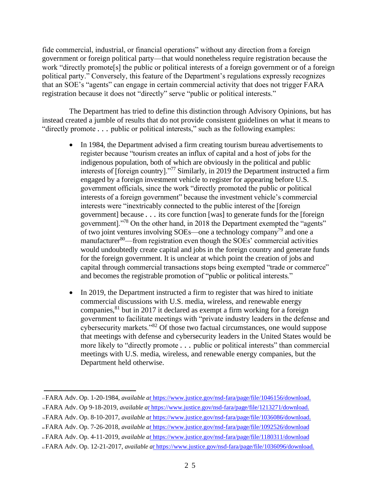fide commercial, industrial, or financial operations" without any direction from a foreign government or foreign political party—that would nonetheless require registration because the work "directly promote[s] the public or political interests of a foreign government or of a foreign political party." Conversely, this feature of the Department's regulations expressly recognizes that an SOE's "agents" can engage in certain commercial activity that does not trigger FARA registration because it does not "directly" serve "public or political interests."

The Department has tried to define this distinction through Advisory Opinions, but has instead created a jumble of results that do not provide consistent guidelines on what it means to "directly promote . . . public or political interests," such as the following examples:

- In 1984, the Department advised a firm creating tourism bureau advertisements to register because "tourism creates an influx of capital and a host of jobs for the indigenous population, both of which are obviously in the political and public interests of [foreign country]."<sup>77</sup> Similarly, in 2019 the Department instructed a firm engaged by a foreign investment vehicle to register for appearing before U.S. government officials, since the work "directly promoted the public or political interests of a foreign government" because the investment vehicle's commercial interests were "inextricably connected to the public interest of the [foreign government] because *. . .* its core function [was] to generate funds for the [foreign government]."<sup>78</sup> On the other hand, in 2018 the Department exempted the "agents" of two joint ventures involving SOEs—one a technology company<sup>79</sup> and one a manufacturer<sup>80</sup>—from registration even though the SOEs' commercial activities would undoubtedly create capital and jobs in the foreign country and generate funds for the foreign government. It is unclear at which point the creation of jobs and capital through commercial transactions stops being exempted "trade or commerce" and becomes the registrable promotion of "public or political interests."
- In 2019, the Department instructed a firm to register that was hired to initiate commercial discussions with U.S. media, wireless, and renewable energy companies,  $81$  but in 2017 it declared as exempt a firm working for a foreign government to facilitate meetings with "private industry leaders in the defense and cybersecurity markets."<sup>82</sup> Of those two factual circumstances, one would suppose that meetings with defense and cybersecurity leaders in the United States would be more likely to "directly promote *. . .* public or political interests" than commercial meetings with U.S. media, wireless, and renewable energy companies, but the Department held otherwise.

<sup>79</sup>FARA Adv. Op. 8-10-2017, *available [at](https://www.justice.gov/nsd-fara/page/file/1036086/download)* https://www.justice.gov/nsd-fara/page/file/1036086/download.

<sup>82</sup>FARA Adv. Op. 12-21-2017, *available [at](https://www.justice.gov/nsd-fara/page/file/1036096/download)* https://www.justice.gov/nsd-fara/page/file/1036096/download.

<sup>77</sup>FARA Adv. Op. 1-20-1984, *available [at](https://www.justice.gov/nsd-fara/page/file/1046156/download)* https://www.justice.gov/nsd-fara/page/file/1046156/download.

<sup>78</sup>FARA Adv. Op 9-18-2019, *available [at](https://www.justice.gov/nsd-fara/page/file/1213271/download)* https://www.justice.gov/nsd-fara/page/file/1213271/download.

<sup>80</sup>FARA Adv. Op. 7-26-2018, *available [at](https://www.justice.gov/nsd-fara/page/file/1092526/download)* https://www.justice.gov/nsd-fara/page/file/1092526/download

<sup>81</sup>FARA Adv. Op. 4-11-2019, *available [at](https://www.justice.gov/nsd-fara/page/file/1180311/download)* https://www.justice.gov/nsd-fara/page/file/1180311/download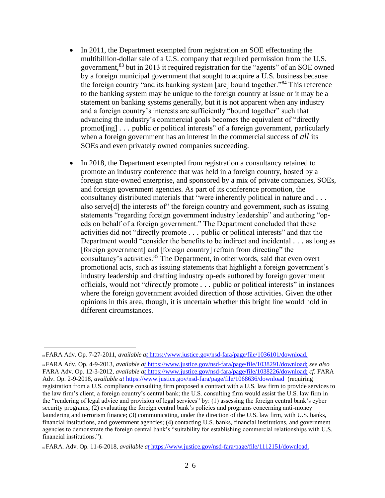- In 2011, the Department exempted from registration an SOE effectuating the multibillion-dollar sale of a U.S. company that required permission from the U.S. government,<sup>83</sup> but in 2013 it required registration for the "agents" of an SOE owned by a foreign municipal government that sought to acquire a U.S. business because the foreign country "and its banking system [are] bound together."<sup>84</sup> This reference to the banking system may be unique to the foreign country at issue or it may be a statement on banking systems generally, but it is not apparent when any industry and a foreign country's interests are sufficiently "bound together" such that advancing the industry's commercial goals becomes the equivalent of "directly promot[ing] *. . .* public or political interests" of a foreign government, particularly when a foreign government has an interest in the commercial success of *all* its SOEs and even privately owned companies succeeding.
- In 2018, the Department exempted from registration a consultancy retained to promote an industry conference that was held in a foreign country, hosted by a foreign state-owned enterprise, and sponsored by a mix of private companies, SOEs, and foreign government agencies. As part of its conference promotion, the consultancy distributed materials that "were inherently political in nature and *. . .*  also serve[d] the interests of" the foreign country and government, such as issuing statements "regarding foreign government industry leadership" and authoring "opeds on behalf of a foreign government." The Department concluded that these activities did not "directly promote *. . .* public or political interests" and that the Department would "consider the benefits to be indirect and incidental *. . .* as long as [foreign government] and [foreign country] refrain from directing" the consultancy's activities.<sup>85</sup> The Department, in other words, said that even overt promotional acts, such as issuing statements that highlight a foreign government's industry leadership and drafting industry op-eds authored by foreign government officials, would not "*directly* promote *. . .* public or political interests" in instances where the foreign government avoided direction of those activities. Given the other opinions in this area, though, it is uncertain whether this bright line would hold in different circumstances.

<sup>83</sup>FARA Adv. Op. 7-27-2011, *available [at](https://www.justice.gov/nsd-fara/page/file/1036101/download)* https://www.justice.gov/nsd-fara/page/file/1036101/download.

<sup>84</sup>FARA Adv. Op. 4-9-2013, *available [at](https://www.justice.gov/nsd-fara/page/file/1038291/download)* [https://www.justice.gov/nsd-fara/page/file/1038291/download;](https://see/) *see also*  FARA Adv. Op. 12-3-2012, *available [at](https://www.justice.gov/nsd-fara/page/file/1038226/download)* [https://www.justice.gov/nsd-fara/page/file/1038226/download;](https://cf.fara/) *cf.* FARA Adv. Op. 2-9-2018, *available [at](https://www.justice.gov/nsd-fara/page/file/1068636/download)* https://www.justice.gov/nsd-fara/page/file/1068636/download (requiring registration from a U.S. compliance consulting firm proposed a contract with a U.S. law firm to provide services to the law firm's client, a foreign country's central bank; the U.S. consulting firm would assist the U.S. law firm in the "rendering of legal advice and provision of legal services" by: (1) assessing the foreign central bank's cyber security programs; (2) evaluating the foreign central bank's policies and programs concerning anti-money laundering and terrorism finance; (3) communicating, under the direction of the U.S. law firm, with U.S. banks, financial institutions, and government agencies; (4) contacting U.S. banks, financial institutions, and government agencies to demonstrate the foreign central bank's "suitability for establishing commercial relationships with U.S. financial institutions.").

<sup>85</sup>FARA. Adv. Op. 11-6-2018, *available [at](https://www.justice.gov/nsd-fara/page/file/1112151/download)* https://www.justice.gov/nsd-fara/page/file/1112151/download.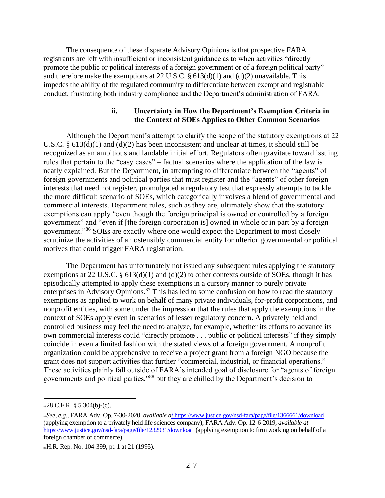The consequence of these disparate Advisory Opinions is that prospective FARA registrants are left with insufficient or inconsistent guidance as to when activities "directly promote the public or political interests of a foreign government or of a foreign political party" and therefore make the exemptions at 22 U.S.C.  $\S 613(d)(1)$  and  $(d)(2)$  unavailable. This impedes the ability of the regulated community to differentiate between exempt and registrable conduct, frustrating both industry compliance and the Department's administration of FARA.

#### **ii. Uncertainty in How the Department's Exemption Criteria in the Context of SOEs Applies to Other Common Scenarios**

Although the Department's attempt to clarify the scope of the statutory exemptions at 22 U.S.C. § 613(d)(1) and (d)(2) has been inconsistent and unclear at times, it should still be recognized as an ambitious and laudable initial effort. Regulators often gravitate toward issuing rules that pertain to the "easy cases" – factual scenarios where the application of the law is neatly explained. But the Department, in attempting to differentiate between the "agents" of foreign governments and political parties that must register and the "agents" of other foreign interests that need not register, promulgated a regulatory test that expressly attempts to tackle the more difficult scenario of SOEs, which categorically involves a blend of governmental and commercial interests. Department rules, such as they are, ultimately show that the statutory exemptions can apply "even though the foreign principal is owned or controlled by a foreign government" and "even if [the foreign corporation is] owned in whole or in part by a foreign government."<sup>86</sup> SOEs are exactly where one would expect the Department to most closely scrutinize the activities of an ostensibly commercial entity for ulterior governmental or political motives that could trigger FARA registration.

The Department has unfortunately not issued any subsequent rules applying the statutory exemptions at 22 U.S.C.  $\S$  613(d)(1) and (d)(2) to other contexts outside of SOEs, though it has episodically attempted to apply these exemptions in a cursory manner to purely private enterprises in Advisory Opinions.<sup>87</sup> This has led to some confusion on how to read the statutory exemptions as applied to work on behalf of many private individuals, for-profit corporations, and nonprofit entities, with some under the impression that the rules that apply the exemptions in the context of SOEs apply even in scenarios of lesser regulatory concern. A privately held and controlled business may feel the need to analyze, for example, whether its efforts to advance its own commercial interests could "directly promote . . . public or political interests" if they simply coincide in even a limited fashion with the stated views of a foreign government. A nonprofit organization could be apprehensive to receive a project grant from a foreign NGO because the grant does not support activities that further "commercial, industrial, or financial operations." These activities plainly fall outside of FARA's intended goal of disclosure for "agents of foreign governments and political parties,"<sup>88</sup> but they are chilled by the Department's decision to

 $\& 28$  C.F.R. § 5.304(b)-(c).

<sup>87</sup>*See, e.g.*, FARA Adv. Op. 7-30-2020, *available [at](https://www.justice.gov/nsd-fara/page/file/1366661/download)* https://www.justice.gov/nsd-fara/page/file/1366661/download (applying exemption to a privately held life sciences company); FARA Adv. Op. 12-6-2019, *available at*  <https://www.justice.gov/nsd-fara/page/file/1232931/download> (applying exemption to firm working on behalf of a foreign chamber of commerce).

<sup>88</sup>H.R. Rep. No. 104-399, pt. 1 at 21 (1995).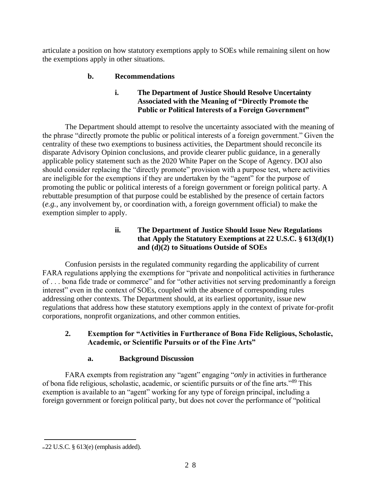articulate a position on how statutory exemptions apply to SOEs while remaining silent on how the exemptions apply in other situations.

## **b. Recommendations**

## **i. The Department of Justice Should Resolve Uncertainty Associated with the Meaning of "Directly Promote the Public or Political Interests of a Foreign Government"**

The Department should attempt to resolve the uncertainty associated with the meaning of the phrase "directly promote the public or political interests of a foreign government." Given the centrality of these two exemptions to business activities, the Department should reconcile its disparate Advisory Opinion conclusions, and provide clearer public guidance, in a generally applicable policy statement such as the 2020 White Paper on the Scope of Agency. DOJ also should consider replacing the "directly promote" provision with a purpose test, where activities are ineligible for the exemptions if they are undertaken by the "agent" for the purpose of promoting the public or political interests of a foreign government or foreign political party. A rebuttable presumption of that purpose could be established by the presence of certain factors (*e.g.*, any involvement by, or coordination with, a foreign government official) to make the exemption simpler to apply.

## **ii. The Department of Justice Should Issue New Regulations that Apply the Statutory Exemptions at 22 U.S.C. § 613(d)(1) and (d)(2) to Situations Outside of SOEs**

Confusion persists in the regulated community regarding the applicability of current FARA regulations applying the exemptions for "private and nonpolitical activities in furtherance of . . . bona fide trade or commerce" and for "other activities not serving predominantly a foreign interest" even in the context of SOEs, coupled with the absence of corresponding rules addressing other contexts. The Department should, at its earliest opportunity, issue new regulations that address how these statutory exemptions apply in the context of private for-profit corporations, nonprofit organizations, and other common entities.

## **2. Exemption for "Activities in Furtherance of Bona Fide Religious, Scholastic, Academic, or Scientific Pursuits or of the Fine Arts"**

## **a. Background Discussion**

FARA exempts from registration any "agent" engaging "*only* in activities in furtherance of bona fide religious, scholastic, academic, or scientific pursuits or of the fine arts."<sup>89</sup> This exemption is available to an "agent" working for any type of foreign principal, including a foreign government or foreign political party, but does not cover the performance of "political

<sup>89</sup>22 U.S.C. § 613(e) (emphasis added).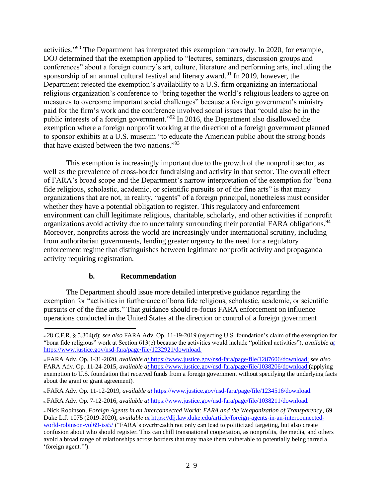activities."<sup>90</sup> The Department has interpreted this exemption narrowly. In 2020, for example, DOJ determined that the exemption applied to "lectures, seminars, discussion groups and conferences" about a foreign country's art, culture, literature and performing arts, including the sponsorship of an annual cultural festival and literary award.<sup>91</sup> In 2019, however, the Department rejected the exemption's availability to a U.S. firm organizing an international religious organization's conference to "bring together the world's religious leaders to agree on measures to overcome important social challenges" because a foreign government's ministry paid for the firm's work and the conference involved social issues that "could also be in the public interests of a foreign government."<sup>92</sup> In 2016, the Department also disallowed the exemption where a foreign nonprofit working at the direction of a foreign government planned to sponsor exhibits at a U.S. museum "to educate the American public about the strong bonds that have existed between the two nations."<sup>93</sup>

This exemption is increasingly important due to the growth of the nonprofit sector, as well as the prevalence of cross-border fundraising and activity in that sector. The overall effect of FARA's broad scope and the Department's narrow interpretation of the exemption for "bona fide religious, scholastic, academic, or scientific pursuits or of the fine arts" is that many organizations that are not, in reality, "agents" of a foreign principal, nonetheless must consider whether they have a potential obligation to register. This regulatory and enforcement environment can chill legitimate religious, charitable, scholarly, and other activities if nonprofit organizations avoid activity due to uncertainty surrounding their potential FARA obligations.<sup>94</sup> Moreover, nonprofits across the world are increasingly under international scrutiny, including from authoritarian governments, lending greater urgency to the need for a regulatory enforcement regime that distinguishes between legitimate nonprofit activity and propaganda activity requiring registration.

#### **b. Recommendation**

The Department should issue more detailed interpretive guidance regarding the exemption for "activities in furtherance of bona fide religious, scholastic, academic, or scientific pursuits or of the fine arts." That guidance should re-focus FARA enforcement on influence operations conducted in the United States at the direction or control of a foreign government

<sup>90</sup>28 C.F.R. § 5.304(d); *see also* FARA Adv. Op. 11-19-2019 (rejecting U.S. foundation's claim of the exemption for "bona fide religious" work at Section 613(e) because the activities would include "political activities"), *available [at](https://www.justice.gov/nsd-fara/page/file/1232921/download)*  https://www.justice.gov/nsd-fara/page/file/1232921/download.

<sup>91</sup>FARA Adv. Op. 1-31-2020, *available [at](https://www.justice.gov/nsd-fara/page/file/1287606/download)* [https://www.justice.gov/nsd-fara/page/file/1287606/download;](https://see/) *see also*  FARA Adv. Op. 11-24-2015, *available [at](https://www.justice.gov/nsd-fara/page/file/1038206/download)* https://www.justice.gov/nsd-fara/page/file/1038206/download (applying exemption to U.S. foundation that received funds from a foreign government without specifying the underlying facts about the grant or grant agreement).

<sup>92</sup>FARA Adv. Op. 11-12-2019, *available [at](https://www.justice.gov/nsd-fara/page/file/1234516/download)* https://www.justice.gov/nsd-fara/page/file/1234516/download.

<sup>93</sup>FARA Adv. Op. 7-12-2016, *available [at](https://www.justice.gov/nsd-fara/page/file/1038211/download)* https://www.justice.gov/nsd-fara/page/file/1038211/download.

<sup>94</sup>Nick Robinson, *Foreign Agents in an Interconnected World: FARA and the Weaponization of Transparency*, 69 Duke L.J. 1075 (2019-2020), *available [at](https://dlj.law.duke.edu/article/foreign-agents-in-an-interconnected-world-robinson-vol69-iss5/)* https://dlj.law.duke.edu/article/foreign-agents-in-an-interconnectedworld-robinson-vol69-iss5/ ("FARA's overbreadth not only can lead to politicized targeting, but also create confusion about who should register. This can chill transnational cooperation, as nonprofits, the media, and others avoid a broad range of relationships across borders that may make them vulnerable to potentially being tarred a 'foreign agent.'").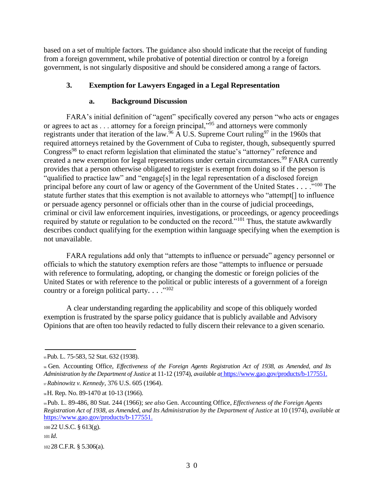based on a set of multiple factors. The guidance also should indicate that the receipt of funding from a foreign government, while probative of potential direction or control by a foreign government, is not singularly dispositive and should be considered among a range of factors.

## **3. Exemption for Lawyers Engaged in a Legal Representation**

## **a. Background Discussion**

FARA's initial definition of "agent" specifically covered any person "who acts or engages or agrees to act as . . . attorney for a foreign principal,"<sup>95</sup> and attorneys were commonly registrants under that iteration of the law.<sup>96</sup> A U.S. Supreme Court ruling<sup>97</sup> in the 1960s that required attorneys retained by the Government of Cuba to register, though, subsequently spurred Congress<sup>98</sup> to enact reform legislation that eliminated the statue's "attorney" reference and created a new exemption for legal representations under certain circumstances.<sup>99</sup> FARA currently provides that a person otherwise obligated to register is exempt from doing so if the person is "qualified to practice law" and "engage[s] in the legal representation of a disclosed foreign principal before any court of law or agency of the Government of the United States . . . .<sup>"100</sup> The statute further states that this exemption is not available to attorneys who "attempt[] to influence or persuade agency personnel or officials other than in the course of judicial proceedings, criminal or civil law enforcement inquiries, investigations, or proceedings, or agency proceedings required by statute or regulation to be conducted on the record."<sup>101</sup> Thus, the statute awkwardly describes conduct qualifying for the exemption within language specifying when the exemption is not unavailable.

FARA regulations add only that "attempts to influence or persuade" agency personnel or officials to which the statutory exemption refers are those "attempts to influence or persuade with reference to formulating, adopting, or changing the domestic or foreign policies of the United States or with reference to the political or public interests of a government of a foreign country or a foreign political party. . . .<sup>"102</sup>

A clear understanding regarding the applicability and scope of this obliquely worded exemption is frustrated by the sparse policy guidance that is publicly available and Advisory Opinions that are often too heavily redacted to fully discern their relevance to a given scenario.

<sup>95</sup>Pub. L. 75-583, 52 Stat. 632 (1938).

<sup>96</sup>Gen. Accounting Office, *Effectiveness of the Foreign Agents Registration Act of 1938, as Amended, and Its Administration by the Department of Justice* at 11-12 (1974), *available [at](https://www.gao.gov/products/b-177551)* https://www.gao.gov/products/b-177551.

<sup>97</sup>*Rabinowitz v. Kennedy*, 376 U.S. 605 (1964).

<sup>98</sup>H. Rep. No. 89-1470 at 10-13 (1966).

<sup>99</sup>Pub. L. 89-486, 80 Stat. 244 (1966); *see also* Gen. Accounting Office, *Effectiveness of the Foreign Agents Registration Act of 1938, as Amended, and Its Administration by the Department of Justice* at 10 (1974), *available at*  [https://www.gao.gov/products/b-177551.](https://www.gao.gov/products/b-177551)

<sup>100</sup>22 U.S.C. § 613(g).

<sup>101</sup>*Id*.

<sup>102</sup>28 C.F.R. § 5.306(a).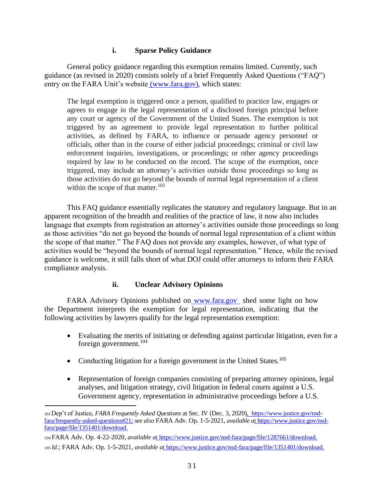## **i. Sparse Policy Guidance**

General policy guidance regarding this exemption remains limited. Currently, such guidance (as revised in 2020) consists solely of a brief Frequently Asked Questions ("FAQ") entry on the FARA Unit's website [\(www.fara.gov\)](http://www.fara.gov/), which states:

The legal exemption is triggered once a person, qualified to practice law, engages or agrees to engage in the legal representation of a disclosed foreign principal before any court or agency of the Government of the United States. The exemption is not triggered by an agreement to provide legal representation to further political activities, as defined by FARA, to influence or persuade agency personnel or officials, other than in the course of either judicial proceedings; criminal or civil law enforcement inquiries, investigations, or proceedings; or other agency proceedings required by law to be conducted on the record. The scope of the exemption, once triggered, may include an attorney's activities outside those proceedings so long as those activities do not go beyond the bounds of normal legal representation of a client within the scope of that matter.<sup>103</sup>

This FAQ guidance essentially replicates the statutory and regulatory language. But in an apparent recognition of the breadth and realities of the practice of law, it now also includes language that exempts from registration an attorney's activities outside those proceedings so long as those activities "do not go beyond the bounds of normal legal representation of a client within the scope of that matter." The FAQ does not provide any examples, however, of what type of activities would be "beyond the bounds of normal legal representation." Hence, while the revised guidance is welcome, it still falls short of what DOJ could offer attorneys to inform their FARA compliance analysis.

#### **ii. Unclear Advisory Opinions**

FARA Advisory Opinions published on [www.fara.gov](http://www.fara.gov/) shed some light on how the Department interprets the exemption for legal representation, indicating that the following activities by lawyers qualify for the legal representation exemption:

- Evaluating the merits of initiating or defending against particular litigation, even for a foreign government.<sup>104</sup>
- Conducting litigation for a foreign government in the United States.<sup>105</sup>
- Representation of foreign companies consisting of preparing attorney opinions, legal analyses, and litigation strategy, civil litigation in federal courts against a U.S. Government agency, representation in administrative proceedings before a U.S.

<sup>103</sup>Dep't of Justice*, FARA Frequently Asked Questions* at Sec. IV (Dec. 3, 2020[\),](https://www.justice.gov/nsd-fara/frequently-asked-questions#21) [https://www.justice.gov/nsd](https://see/)[fara/frequently-asked-questions#21;](https://see/) *see also* FARA Adv. Op. 1-5-2021, *available [at](https://www.justice.gov/nsd-fara/page/file/1351401/download)* https://www.justice.gov/nsdfara/page/file/1351401/download.

<sup>104</sup>FARA Adv. Op. 4-22-2020, *available [at](https://www.justice.gov/nsd-fara/page/file/1287661/download)* https://www.justice.gov/nsd-fara/page/file/1287661/download. <sup>105</sup>*Id.*; FARA Adv. Op. 1-5-2021, *available [at](https://www.justice.gov/nsd-fara/page/file/1351401/download)* https://www.justice.gov/nsd-fara/page/file/1351401/download.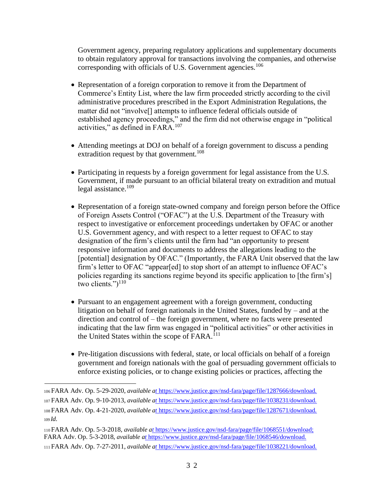Government agency, preparing regulatory applications and supplementary documents to obtain regulatory approval for transactions involving the companies, and otherwise corresponding with officials of U.S. Government agencies.<sup>106</sup>

- Representation of a foreign corporation to remove it from the Department of Commerce's Entity List, where the law firm proceeded strictly according to the civil administrative procedures prescribed in the Export Administration Regulations, the matter did not "involve[] attempts to influence federal officials outside of established agency proceedings," and the firm did not otherwise engage in "political activities," as defined in FARA.<sup>107</sup>
- Attending meetings at DOJ on behalf of a foreign government to discuss a pending extradition request by that government.<sup>108</sup>
- Participating in requests by a foreign government for legal assistance from the U.S. Government, if made pursuant to an official bilateral treaty on extradition and mutual legal assistance.<sup>109</sup>
- Representation of a foreign state-owned company and foreign person before the Office of Foreign Assets Control ("OFAC") at the U.S. Department of the Treasury with respect to investigative or enforcement proceedings undertaken by OFAC or another U.S. Government agency, and with respect to a letter request to OFAC to stay designation of the firm's clients until the firm had "an opportunity to present responsive information and documents to address the allegations leading to the [potential] designation by OFAC." (Importantly, the FARA Unit observed that the law firm's letter to OFAC "appear[ed] to stop short of an attempt to influence OFAC's policies regarding its sanctions regime beyond its specific application to [the firm's] two clients." $)^{110}$
- Pursuant to an engagement agreement with a foreign government, conducting litigation on behalf of foreign nationals in the United States, funded by – and at the direction and control of – the foreign government, where no facts were presented indicating that the law firm was engaged in "political activities" or other activities in the United States within the scope of FARA.<sup>111</sup>
- Pre-litigation discussions with federal, state, or local officials on behalf of a foreign government and foreign nationals with the goal of persuading government officials to enforce existing policies, or to change existing policies or practices, affecting the

<sup>110</sup>FARA Adv. Op. 5-3-2018, *available [at](https://www.justice.gov/nsd-fara/page/file/1068551/download)* [https://www.justice.gov/nsd-fara/page/file/1068551/download;](https://fara/) FARA Adv. Op. 5-3-2018, *available [at](https://www.justice.gov/nsd-fara/page/file/1068546/download)* https://www.justice.gov/nsd-fara/page/file/1068546/download. <sup>111</sup>FARA Adv. Op. 7-27-2011, *available [at](https://www.justice.gov/nsd-fara/page/file/1038221/download)* https://www.justice.gov/nsd-fara/page/file/1038221/download.

<sup>106</sup>FARA Adv. Op. 5-29-2020, *available [at](https://www.justice.gov/nsd-fara/page/file/1287666/download)* https://www.justice.gov/nsd-fara/page/file/1287666/download. <sup>107</sup>FARA Adv. Op. 9-10-2013, *available [at](https://www.justice.gov/nsd-fara/page/file/1038231/download)* https://www.justice.gov/nsd-fara/page/file/1038231/download. <sup>108</sup>FARA Adv. Op. 4-21-2020, *available [at](https://www.justice.gov/nsd-fara/page/file/1287671/download)* https://www.justice.gov/nsd-fara/page/file/1287671/download. <sup>109</sup>*Id*.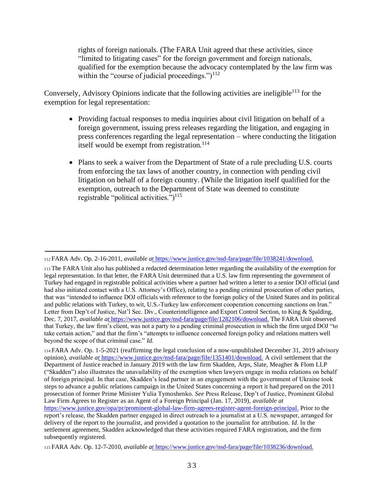rights of foreign nationals. (The FARA Unit agreed that these activities, since "limited to litigating cases" for the foreign government and foreign nationals, qualified for the exemption because the advocacy contemplated by the law firm was within the "course of judicial proceedings.")<sup>112</sup>

Conversely, Advisory Opinions indicate that the following activities are ineligible<sup>113</sup> for the exemption for legal representation:

- Providing factual responses to media inquiries about civil litigation on behalf of a foreign government, issuing press releases regarding the litigation, and engaging in press conferences regarding the legal representation – where conducting the litigation itself would be exempt from registration.<sup>114</sup>
- Plans to seek a waiver from the Department of State of a rule precluding U.S. courts from enforcing the tax laws of another country, in connection with pending civil litigation on behalf of a foreign country. (While the litigation itself qualified for the exemption, outreach to the Department of State was deemed to constitute registrable "political activities.") $115$

<sup>114</sup>FARA Adv. Op. 1-5-2021 (reaffirming the legal conclusion of a now-unpublished December 31, 2019 advisory opinion), *available [at](https://www.justice.gov/nsd-fara/page/file/1351401/download)* [https://www.justice.gov/nsd-fara/page/file/1351401/download.](https://acivil/) A civil settlement that the Department of Justice reached in January 2019 with the law firm Skadden, Arps, Slate, Meagher & Flom LLP ("Skadden") also illustrates the unavailability of the exemption when lawyers engage in media relations on behalf of foreign principal. In that case, Skadden's lead partner in an engagement with the government of Ukraine took steps to advance a public relations campaign in the United States concerning a report it had prepared on the 2011 prosecution of former Prime Minister Yulia Tymoshenko. *See* Press Release, Dep't of Justice, Prominent Global Law Firm Agrees to Register as an Agent of a Foreign Principal (Jan. 17, 2019), *available at*  [https://www.justice.gov/opa/pr/prominent-global-law-firm-agrees-register-agent-foreign-principal.](https://www.justice.gov/opa/pr/prominent-global-law-firm-agrees-register-agent-foreign-principal) Prior to the

report's release, the Skadden partner engaged in direct outreach to a journalist at a U.S. newspaper, arranged for delivery of the report to the journalist, and provided a quotation to the journalist for attribution. *Id*. In the settlement agreement, Skadden acknowledged that these activities required FARA registration, and the firm subsequently registered.

<sup>112</sup>FARA Adv. Op. 2-16-2011, *available [at](https://www.justice.gov/nsd-fara/page/file/1038241/download)* https://www.justice.gov/nsd-fara/page/file/1038241/download.

<sup>113</sup>The FARA Unit also has published a redacted determination letter regarding the availability of the exemption for legal representation. In that letter, the FARA Unit determined that a U.S. law firm representing the government of Turkey had engaged in registrable political activities where a partner had written a letter to a senior DOJ official (and had also initiated contact with a U.S. Attorney's Office), relating to a pending criminal prosecution of other parties, that was "intended to influence DOJ officials with reference to the foreign policy of the United States and its political and public relations with Turkey, to wit, U.S.-Turkey law enforcement cooperation concerning sanctions on Iran." Letter from Dep't of Justice, Nat'l Sec. Div., Counterintelligence and Export Control Section, to King & Spalding, Dec. 7, 2017, *available [at](https://www.justice.gov/nsd-fara/page/file/1282106/download)* [https://www.justice.gov/nsd-fara/page/file/1282106/download.](https://the/) The FARA Unit observed that Turkey, the law firm's client, was not a party to a pending criminal prosecution in which the firm urged DOJ "to take certain action," and that the firm's "attempts to influence concerned foreign policy and relations matters well beyond the scope of that criminal case." *Id*.

<sup>115</sup>FARA Adv. Op. 12-7-2010, *available [at](https://www.justice.gov/nsd-fara/page/file/1038236/download)* https://www.justice.gov/nsd-fara/page/file/1038236/download.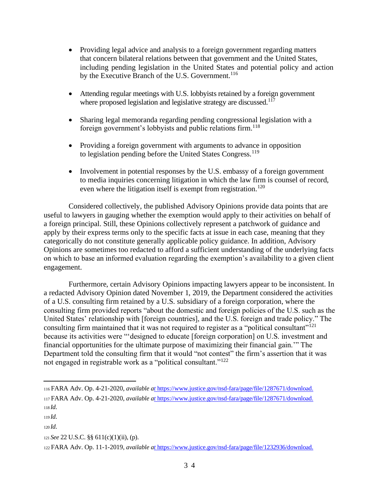- Providing legal advice and analysis to a foreign government regarding matters that concern bilateral relations between that government and the United States, including pending legislation in the United States and potential policy and action by the Executive Branch of the U.S. Government.<sup>116</sup>
- Attending regular meetings with U.S. lobbyists retained by a foreign government where proposed legislation and legislative strategy are discussed. $117$
- Sharing legal memoranda regarding pending congressional legislation with a foreign government's lobbyists and public relations firm.<sup>118</sup>
- Providing a foreign government with arguments to advance in opposition to legislation pending before the United States Congress.<sup>119</sup>
- Involvement in potential responses by the U.S. embassy of a foreign government to media inquiries concerning litigation in which the law firm is counsel of record, even where the litigation itself is exempt from registration.<sup>120</sup>

Considered collectively, the published Advisory Opinions provide data points that are useful to lawyers in gauging whether the exemption would apply to their activities on behalf of a foreign principal. Still, these Opinions collectively represent a patchwork of guidance and apply by their express terms only to the specific facts at issue in each case, meaning that they categorically do not constitute generally applicable policy guidance. In addition, Advisory Opinions are sometimes too redacted to afford a sufficient understanding of the underlying facts on which to base an informed evaluation regarding the exemption's availability to a given client engagement.

Furthermore, certain Advisory Opinions impacting lawyers appear to be inconsistent. In a redacted Advisory Opinion dated November 1, 2019, the Department considered the activities of a U.S. consulting firm retained by a U.S. subsidiary of a foreign corporation, where the consulting firm provided reports "about the domestic and foreign policies of the U.S. such as the United States' relationship with [foreign countries], and the U.S. foreign and trade policy." The consulting firm maintained that it was not required to register as a "political consultant"<sup>121</sup> because its activities were "'designed to educate [foreign corporation] on U.S. investment and financial opportunities for the ultimate purpose of maximizing their financial gain.'" The Department told the consulting firm that it would "not contest" the firm's assertion that it was not engaged in registrable work as a "political consultant."<sup>122</sup>

<sup>116</sup>FARA Adv. Op. 4-21-2020, *available [at](https://www.justice.gov/nsd-fara/page/file/1287671/download)* https://www.justice.gov/nsd-fara/page/file/1287671/download. <sup>117</sup>FARA Adv. Op. 4-21-2020, *available [at](https://www.justice.gov/nsd-fara/page/file/1287671/download)* https://www.justice.gov/nsd-fara/page/file/1287671/download. <sup>118</sup>*Id*.

<sup>119</sup>*Id*.

<sup>120</sup>*Id*.

<sup>121</sup>*See* 22 U.S.C. §§ 611(c)(1)(ii), (p).

<sup>122</sup>FARA Adv. Op. 11-1-2019, *available [at](https://www.justice.gov/nsd-fara/page/file/1232936/download)* https://www.justice.gov/nsd-fara/page/file/1232936/download.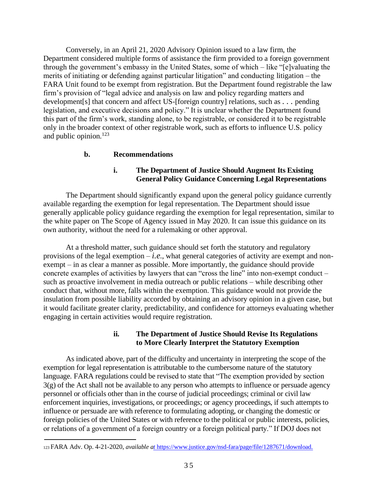Conversely, in an April 21, 2020 Advisory Opinion issued to a law firm, the Department considered multiple forms of assistance the firm provided to a foreign government through the government's embassy in the United States, some of which – like "[e]valuating the merits of initiating or defending against particular litigation" and conducting litigation – the FARA Unit found to be exempt from registration. But the Department found registrable the law firm's provision of "legal advice and analysis on law and policy regarding matters and development[s] that concern and affect US-[foreign country] relations, such as *. . .* pending legislation, and executive decisions and policy." It is unclear whether the Department found this part of the firm's work, standing alone, to be registrable, or considered it to be registrable only in the broader context of other registrable work, such as efforts to influence U.S. policy and public opinion.<sup>123</sup>

#### **b. Recommendations**

#### **i. The Department of Justice Should Augment Its Existing General Policy Guidance Concerning Legal Representations**

The Department should significantly expand upon the general policy guidance currently available regarding the exemption for legal representation. The Department should issue generally applicable policy guidance regarding the exemption for legal representation, similar to the white paper on The Scope of Agency issued in May 2020. It can issue this guidance on its own authority, without the need for a rulemaking or other approval.

At a threshold matter, such guidance should set forth the statutory and regulatory provisions of the legal exemption  $-i.e.,$  what general categories of activity are exempt and nonexempt – in as clear a manner as possible. More importantly, the guidance should provide concrete examples of activities by lawyers that can "cross the line" into non-exempt conduct – such as proactive involvement in media outreach or public relations – while describing other conduct that, without more, falls within the exemption. This guidance would not provide the insulation from possible liability accorded by obtaining an advisory opinion in a given case, but it would facilitate greater clarity, predictability, and confidence for attorneys evaluating whether engaging in certain activities would require registration.

#### **ii. The Department of Justice Should Revise Its Regulations to More Clearly Interpret the Statutory Exemption**

As indicated above, part of the difficulty and uncertainty in interpreting the scope of the exemption for legal representation is attributable to the cumbersome nature of the statutory language. FARA regulations could be revised to state that "The exemption provided by section 3(g) of the Act shall not be available to any person who attempts to influence or persuade agency personnel or officials other than in the course of judicial proceedings; criminal or civil law enforcement inquiries, investigations, or proceedings; or agency proceedings, if such attempts to influence or persuade are with reference to formulating adopting, or changing the domestic or foreign policies of the United States or with reference to the political or public interests, policies, or relations of a government of a foreign country or a foreign political party." If DOJ does not

<sup>123</sup>FARA Adv. Op. 4-21-2020, *available [at](https://www.justice.gov/nsd-fara/page/file/1287671/download)* https://www.justice.gov/nsd-fara/page/file/1287671/download.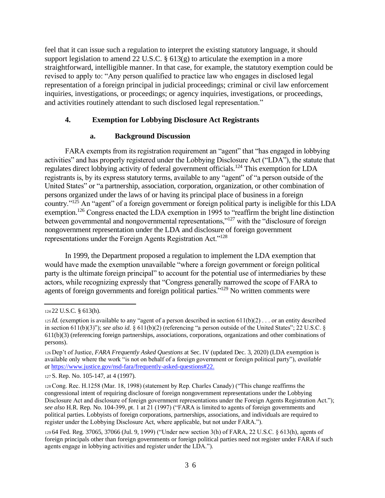feel that it can issue such a regulation to interpret the existing statutory language, it should support legislation to amend 22 U.S.C. § 613(g) to articulate the exemption in a more straightforward, intelligible manner. In that case, for example, the statutory exemption could be revised to apply to: "Any person qualified to practice law who engages in disclosed legal representation of a foreign principal in judicial proceedings; criminal or civil law enforcement inquiries, investigations, or proceedings; or agency inquiries, investigations, or proceedings, and activities routinely attendant to such disclosed legal representation."

## **4. Exemption for Lobbying Disclosure Act Registrants**

## **a. Background Discussion**

FARA exempts from its registration requirement an "agent" that "has engaged in lobbying activities" and has properly registered under the Lobbying Disclosure Act ("LDA"), the statute that regulates direct lobbying activity of federal government officials.<sup>124</sup> This exemption for LDA registrants is, by its express statutory terms, available to any "agent" of "a person outside of the United States" or "a partnership, association, corporation, organization, or other combination of persons organized under the laws of or having its principal place of business in a foreign country."<sup>125</sup> An "agent" of a foreign government or foreign political party is ineligible for this LDA exemption.<sup>126</sup> Congress enacted the LDA exemption in 1995 to "reaffirm the bright line distinction between governmental and nongovernmental representations,"<sup>127</sup> with the "disclosure of foreign nongovernment representation under the LDA and disclosure of foreign government representations under the Foreign Agents Registration Act."<sup>128</sup>

In 1999, the Department proposed a regulation to implement the LDA exemption that would have made the exemption unavailable "where a foreign government or foreign political party is the ultimate foreign principal" to account for the potential use of intermediaries by these actors, while recognizing expressly that "Congress generally narrowed the scope of FARA to agents of foreign governments and foreign political parties."<sup>129</sup> No written comments were

<sup>124</sup>22 U.S.C. § 613(h).

 $125$ *Id.* (exemption is available to any "agent of a person described in section  $611(b)(2)$ ... or an entity described in section 611(b)(3)"); *see also id.* § 611(b)(2) (referencing "a person outside of the United States"; 22 U.S.C. § 611(b)(3) (referencing foreign partnerships, associations, corporations, organizations and other combinations of persons).

<sup>126</sup>Dep't of Justice, *FARA Frequently Asked Questions* at Sec. IV (updated Dec. 3, 2020) (LDA exemption is available only where the work "is not on behalf of a foreign government or foreign political party"), *available at* [https://www.justice.gov/nsd-fara/frequently-asked-questions#22.](https://www.justice.gov/nsd-fara/frequently-asked-questions#22)

<sup>127</sup>S. Rep. No. 105-147, at 4 (1997).

<sup>128</sup>Cong. Rec. H.1258 (Mar. 18, 1998) (statement by Rep. Charles Canady) ("This change reaffirms the congressional intent of requiring disclosure of foreign nongovernment representations under the Lobbying Disclosure Act and disclosure of foreign government representations under the Foreign Agents Registration Act."); *see also* H.R. Rep. No. 104-399, pt. 1 at 21 (1997) ("FARA is limited to agents of foreign governments and political parties. Lobbyists of foreign corporations, partnerships, associations, and individuals are required to register under the Lobbying Disclosure Act, where applicable, but not under FARA.").

<sup>129</sup>64 Fed. Reg. 37065, 37066 (Jul. 9, 1999) ("Under new section 3(h) of FARA, 22 U.S.C. § 613(h), agents of foreign principals other than foreign governments or foreign political parties need not register under FARA if such agents engage in lobbying activities and register under the LDA.").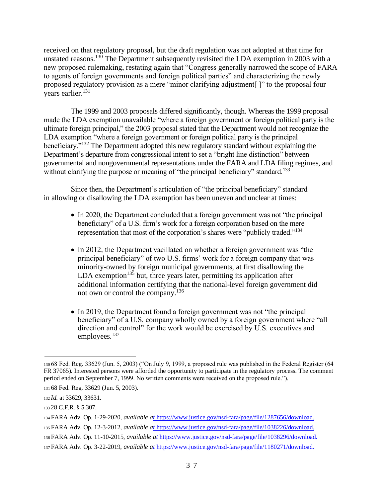received on that regulatory proposal, but the draft regulation was not adopted at that time for unstated reasons.<sup>130</sup> The Department subsequently revisited the LDA exemption in 2003 with a new proposed rulemaking, restating again that "Congress generally narrowed the scope of FARA to agents of foreign governments and foreign political parties" and characterizing the newly proposed regulatory provision as a mere "minor clarifying adjustment[ ]" to the proposal four years earlier.<sup>131</sup>

The 1999 and 2003 proposals differed significantly, though. Whereas the 1999 proposal made the LDA exemption unavailable "where a foreign government or foreign political party is the ultimate foreign principal," the 2003 proposal stated that the Department would not recognize the LDA exemption "where a foreign government or foreign political party is the principal beneficiary."<sup>132</sup> The Department adopted this new regulatory standard without explaining the Department's departure from congressional intent to set a "bright line distinction" between governmental and nongovernmental representations under the FARA and LDA filing regimes, and without clarifying the purpose or meaning of "the principal beneficiary" standard.<sup>133</sup>

Since then, the Department's articulation of "the principal beneficiary" standard in allowing or disallowing the LDA exemption has been uneven and unclear at times:

- In 2020, the Department concluded that a foreign government was not "the principal" beneficiary" of a U.S. firm's work for a foreign corporation based on the mere representation that most of the corporation's shares were "publicly traded."<sup>134</sup>
- In 2012, the Department vacillated on whether a foreign government was "the principal beneficiary" of two U.S. firms' work for a foreign company that was minority-owned by foreign municipal governments, at first disallowing the LDA exemption $135$  but, three years later, permitting its application after additional information certifying that the national-level foreign government did not own or control the company.<sup>136</sup>
- In 2019, the Department found a foreign government was not "the principal" beneficiary" of a U.S. company wholly owned by a foreign government where "all direction and control" for the work would be exercised by U.S. executives and employees.<sup>137</sup>

<sup>130</sup>68 Fed. Reg. 33629 (Jun. 5, 2003) ("On July 9, 1999, a proposed rule was published in the Federal Register (64 FR 37065). Interested persons were afforded the opportunity to participate in the regulatory process. The comment period ended on September 7, 1999. No written comments were received on the proposed rule.").

<sup>131</sup>68 Fed. Reg. 33629 (Jun. 5, 2003).

<sup>132</sup>*Id.* at 33629, 33631.

<sup>133</sup>28 C.F.R. § 5.307.

<sup>134</sup>FARA Adv. Op. 1-29-2020, *available [at](https://www.justice.gov/nsd-fara/page/file/1287656/download)* https://www.justice.gov/nsd-fara/page/file/1287656/download.

<sup>135</sup>FARA Adv. Op. 12-3-2012, *available [at](https://www.justice.gov/nsd-fara/page/file/1038226/download)* https://www.justice.gov/nsd-fara/page/file/1038226/download.

<sup>136</sup>FARA Adv. Op. 11-10-2015, *available [at](https://www.justice.gov/nsd-fara/page/file/1038296/download)* https://www.justice.gov/nsd-fara/page/file/1038296/download.

<sup>137</sup>FARA Adv. Op. 3-22-2019, *available [at](https://www.justice.gov/nsd-fara/page/file/1180271/download)* https://www.justice.gov/nsd-fara/page/file/1180271/download.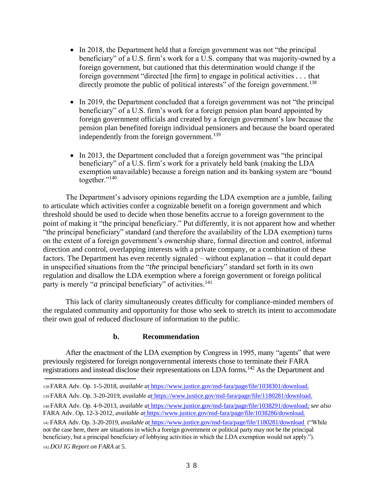- In 2018, the Department held that a foreign government was not "the principal beneficiary" of a U.S. firm's work for a U.S. company that was majority-owned by a foreign government, but cautioned that this determination would change if the foreign government "directed [the firm] to engage in political activities *. . .* that directly promote the public of political interests" of the foreign government.<sup>138</sup>
- In 2019, the Department concluded that a foreign government was not "the principal" beneficiary" of a U.S. firm's work for a foreign pension plan board appointed by foreign government officials and created by a foreign government's law because the pension plan benefited foreign individual pensioners and because the board operated independently from the foreign government.<sup>139</sup>
- In 2013, the Department concluded that a foreign government was "the principal" beneficiary" of a U.S. firm's work for a privately held bank (making the LDA exemption unavailable) because a foreign nation and its banking system are "bound together."<sup>140</sup>

The Department's advisory opinions regarding the LDA exemption are a jumble, failing to articulate which activities confer a cognizable benefit on a foreign government and which threshold should be used to decide when those benefits accrue to a foreign government to the point of making it "the principal beneficiary." Put differently, it is not apparent how and whether "the principal beneficiary" standard (and therefore the availability of the LDA exemption) turns on the extent of a foreign government's ownership share, formal direction and control, informal direction and control, overlapping interests with a private company, or a combination of these factors. The Department has even recently signaled – without explanation -- that it could depart in unspecified situations from the "*the* principal beneficiary" standard set forth in its own regulation and disallow the LDA exemption where a foreign government or foreign political party is merely "*a* principal beneficiary" of activities.<sup>141</sup>

This lack of clarity simultaneously creates difficulty for compliance-minded members of the regulated community and opportunity for those who seek to stretch its intent to accommodate their own goal of reduced disclosure of information to the public.

#### **b. Recommendation**

After the enactment of the LDA exemption by Congress in 1995, many "agents" that were previously registered for foreign nongovernmental interests chose to terminate their FARA registrations and instead disclose their representations on LDA forms.<sup>142</sup> As the Department and

<sup>142</sup>*DOJ IG Report on FARA* at 5.

<sup>138</sup>FARA Adv. Op. 1-5-2018, *available [at](https://www.justice.gov/nsd-fara/page/file/1038301/download)* https://www.justice.gov/nsd-fara/page/file/1038301/download.

<sup>139</sup>FARA Adv. Op. 3-20-2019, *available [at](https://www.justice.gov/nsd-fara/page/file/1180281/download)* https://www.justice.gov/nsd-fara/page/file/1180281/download.

<sup>140</sup>FARA Adv. Op. 4-9-2013, *available [at](https://www.justice.gov/nsd-fara/page/file/1038291/download)* [https://www.justice.gov/nsd-fara/page/file/1038291/download;](https://see/) *see also*  FARA Adv. Op. 12-3-2012, *available [at](https://www.justice.gov/nsd-fara/page/file/1038286/download)* https://www.justice.gov/nsd-fara/page/file/1038286/download.

<sup>141</sup>FARA Adv. Op. 3-20-2019, *available [at](https://www.justice.gov/nsd-fara/page/file/1180281/download)* https://www.justice.gov/nsd-fara/page/file/1180281/download ("While not the case here, there are situations in which a foreign government or political party may not be the principal beneficiary, but a principal beneficiary of lobbying activities in which the LDA exemption would not apply.").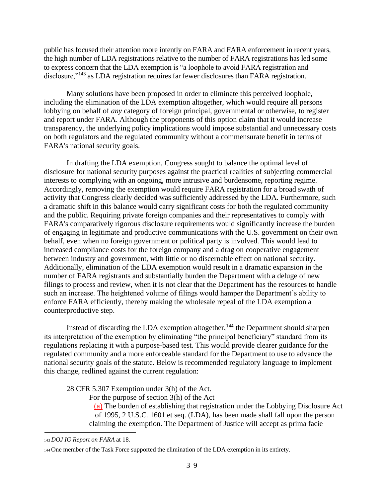public has focused their attention more intently on FARA and FARA enforcement in recent years, the high number of LDA registrations relative to the number of FARA registrations has led some to express concern that the LDA exemption is "a loophole to avoid FARA registration and disclosure,"<sup>143</sup> as LDA registration requires far fewer disclosures than FARA registration.

Many solutions have been proposed in order to eliminate this perceived loophole, including the elimination of the LDA exemption altogether, which would require all persons lobbying on behalf of *any* category of foreign principal, governmental or otherwise, to register and report under FARA. Although the proponents of this option claim that it would increase transparency, the underlying policy implications would impose substantial and unnecessary costs on both regulators and the regulated community without a commensurate benefit in terms of FARA's national security goals.

In drafting the LDA exemption, Congress sought to balance the optimal level of disclosure for national security purposes against the practical realities of subjecting commercial interests to complying with an ongoing, more intrusive and burdensome, reporting regime. Accordingly, removing the exemption would require FARA registration for a broad swath of activity that Congress clearly decided was sufficiently addressed by the LDA. Furthermore, such a dramatic shift in this balance would carry significant costs for both the regulated community and the public. Requiring private foreign companies and their representatives to comply with FARA's comparatively rigorous disclosure requirements would significantly increase the burden of engaging in legitimate and productive communications with the U.S. government on their own behalf, even when no foreign government or political party is involved. This would lead to increased compliance costs for the foreign company and a drag on cooperative engagement between industry and government, with little or no discernable effect on national security. Additionally, elimination of the LDA exemption would result in a dramatic expansion in the number of FARA registrants and substantially burden the Department with a deluge of new filings to process and review, when it is not clear that the Department has the resources to handle such an increase. The heightened volume of filings would hamper the Department's ability to enforce FARA efficiently, thereby making the wholesale repeal of the LDA exemption a counterproductive step.

Instead of discarding the LDA exemption altogether, $144$  the Department should sharpen its interpretation of the exemption by eliminating "the principal beneficiary" standard from its regulations replacing it with a purpose-based test. This would provide clearer guidance for the regulated community and a more enforceable standard for the Department to use to advance the national security goals of the statute. Below is recommended regulatory language to implement this change, redlined against the current regulation:

28 CFR 5.307 Exemption under 3(h) of the Act.

For the purpose of section 3(h) of the Act—

(a) The burden of establishing that registration under the Lobbying Disclosure Act of 1995, 2 U.S.C. 1601 et seq. (LDA), has been made shall fall upon the person claiming the exemption. The Department of Justice will accept as prima facie

<sup>143</sup>*DOJ IG Report on FARA* at 18.

<sup>144</sup>One member of the Task Force supported the elimination of the LDA exemption in its entirety.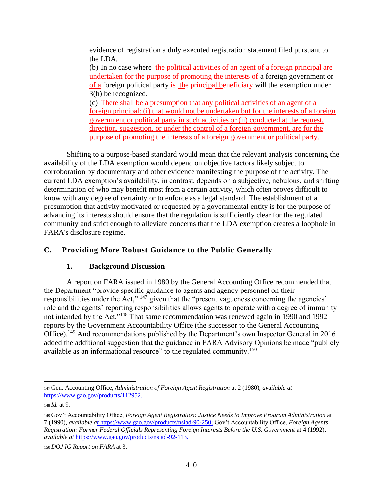evidence of registration a duly executed registration statement filed pursuant to the LDA.

(b) In no case where the political activities of an agent of a foreign principal are undertaken for the purpose of promoting the interests of a foreign government or of a foreign political party is the principal beneficiary will the exemption under 3(h) be recognized.

(c) There shall be a presumption that any political activities of an agent of a foreign principal: (i) that would not be undertaken but for the interests of a foreign government or political party in such activities or (ii) conducted at the request, direction, suggestion, or under the control of a foreign government, are for the purpose of promoting the interests of a foreign government or political party.

Shifting to a purpose-based standard would mean that the relevant analysis concerning the availability of the LDA exemption would depend on objective factors likely subject to corroboration by documentary and other evidence manifesting the purpose of the activity. The current LDA exemption's availability, in contrast, depends on a subjective, nebulous, and shifting determination of who may benefit most from a certain activity, which often proves difficult to know with any degree of certainty or to enforce as a legal standard. The establishment of a presumption that activity motivated or requested by a governmental entity is for the purpose of advancing its interests should ensure that the regulation is sufficiently clear for the regulated community and strict enough to alleviate concerns that the LDA exemption creates a loophole in FARA's disclosure regime.

## **C. Providing More Robust Guidance to the Public Generally**

## **1. Background Discussion**

A report on FARA issued in 1980 by the General Accounting Office recommended that the Department "provide specific guidance to agents and agency personnel on their responsibilities under the Act,"  $147$  given that the "present vagueness concerning the agencies' role and the agents' reporting responsibilities allows agents to operate with a degree of immunity not intended by the Act."<sup>148</sup> That same recommendation was renewed again in 1990 and 1992 reports by the Government Accountability Office (the successor to the General Accounting Office).<sup>149</sup> And recommendations published by the Department's own Inspector General in 2016 added the additional suggestion that the guidance in FARA Advisory Opinions be made "publicly available as an informational resource" to the regulated community.<sup>150</sup>

<sup>147</sup>Gen. Accounting Office, *Administration of Foreign Agent Registration* at 2 (1980), *available at*  [https://www.gao.gov/products/112952.](https://www.gao.gov/products/112952)

<sup>148</sup>*Id.* at 9.

<sup>149</sup>Gov't Accountability Office, *Foreign Agent Registration: Justice Needs to Improve Program Administration* at 7 (1990), *available [at](https://www.gao.gov/products/nsiad-90-250)* [https://www.gao.gov/products/nsiad-90-250;](https://gov/) Gov't Accountability Office, *Foreign Agents Registration: Former Federal Officials Representing Foreign Interests Before the U.S. Government* at 4 (1992), *available [at](https://www.gao.gov/products/nsiad-92-113)* https://www.gao.gov/products/nsiad-92-113.

<sup>150</sup>*DOJ IG Report on FARA* at 3.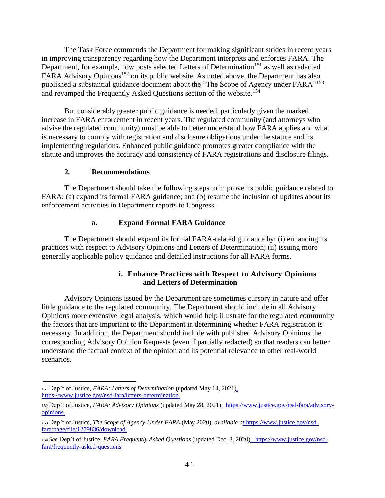The Task Force commends the Department for making significant strides in recent years in improving transparency regarding how the Department interprets and enforces FARA. The Department, for example, now posts selected Letters of Determination<sup>151</sup> as well as redacted FARA Advisory Opinions<sup>152</sup> on its public website. As noted above, the Department has also published a substantial guidance document about the "The Scope of Agency under FARA"<sup>153</sup> and revamped the Frequently Asked Questions section of the website.<sup>154</sup>

But considerably greater public guidance is needed, particularly given the marked increase in FARA enforcement in recent years. The regulated community (and attorneys who advise the regulated community) must be able to better understand how FARA applies and what is necessary to comply with registration and disclosure obligations under the statute and its implementing regulations. Enhanced public guidance promotes greater compliance with the statute and improves the accuracy and consistency of FARA registrations and disclosure filings.

#### **2. Recommendations**

The Department should take the following steps to improve its public guidance related to FARA: (a) expand its formal FARA guidance; and (b) resume the inclusion of updates about its enforcement activities in Department reports to Congress.

#### **a. Expand Formal FARA Guidance**

The Department should expand its formal FARA-related guidance by: (i) enhancing its practices with respect to Advisory Opinions and Letters of Determination; (ii) issuing more generally applicable policy guidance and detailed instructions for all FARA forms.

## **i. Enhance Practices with Respect to Advisory Opinions and Letters of Determination**

Advisory Opinions issued by the Department are sometimes cursory in nature and offer little guidance to the regulated community. The Department should include in all Advisory Opinions more extensive legal analysis, which would help illustrate for the regulated community the factors that are important to the Department in determining whether FARA registration is necessary. In addition, the Department should include with published Advisory Opinions the corresponding Advisory Opinion Requests (even if partially redacted) so that readers can better understand the factual context of the opinion and its potential relevance to other real-world scenarios.

<sup>151</sup>Dep't of Justice, *FARA: Letters of Determination* (updated May 14, 2021[\),](https://www.justice.gov/nsd-fara/letters-determination) [https://www.justice.gov/nsd-fara/letters-determination.](https://www.justice.gov/nsd-fara/letters-determination)

<sup>152</sup>Dep't of Justice, *FARA: Advisory Opinions* (updated May 28, 2021[\),](https://www.justice.gov/nsd-fara/advisory-opinions) [https://www.justice.gov/nsd-fara/advisory](https://www.justice.gov/nsd-fara/advisory-opinions)[opinions.](https://www.justice.gov/nsd-fara/advisory-opinions)

<sup>153</sup>Dep't of Justice, *The Scope of Agency Under FARA* (May 2020), *available [at](https://www.justice.gov/nsd-fara/page/file/1279836/download)* https://www.justice.gov/nsdfara/page/file/1279836/download.

<sup>154</sup>*See* Dep't of Justice, *FARA Frequently Asked Questions* (updated Dec. 3, 2020[\),](https://www.justice.gov/nsd-fara/frequently-asked-questions) [https://www.justice.gov/nsd](https://www.justice.gov/nsd-fara/frequently-asked-questions)[fara/frequently-asked-questions](https://www.justice.gov/nsd-fara/frequently-asked-questions)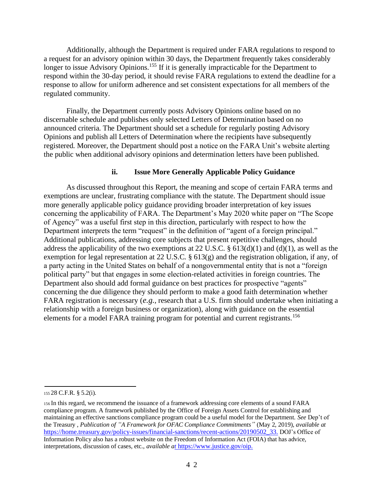Additionally, although the Department is required under FARA regulations to respond to a request for an advisory opinion within 30 days, the Department frequently takes considerably longer to issue Advisory Opinions.<sup>155</sup> If it is generally impracticable for the Department to respond within the 30-day period, it should revise FARA regulations to extend the deadline for a response to allow for uniform adherence and set consistent expectations for all members of the regulated community.

Finally, the Department currently posts Advisory Opinions online based on no discernable schedule and publishes only selected Letters of Determination based on no announced criteria. The Department should set a schedule for regularly posting Advisory Opinions and publish all Letters of Determination where the recipients have subsequently registered. Moreover, the Department should post a notice on the FARA Unit's website alerting the public when additional advisory opinions and determination letters have been published.

#### **ii. Issue More Generally Applicable Policy Guidance**

As discussed throughout this Report, the meaning and scope of certain FARA terms and exemptions are unclear, frustrating compliance with the statute. The Department should issue more generally applicable policy guidance providing broader interpretation of key issues concerning the applicability of FARA. The Department's May 2020 white paper on "The Scope of Agency" was a useful first step in this direction, particularly with respect to how the Department interprets the term "request" in the definition of "agent of a foreign principal." Additional publications, addressing core subjects that present repetitive challenges, should address the applicability of the two exemptions at 22 U.S.C.  $\S$  613(d)(1) and (d)(1), as well as the exemption for legal representation at 22 U.S.C. § 613(g) and the registration obligation, if any, of a party acting in the United States on behalf of a nongovernmental entity that is not a "foreign political party" but that engages in some election-related activities in foreign countries. The Department also should add formal guidance on best practices for prospective "agents" concerning the due diligence they should perform to make a good faith determination whether FARA registration is necessary (*e.g.*, research that a U.S. firm should undertake when initiating a relationship with a foreign business or organization), along with guidance on the essential elements for a model FARA training program for potential and current registrants.<sup>156</sup>

<sup>155</sup>28 C.F.R. § 5.2(i).

<sup>156</sup>In this regard, we recommend the issuance of a framework addressing core elements of a sound FARA compliance program. A framework published by the Office of Foreign Assets Control for establishing and maintaining an effective sanctions compliance program could be a useful model for the Department. *See* Dep't of the Treasury , *Publication of "A Framework for OFAC Compliance Commitments"* (May 2, 2019), *available at*  [https://home.treasury.gov/policy-issues/financial-sanctions/recent-actions/20190502\\_33.](https://home.treasury.gov/policy-issues/financial-sanctions/recent-actions/20190502_33) DOJ's Office of Information Policy also has a robust website on the Freedom of Information Act (FOIA) that has advice, interpretations, discussion of cases, etc., *available [at](https://www.justice.gov/oip)* https://www.justice.gov/oip.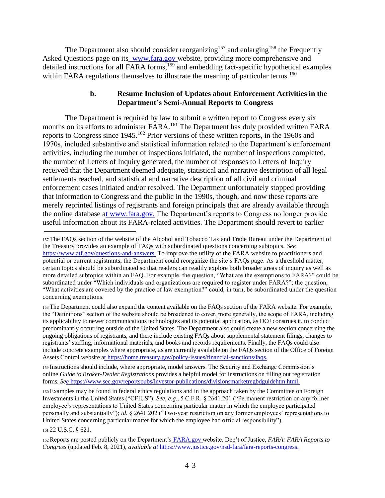The Department also should consider reorganizing<sup>157</sup> and enlarging<sup>158</sup> the Frequently Asked Questions page on its\_[www.fara.gov](http://www.fara.gov/)\_website, providing more comprehensive and detailed instructions for all FARA forms,<sup>159</sup> and embedding fact-specific hypothetical examples within FARA regulations themselves to illustrate the meaning of particular terms.<sup>160</sup>

#### **b. Resume Inclusion of Updates about Enforcement Activities in the Department's Semi-Annual Reports to Congress**

The Department is required by law to submit a written report to Congress every six months on its efforts to administer FARA.<sup>161</sup> The Department has duly provided written FARA reports to Congress since 1945.<sup>162</sup> Prior versions of these written reports, in the 1960s and 1970s, included substantive and statistical information related to the Department's enforcement activities, including the number of inspections initiated, the number of inspections completed, the number of Letters of Inquiry generated, the number of responses to Letters of Inquiry received that the Department deemed adequate, statistical and narrative description of all legal settlements reached, and statistical and narrative description of all civil and criminal enforcement cases initiated and/or resolved. The Department unfortunately stopped providing that information to Congress and the public in the 1990s, though, and now these reports are merely reprinted listings of registrants and foreign principals that are already available through the online database [at](http://www.fara.gov/) www.fara.gov. The Department's reports to Congress no longer provide useful information about its FARA-related activities. The Department should revert to earlier

<sup>159</sup>Instructions should include, where appropriate, model answers. The Security and Exchange Commission's online *Guide to Broker-Dealer Registrations* provides a helpful model for instructions on filling out registration forms. *S[ee](https://www.sec.gov/reportspubs/investor-publications/divisionsmarketregbdguidehtm.html)* https://www.sec.gov/reportspubs/investor-publications/divisionsmarketregbdguidehtm.html.

<sup>160</sup>Examples may be found in federal ethics regulations and in the approach taken by the Committee on Foreign Investments in the United States ("CFIUS"). *See, e.g*., 5 C.F.R. § 2641.201 ("Permanent restriction on any former employee's representations to United States concerning particular matter in which the employee participated personally and substantially"); *id*. § 2641.202 ("Two-year restriction on any former employees' representations to United States concerning particular matter for which the employee had official responsibility").

<sup>161</sup>22 U.S.C. § 621.

<sup>157</sup>The FAQs section of the website of the Alcohol and Tobacco Tax and Trade Bureau under the Department of the Treasury provides an example of FAQs with subordinated questions concerning subtopics. *See*  [https://www.atf.gov/questions-and-answers.](https://www.atf.gov/questions-and-answers) To improve the utility of the FARA website to practitioners and potential or current registrants, the Department could reorganize the site's FAQs page. As a threshold matter, certain topics should be subordinated so that readers can readily explore both broader areas of inquiry as well as more detailed subtopics within an FAQ. For example, the question, "What are the exemptions to FARA?" could be subordinated under "Which individuals and organizations are required to register under FARA?"; the question, "What activities are covered by the practice of law exemption?" could, in turn, be subordinated under the question concerning exemptions.

<sup>158</sup>The Department could also expand the content available on the FAQs section of the FARA website. For example, the "Definitions" section of the website should be broadened to cover, more generally, the scope of FARA, including its applicability to newer communications technologies and its potential application, as DOJ construes it, to conduct predominantly occurring outside of the United States. The Department also could create a new section concerning the ongoing obligations of registrants, and there include existing FAQs about supplemental statement filings, changes to registrants' staffing, informational materials, and books and records requirements. Finally, the FAQs could also include concrete examples where appropriate, as are currently available on the FAQs section of the Office of Foreign Assets Control website [at](https://home.treasury.gov/policy-issues/financial-sanctions/faqs) https://home.treasury.gov/policy-issues/financial-sanctions/faqs.

<sup>162</sup>Reports are posted publicly on the Department's [FARA.gov](http://fara.gov/) website. Dep't of Justice, *FARA: FARA Reports to Congress* (updated Feb. 8, 2021), *available [at](https://www.justice.gov/nsd-fara/fara-reports-congress)* https://www.justice.gov/nsd-fara/fara-reports-congress.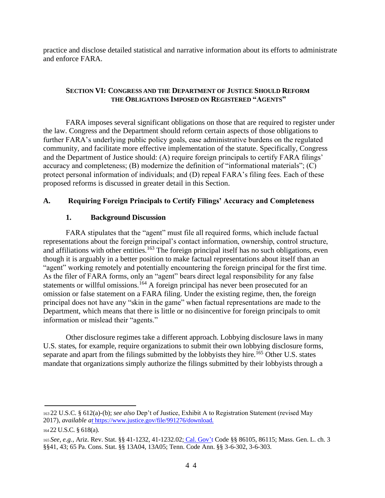practice and disclose detailed statistical and narrative information about its efforts to administrate and enforce FARA.

#### **SECTION VI: CONGRESS AND THE DEPARTMENT OF JUSTICE SHOULD REFORM THE OBLIGATIONS IMPOSED ON REGISTERED "AGENTS"**

FARA imposes several significant obligations on those that are required to register under the law. Congress and the Department should reform certain aspects of those obligations to further FARA's underlying public policy goals, ease administrative burdens on the regulated community, and facilitate more effective implementation of the statute. Specifically, Congress and the Department of Justice should: (A) require foreign principals to certify FARA filings' accuracy and completeness; (B) modernize the definition of "informational materials"; (C) protect personal information of individuals; and (D) repeal FARA's filing fees. Each of these proposed reforms is discussed in greater detail in this Section.

## **A. Requiring Foreign Principals to Certify Filings' Accuracy and Completeness**

## **1. Background Discussion**

FARA stipulates that the "agent" must file all required forms, which include factual representations about the foreign principal's contact information, ownership, control structure, and affiliations with other entities.<sup>163</sup> The foreign principal itself has no such obligations, even though it is arguably in a better position to make factual representations about itself than an "agent" working remotely and potentially encountering the foreign principal for the first time. As the filer of FARA forms, only an "agent" bears direct legal responsibility for any false statements or willful omissions.<sup>164</sup> A foreign principal has never been prosecuted for an omission or false statement on a FARA filing. Under the existing regime, then, the foreign principal does not have any "skin in the game" when factual representations are made to the Department, which means that there is little or no disincentive for foreign principals to omit information or mislead their "agents."

Other disclosure regimes take a different approach. Lobbying disclosure laws in many U.S. states, for example, require organizations to submit their own lobbying disclosure forms, separate and apart from the filings submitted by the lobbyists they hire.<sup>165</sup> Other U.S. states mandate that organizations simply authorize the filings submitted by their lobbyists through a

<sup>163</sup>22 U.S.C. § 612(a)-(b); *see also* Dep't of Justice, Exhibit A to Registration Statement (revised May 2017), *available [at](https://www.justice.gov/file/991276/download)* https://www.justice.gov/file/991276/download.

<sup>164</sup>22 U.S.C. § 618(a).

<sup>165</sup>*See, e.g.*, Ariz. Rev. Stat. §§ 41-1232, 41-1232.02; [Cal. Gov'](http://cal.gov/)t Code §§ 86105, 86115; Mass. Gen. L. ch. 3 §§41, 43; 65 Pa. Cons. Stat. §§ 13A04, 13A05; Tenn. Code Ann. §§ 3-6-302, 3-6-303.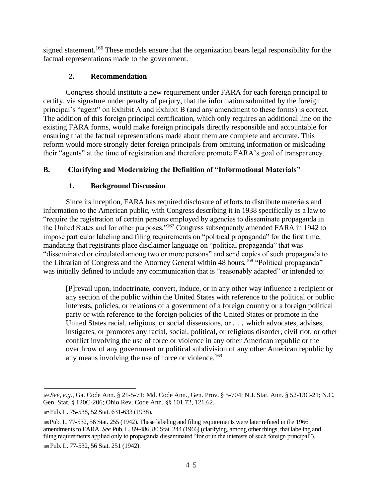signed statement.<sup>166</sup> These models ensure that the organization bears legal responsibility for the factual representations made to the government.

## **2. Recommendation**

Congress should institute a new requirement under FARA for each foreign principal to certify, via signature under penalty of perjury, that the information submitted by the foreign principal's "agent" on Exhibit A and Exhibit B (and any amendment to these forms) is correct. The addition of this foreign principal certification, which only requires an additional line on the existing FARA forms, would make foreign principals directly responsible and accountable for ensuring that the factual representations made about them are complete and accurate. This reform would more strongly deter foreign principals from omitting information or misleading their "agents" at the time of registration and therefore promote FARA's goal of transparency.

## **B. Clarifying and Modernizing the Definition of "Informational Materials"**

## **1. Background Discussion**

Since its inception, FARA has required disclosure of efforts to distribute materials and information to the American public, with Congress describing it in 1938 specifically as a law to "require the registration of certain persons employed by agencies to disseminate propaganda in the United States and for other purposes."<sup>167</sup> Congress subsequently amended FARA in 1942 to impose particular labeling and filing requirements on "political propaganda" for the first time, mandating that registrants place disclaimer language on "political propaganda" that was "disseminated or circulated among two or more persons" and send copies of such propaganda to the Librarian of Congress and the Attorney General within 48 hours.<sup>168</sup> "Political propaganda" was initially defined to include any communication that is "reasonably adapted" or intended to:

[P]revail upon, indoctrinate, convert, induce, or in any other way influence a recipient or any section of the public within the United States with reference to the political or public interests, policies, or relations of a government of a foreign country or a foreign political party or with reference to the foreign policies of the United States or promote in the United States racial, religious, or social dissensions, or *. . .* which advocates, advises, instigates, or promotes any racial, social, political, or religious disorder, civil riot, or other conflict involving the use of force or violence in any other American republic or the overthrow of any government or political subdivision of any other American republic by any means involving the use of force or violence.<sup>169</sup>

<sup>166</sup>*See, e.g.*, Ga. Code Ann. § 21-5-71; Md. Code Ann., Gen. Prov. § 5-704; N.J. Stat. Ann. § 52-13C-21; N.C. Gen. Stat. § 120C-206; Ohio Rev. Code Ann. §§ 101.72, 121.62.

<sup>167</sup>Pub. L. 75-538, 52 Stat. 631-633 (1938).

<sup>168</sup>Pub. L. 77-532, 56 Stat. 255 (1942). These labeling and filing requirements were later refined in the 1966 amendments to FARA. *See* Pub. L. 89-486, 80 Stat. 244 (1966) (clarifying, among other things, that labeling and filing requirements applied only to propaganda disseminated "for or in the interests of such foreign principal"). <sup>169</sup>Pub. L. 77-532, 56 Stat. 251 (1942).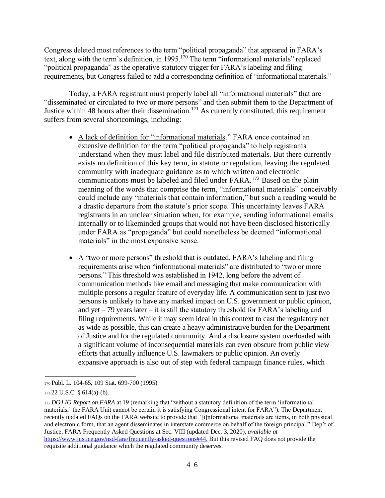Congress deleted most references to the term "political propaganda" that appeared in FARA's text, along with the term's definition, in 1995.<sup>170</sup> The term "informational materials" replaced "political propaganda" as the operative statutory trigger for FARA's labeling and filing requirements, but Congress failed to add a corresponding definition of "informational materials."

Today, a FARA registrant must properly label all "informational materials" that are "disseminated or circulated to two or more persons" and then submit them to the Department of Justice within 48 hours after their dissemination.<sup>171</sup> As currently constituted, this requirement suffers from several shortcomings, including:

- A lack of definition for "informational materials." FARA once contained an extensive definition for the term "political propaganda" to help registrants understand when they must label and file distributed materials. But there currently exists no definition of this key term, in statute or regulation, leaving the regulated community with inadequate guidance as to which written and electronic communications must be labeled and filed under FARA.<sup>172</sup> Based on the plain meaning of the words that comprise the term, "informational materials" conceivably could include any "materials that contain information," but such a reading would be a drastic departure from the statute's prior scope. This uncertainty leaves FARA registrants in an unclear situation when, for example, sending informational emails internally or to likeminded groups that would not have been disclosed historically under FARA as "propaganda" but could nonetheless be deemed "informational materials" in the most expansive sense.
- A "two or more persons" threshold that is outdated. FARA's labeling and filing requirements arise when "informational materials" are distributed to "two or more persons." This threshold was established in 1942, long before the advent of communication methods like email and messaging that make communication with multiple persons a regular feature of everyday life. A communication sent to just two persons is unlikely to have any marked impact on U.S. government or public opinion, and yet – 79 years later – it is still the statutory threshold for FARA's labeling and filing requirements. While it may seem ideal in this context to cast the regulatory net as wide as possible, this can create a heavy administrative burden for the Department of Justice and for the regulated community. And a disclosure system overloaded with a significant volume of inconsequential materials can even obscure from public view efforts that actually influence U.S. lawmakers or public opinion. An overly expansive approach is also out of step with federal campaign finance rules, which

<sup>170</sup>Publ. L. 104-65, 109 Stat. 699-700 (1995).

<sup>171</sup>22 U.S.C. § 614(a)-(b).

<sup>172</sup>*DOJ IG Report on FARA* at 19 (remarking that "without a statutory definition of the term 'informational materials,' the FARA Unit cannot be certain it is satisfying Congressional intent for FARA"). The Department recently updated FAQs on the FARA website to provide that "[i]nformational materials are items, in both physical and electronic form, that an agent disseminates in interstate commerce on behalf of the foreign principal." Dep't of Justice, FARA Frequently Asked Questions at Sec. VIII (updated Dec. 3, 2020), *available at*  [https://www.justice.gov/nsd-fara/frequently-asked-questions#44.](https://www.justice.gov/nsd-fara/frequently-asked-questions#44) But this revised FAQ does not provide the requisite additional guidance which the regulated community deserves.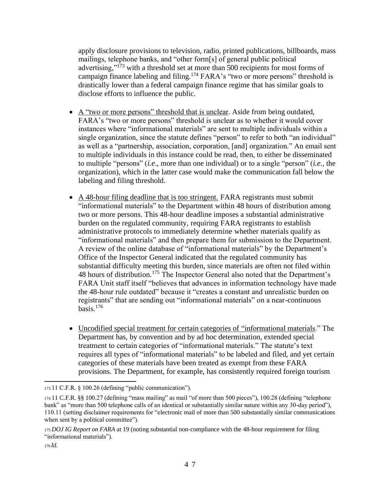apply disclosure provisions to television, radio, printed publications, billboards, mass mailings, telephone banks, and "other form[s] of general public political advertising,"<sup>173</sup> with a threshold set at more than 500 recipients for most forms of campaign finance labeling and filing.<sup>174</sup> FARA's "two or more persons" threshold is drastically lower than a federal campaign finance regime that has similar goals to disclose efforts to influence the public.

- A "two or more persons" threshold that is unclear. Aside from being outdated, FARA's "two or more persons" threshold is unclear as to whether it would cover instances where "informational materials" are sent to multiple individuals within a single organization, since the statute defines "person" to refer to both "an individual" as well as a "partnership, association, corporation, [and] organization." An email sent to multiple individuals in this instance could be read, then, to either be disseminated to multiple "persons" (*i.e*., more than one individual) or to a single "person" (*i.e*., the organization), which in the latter case would make the communication fall below the labeling and filing threshold.
- A 48-hour filing deadline that is too stringent. FARA registrants must submit "informational materials" to the Department within 48 hours of distribution among two or more persons. This 48-hour deadline imposes a substantial administrative burden on the regulated community, requiring FARA registrants to establish administrative protocols to immediately determine whether materials qualify as "informational materials" and then prepare them for submission to the Department. A review of the online database of "informational materials" by the Department's Office of the Inspector General indicated that the regulated community has substantial difficulty meeting this burden, since materials are often not filed within 48 hours of distribution.<sup>175</sup> The Inspector General also noted that the Department's FARA Unit staff itself "believes that advances in information technology have made the 48-hour rule outdated" because it "creates a constant and unrealistic burden on registrants" that are sending out "informational materials" on a near-continuous  $basis.$ <sup>176</sup>
- Uncodified special treatment for certain categories of "informational materials." The Department has, by convention and by ad hoc determination, extended special treatment to certain categories of "informational materials." The statute's text requires all types of "informational materials" to be labeled and filed, and yet certain categories of these materials have been treated as exempt from these FARA provisions. The Department, for example, has consistently required foreign tourism

<sup>173</sup>11 C.F.R. § 100.26 (defining "public communication").

<sup>174</sup>11 C.F.R. §§ 100.27 (defining "mass mailing" as mail "of more than 500 pieces"), 100.28 (defining "telephone bank" as "more than 500 telephone calls of an identical or substantially similar nature within any 30-day period"), 110.11 (setting disclaimer requirements for "electronic mail of more than 500 substantially similar communications when sent by a political committee").

<sup>175</sup>*DOJ IG Report on FARA* at 19 (noting substantial non-compliance with the 48-hour requirement for filing "informational materials").

<sup>176</sup>*Id*.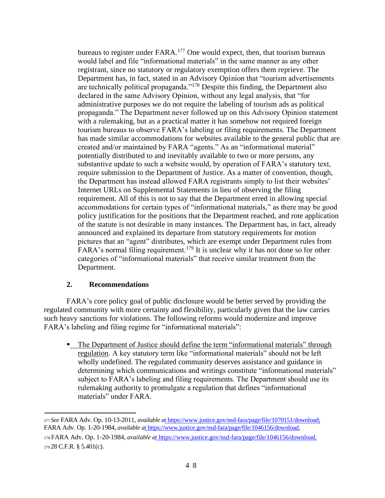bureaus to register under  $FARA$ <sup>177</sup> One would expect, then, that tourism bureaus would label and file "informational materials" in the same manner as any other registrant, since no statutory or regulatory exemption offers them reprieve. The Department has, in fact, stated in an Advisory Opinion that "tourism advertisements are technically political propaganda."<sup>178</sup> Despite this finding, the Department also declared in the same Advisory Opinion, without any legal analysis, that "for administrative purposes we do not require the labeling of tourism ads as political propaganda." The Department never followed up on this Advisory Opinion statement with a rulemaking, but as a practical matter it has somehow not required foreign tourism bureaus to observe FARA's labeling or filing requirements. The Department has made similar accommodations for websites available to the general public that are created and/or maintained by FARA "agents." As an "informational material" potentially distributed to and inevitably available to two or more persons, any substantive update to such a website would, by operation of FARA's statutory text, require submission to the Department of Justice. As a matter of convention, though, the Department has instead allowed FARA registrants simply to list their websites' Internet URLs on Supplemental Statements in lieu of observing the filing requirement. All of this is not to say that the Department erred in allowing special accommodations for certain types of "informational materials," as there may be good policy justification for the positions that the Department reached, and rote application of the statute is not desirable in many instances. The Department has, in fact, already announced and explained its departure from statutory requirements for motion pictures that an "agent" distributes, which are exempt under Department rules from FARA's normal filing requirement.<sup>179</sup> It is unclear why it has not done so for other categories of "informational materials" that receive similar treatment from the Department.

#### **2. Recommendations**

FARA's core policy goal of public disclosure would be better served by providing the regulated community with more certainty and flexibility, particularly given that the law carries such heavy sanctions for violations. The following reforms would modernize and improve FARA's labeling and filing regime for "informational materials":

• The Department of Justice should define the term "informational materials" through regulation. A key statutory term like "informational materials" should not be left wholly undefined. The regulated community deserves assistance and guidance in determining which communications and writings constitute "informational materials" subject to FARA's labeling and filing requirements. The Department should use its rulemaking authority to promulgate a regulation that defines "informational materials" under FARA.

<sup>177</sup>*See* FARA Adv. Op. 10-13-2011, *available [at](https://www.justice.gov/nsd-fara/page/file/1070151/download)* [https://www.justice.gov/nsd-fara/page/file/1070151/download;](https://fara/) FARA Adv. Op. 1-20-1984, *available [at](https://www.justice.gov/nsd-fara/page/file/1046156/download)* https://www.justice.gov/nsd-fara/page/file/1046156/download. <sup>178</sup>FARA Adv. Op. 1-20-1984, *available [at](https://www.justice.gov/nsd-fara/page/file/1046156/download)* https://www.justice.gov/nsd-fara/page/file/1046156/download. <sup>179</sup>28 C.F.R. § 5.401(c).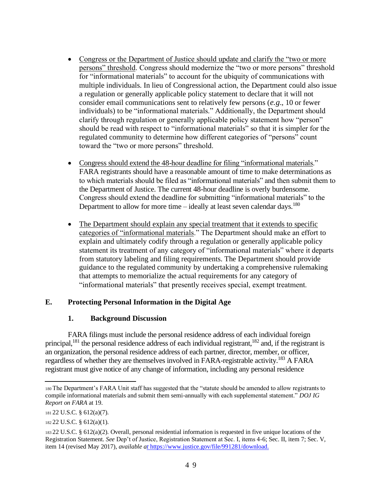- Congress or the Department of Justice should update and clarify the "two or more" persons" threshold. Congress should modernize the "two or more persons" threshold for "informational materials" to account for the ubiquity of communications with multiple individuals. In lieu of Congressional action, the Department could also issue a regulation or generally applicable policy statement to declare that it will not consider email communications sent to relatively few persons (*e.g*., 10 or fewer individuals) to be "informational materials." Additionally, the Department should clarify through regulation or generally applicable policy statement how "person" should be read with respect to "informational materials" so that it is simpler for the regulated community to determine how different categories of "persons" count toward the "two or more persons" threshold.
- Congress should extend the 48-hour deadline for filing "informational materials." FARA registrants should have a reasonable amount of time to make determinations as to which materials should be filed as "informational materials" and then submit them to the Department of Justice. The current 48-hour deadline is overly burdensome. Congress should extend the deadline for submitting "informational materials" to the Department to allow for more time – ideally at least seven calendar days.<sup>180</sup>
- The Department should explain any special treatment that it extends to specific categories of "informational materials." The Department should make an effort to explain and ultimately codify through a regulation or generally applicable policy statement its treatment of any category of "informational materials" where it departs from statutory labeling and filing requirements. The Department should provide guidance to the regulated community by undertaking a comprehensive rulemaking that attempts to memorialize the actual requirements for any category of "informational materials" that presently receives special, exempt treatment.

## **E. Protecting Personal Information in the Digital Age**

#### **1. Background Discussion**

FARA filings must include the personal residence address of each individual foreign principal,<sup>181</sup> the personal residence address of each individual registrant,<sup>182</sup> and, if the registrant is an organization, the personal residence address of each partner, director, member, or officer, regardless of whether they are themselves involved in FARA-registrable activity.<sup>183</sup> A FARA registrant must give notice of any change of information, including any personal residence

<sup>180</sup>The Department's FARA Unit staff has suggested that the "statute should be amended to allow registrants to compile informational materials and submit them semi-annually with each supplemental statement." *DOJ IG Report on FARA* at 19.

<sup>181</sup>22 U.S.C. § 612(a)(7).

<sup>182</sup>22 U.S.C. § 612(a)(1).

<sup>183</sup>22 U.S.C. § 612(a)(2). Overall, personal residential information is requested in five unique locations of the Registration Statement. *See* Dep't of Justice, Registration Statement at Sec. I, items 4-6; Sec. II, item 7; Sec. V, item 14 (revised May 2017), *available [at](https://www.justice.gov/file/991281/download)* https://www.justice.gov/file/991281/download.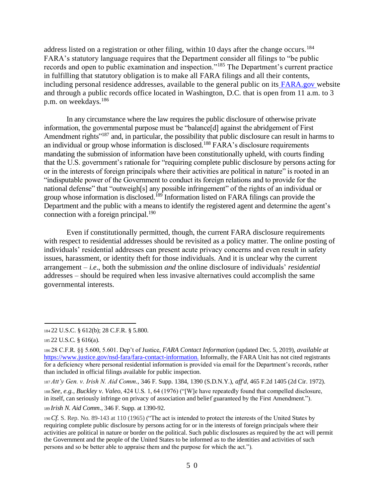address listed on a registration or other filing, within 10 days after the change occurs.<sup>184</sup> FARA's statutory language requires that the Department consider all filings to "be public records and open to public examination and inspection."<sup>185</sup> The Department's current practice in fulfilling that statutory obligation is to make all FARA filings and all their contents, including personal residence addresses, available to the general public on its [FARA.gov](http://fara.gov/) website and through a public records office located in Washington, D.C. that is open from 11 a.m. to 3 p.m. on weekdays.<sup>186</sup>

In any circumstance where the law requires the public disclosure of otherwise private information, the governmental purpose must be "balance[d] against the abridgement of First Amendment rights<sup>"187</sup> and, in particular, the possibility that public disclosure can result in harms to an individual or group whose information is disclosed.<sup>188</sup> FARA's disclosure requirements mandating the submission of information have been constitutionally upheld, with courts finding that the U.S. government's rationale for "requiring complete public disclosure by persons acting for or in the interests of foreign principals where their activities are political in nature" is rooted in an "indisputable power of the Government to conduct its foreign relations and to provide for the national defense" that "outweigh[s] any possible infringement" of the rights of an individual or group whose information is disclosed.<sup>189</sup> Information listed on FARA filings can provide the Department and the public with a means to identify the registered agent and determine the agent's connection with a foreign principal.<sup>190</sup>

Even if constitutionally permitted, though, the current FARA disclosure requirements with respect to residential addresses should be revisited as a policy matter. The online posting of individuals' residential addresses can present acute privacy concerns and even result in safety issues, harassment, or identity theft for those individuals. And it is unclear why the current arrangement – *i.e*., both the submission *and* the online disclosure of individuals' *residential*  addresses – should be required when less invasive alternatives could accomplish the same governmental interests.

<sup>184</sup>22 U.S.C. § 612(b); 28 C.F.R. § 5.800.

<sup>185</sup>22 U.S.C. § 616(a).

<sup>186</sup>28 C.F.R. §§ 5.600, 5.601. Dep't of Justice, *FARA Contact Information* (updated Dec. 5, 2019), *available at*  [https://www.justice.gov/nsd-fara/fara-contact-information.](https://www.justice.gov/nsd-fara/fara-contact-information) Informally, the FARA Unit has not cited registrants for a deficiency where personal residential information is provided via email for the Department's records, rather than included in official filings available for public inspection.

<sup>187</sup>*Att'y Gen. v. Irish N. Aid Comm.*, 346 F. Supp. 1384, 1390 (S.D.N.Y.), *aff'd*, 465 F.2d 1405 (2d Cir. 1972). <sup>188</sup>*See, e.g.*, *Buckley v. Valeo*, 424 U.S. 1, 64 (1976) ("[W]e have repeatedly found that compelled disclosure, in itself, can seriously infringe on privacy of association and belief guaranteed by the First Amendment."). <sup>189</sup>*Irish N. Aid Comm.*, 346 F. Supp. at 1390-92.

<sup>190</sup>*Cf.* S. Rep. No. 89-143 at 110 (1965) ("The act is intended to protect the interests of the United States by requiring complete public disclosure by persons acting for or in the interests of foreign principals where their activities are political in nature or border on the political. Such public disclosures as required by the act will permit the Government and the people of the United States to be informed as to the identities and activities of such persons and so be better able to appraise them and the purpose for which the act.").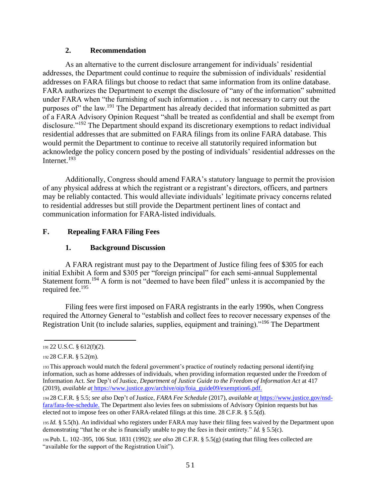## **2. Recommendation**

As an alternative to the current disclosure arrangement for individuals' residential addresses, the Department could continue to require the submission of individuals' residential addresses on FARA filings but choose to redact that same information from its online database. FARA authorizes the Department to exempt the disclosure of "any of the information" submitted under FARA when "the furnishing of such information *. . .* is not necessary to carry out the purposes of" the law.<sup>191</sup> The Department has already decided that information submitted as part of a FARA Advisory Opinion Request "shall be treated as confidential and shall be exempt from disclosure.<sup>"192</sup> The Department should expand its discretionary exemptions to redact individual residential addresses that are submitted on FARA filings from its online FARA database. This would permit the Department to continue to receive all statutorily required information but acknowledge the policy concern posed by the posting of individuals' residential addresses on the Internet.<sup>193</sup>

Additionally, Congress should amend FARA's statutory language to permit the provision of any physical address at which the registrant or a registrant's directors, officers, and partners may be reliably contacted. This would alleviate individuals' legitimate privacy concerns related to residential addresses but still provide the Department pertinent lines of contact and communication information for FARA-listed individuals.

## **F. Repealing FARA Filing Fees**

## **1. Background Discussion**

A FARA registrant must pay to the Department of Justice filing fees of \$305 for each initial Exhibit A form and \$305 per "foreign principal" for each semi-annual Supplemental Statement form.<sup>194</sup> A form is not "deemed to have been filed" unless it is accompanied by the required fee.<sup>195</sup>

Filing fees were first imposed on FARA registrants in the early 1990s, when Congress required the Attorney General to "establish and collect fees to recover necessary expenses of the Registration Unit (to include salaries, supplies, equipment and training)."<sup>196</sup> The Department

<sup>191</sup>22 U.S.C. § 612(f)(2).

<sup>192</sup>28 C.F.R. § 5.2(m).

<sup>193</sup>This approach would match the federal government's practice of routinely redacting personal identifying information, such as home addresses of individuals, when providing information requested under the Freedom of Information Act. *See* Dep't of Justice, *Department of Justice Guide to the Freedom of Information Act* at 417 (2019), *available [at](https://www.justice.gov/archive/oip/foia_guide09/exemption6.pdf)* https://www.justice.gov/archive/oip/foia\_guide09/exemption6.pdf.

<sup>194</sup>28 C.F.R. § 5.5; *see also* Dep't of Justice, *FARA Fee Schedule* (2017), *available [at](https://www.justice.gov/nsd-fara/fara-fee-schedule)* [https://www.justice.gov/nsd](https://the/)[fara/fara-fee-schedule.](https://the/) The Department also levies fees on submissions of Advisory Opinion requests but has elected not to impose fees on other FARA-related filings at this time. 28 C.F.R. § 5.5(d).

<sup>195</sup>*Id.* § 5.5(h). An individual who registers under FARA may have their filing fees waived by the Department upon demonstrating "that he or she is financially unable to pay the fees in their entirety." *Id.* § 5.5(c).

<sup>196</sup>Pub. L. 102–395, 106 Stat. 1831 (1992); *see also* 28 C.F.R. § 5.5(g) (stating that filing fees collected are "available for the support of the Registration Unit").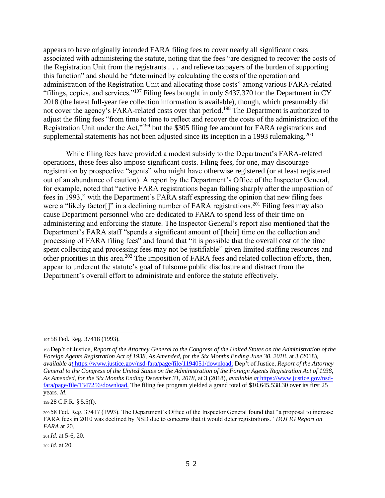appears to have originally intended FARA filing fees to cover nearly all significant costs associated with administering the statute, noting that the fees "are designed to recover the costs of the Registration Unit from the registrants *. . .* and relieve taxpayers of the burden of supporting this function" and should be "determined by calculating the costs of the operation and administration of the Registration Unit and allocating those costs" among various FARA-related "filings, copies, and services."<sup>197</sup> Filing fees brought in only \$437,370 for the Department in CY 2018 (the latest full-year fee collection information is available), though, which presumably did not cover the agency's FARA-related costs over that period.<sup>198</sup> The Department is authorized to adjust the filing fees "from time to time to reflect and recover the costs of the administration of the Registration Unit under the Act,"<sup>199</sup> but the \$305 filing fee amount for FARA registrations and supplemental statements has not been adjusted since its inception in a 1993 rulemaking.<sup>200</sup>

While filing fees have provided a modest subsidy to the Department's FARA-related operations, these fees also impose significant costs. Filing fees, for one, may discourage registration by prospective "agents" who might have otherwise registered (or at least registered out of an abundance of caution). A report by the Department's Office of the Inspector General, for example, noted that "active FARA registrations began falling sharply after the imposition of fees in 1993," with the Department's FARA staff expressing the opinion that new filing fees were a "likely factor<sup>[]"</sup> in a declining number of FARA registrations.<sup>201</sup> Filing fees may also cause Department personnel who are dedicated to FARA to spend less of their time on administering and enforcing the statute. The Inspector General's report also mentioned that the Department's FARA staff "spends a significant amount of [their] time on the collection and processing of FARA filing fees" and found that "it is possible that the overall cost of the time spent collecting and processing fees may not be justifiable" given limited staffing resources and other priorities in this area.<sup>202</sup> The imposition of FARA fees and related collection efforts, then, appear to undercut the statute's goal of fulsome public disclosure and distract from the Department's overall effort to administrate and enforce the statute effectively.

<sup>201</sup>*Id.* at 5-6, 20.

<sup>202</sup>*Id.* at 20.

<sup>197</sup>58 Fed. Reg. 37418 (1993).

<sup>198</sup>Dep't of Justice, *Report of the Attorney General to the Congress of the United States on the Administration of the Foreign Agents Registration Act of 1938, As Amended, for the Six Months Ending June 30, 2018*, at 3 (2018), *available [at](https://www.justice.gov/nsd-fara/page/file/1194051/download)* [https://www.justice.gov/nsd-fara/page/file/1194051/download;](https://dep/) Dep't of Justice, *Report of the Attorney General to the Congress of the United States on the Administration of the Foreign Agents Registration Act of 1938, As Amended, for the Six Months Ending December 31, 2018*, at 3 (2018), *available [at](https://www.justice.gov/nsd-fara/page/file/1347256/download)* [https://www.justice.gov/nsd](https://the/)[fara/page/file/1347256/download.](https://the/) The filing fee program yielded a grand total of \$10,645,538.30 over its first 25 years. *Id*.

<sup>199</sup>28 C.F.R. § 5.5(f).

<sup>200</sup>58 Fed. Reg. 37417 (1993). The Department's Office of the Inspector General found that "a proposal to increase FARA fees in 2010 was declined by NSD due to concerns that it would deter registrations." *DOJ IG Report on FARA* at 20.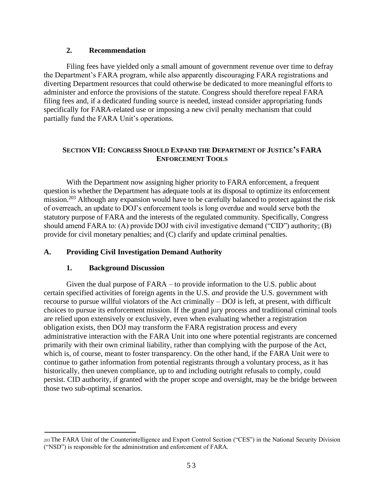#### **2. Recommendation**

Filing fees have yielded only a small amount of government revenue over time to defray the Department's FARA program, while also apparently discouraging FARA registrations and diverting Department resources that could otherwise be dedicated to more meaningful efforts to administer and enforce the provisions of the statute. Congress should therefore repeal FARA filing fees and, if a dedicated funding source is needed, instead consider appropriating funds specifically for FARA-related use or imposing a new civil penalty mechanism that could partially fund the FARA Unit's operations.

## **SECTION VII: CONGRESS SHOULD EXPAND THE DEPARTMENT OF JUSTICE'S FARA ENFORCEMENT TOOLS**

With the Department now assigning higher priority to FARA enforcement, a frequent question is whether the Department has adequate tools at its disposal to optimize its enforcement mission.<sup>203</sup> Although any expansion would have to be carefully balanced to protect against the risk of overreach, an update to DOJ's enforcement tools is long overdue and would serve both the statutory purpose of FARA and the interests of the regulated community. Specifically, Congress should amend FARA to: (A) provide DOJ with civil investigative demand ("CID") authority; (B) provide for civil monetary penalties; and (C) clarify and update criminal penalties.

## **A. Providing Civil Investigation Demand Authority**

## **1. Background Discussion**

Given the dual purpose of FARA – to provide information to the U.S. public about certain specified activities of foreign agents in the U.S. *and* provide the U.S. government with recourse to pursue willful violators of the Act criminally – DOJ is left, at present, with difficult choices to pursue its enforcement mission. If the grand jury process and traditional criminal tools are relied upon extensively or exclusively, even when evaluating whether a registration obligation exists, then DOJ may transform the FARA registration process and every administrative interaction with the FARA Unit into one where potential registrants are concerned primarily with their own criminal liability, rather than complying with the purpose of the Act, which is, of course, meant to foster transparency. On the other hand, if the FARA Unit were to continue to gather information from potential registrants through a voluntary process, as it has historically, then uneven compliance, up to and including outright refusals to comply, could persist. CID authority, if granted with the proper scope and oversight, may be the bridge between those two sub-optimal scenarios.

<sup>203</sup>The FARA Unit of the Counterintelligence and Export Control Section ("CES") in the National Security Division ("NSD") is responsible for the administration and enforcement of FARA.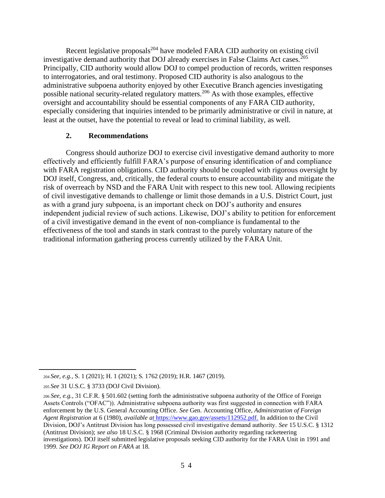Recent legislative proposals $^{204}$  have modeled FARA CID authority on existing civil investigative demand authority that DOJ already exercises in False Claims Act cases.<sup>205</sup> Principally, CID authority would allow DOJ to compel production of records, written responses to interrogatories, and oral testimony. Proposed CID authority is also analogous to the administrative subpoena authority enjoyed by other Executive Branch agencies investigating possible national security-related regulatory matters.<sup>206</sup> As with those examples, effective oversight and accountability should be essential components of any FARA CID authority, especially considering that inquiries intended to be primarily administrative or civil in nature, at least at the outset, have the potential to reveal or lead to criminal liability, as well.

#### **2. Recommendations**

Congress should authorize DOJ to exercise civil investigative demand authority to more effectively and efficiently fulfill FARA's purpose of ensuring identification of and compliance with FARA registration obligations. CID authority should be coupled with rigorous oversight by DOJ itself, Congress, and, critically, the federal courts to ensure accountability and mitigate the risk of overreach by NSD and the FARA Unit with respect to this new tool. Allowing recipients of civil investigative demands to challenge or limit those demands in a U.S. District Court, just as with a grand jury subpoena, is an important check on DOJ's authority and ensures independent judicial review of such actions. Likewise, DOJ's ability to petition for enforcement of a civil investigative demand in the event of non-compliance is fundamental to the effectiveness of the tool and stands in stark contrast to the purely voluntary nature of the traditional information gathering process currently utilized by the FARA Unit.

<sup>204</sup>*See, e.g.*, S. 1 (2021); H. 1 (2021); S. 1762 (2019); H.R. 1467 (2019).

<sup>205</sup>*See* 31 U.S.C. § 3733 (DOJ Civil Division).

<sup>206</sup>*See, e.g.*, 31 C.F.R. § 501.602 (setting forth the administrative subpoena authority of the Office of Foreign Assets Controls ("OFAC")). Administrative subpoena authority was first suggested in connection with FARA enforcement by the U.S. General Accounting Office. *See* Gen. Accounting Office, *Administration of Foreign Agent Registration* at 6 (1980), *available [at](https://www.gao.gov/assets/112952.pdf)* [https://www.gao.gov/assets/112952.pdf.](https://in/) In addition to the Civil Division, DOJ's Antitrust Division has long possessed civil investigative demand authority. *See* 15 U.S.C. § 1312 (Antitrust Division); *see also* 18 U.S.C. § 1968 (Criminal Division authority regarding racketeering investigations). DOJ itself submitted legislative proposals seeking CID authority for the FARA Unit in 1991 and 1999. *See DOJ IG Report on FARA* at 18.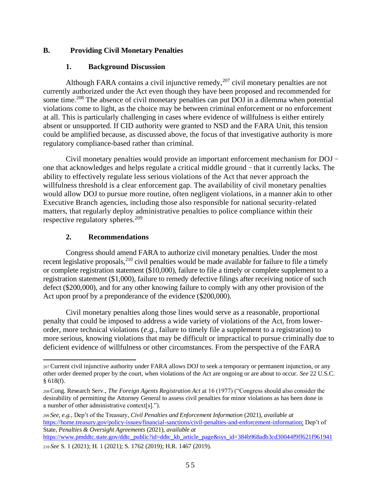## **B. Providing Civil Monetary Penalties**

#### **1. Background Discussion**

Although FARA contains a civil injunctive remedy, $207$  civil monetary penalties are not currently authorized under the Act even though they have been proposed and recommended for some time.<sup>208</sup> The absence of civil monetary penalties can put DOJ in a dilemma when potential violations come to light, as the choice may be between criminal enforcement or no enforcement at all. This is particularly challenging in cases where evidence of willfulness is either entirely absent or unsupported. If CID authority were granted to NSD and the FARA Unit, this tension could be amplified because, as discussed above, the focus of that investigative authority is more regulatory compliance-based rather than criminal.

Civil monetary penalties would provide an important enforcement mechanism for DOJ – one that acknowledges and helps regulate a critical middle ground – that it currently lacks. The ability to effectively regulate less serious violations of the Act that never approach the willfulness threshold is a clear enforcement gap. The availability of civil monetary penalties would allow DOJ to pursue more routine, often negligent violations, in a manner akin to other Executive Branch agencies, including those also responsible for national security-related matters, that regularly deploy administrative penalties to police compliance within their respective regulatory spheres.<sup>209</sup>

## **2. Recommendations**

Congress should amend FARA to authorize civil monetary penalties. Under the most recent legislative proposals,<sup>210</sup> civil penalties would be made available for failure to file a timely or complete registration statement (\$10,000), failure to file a timely or complete supplement to a registration statement (\$1,000), failure to remedy defective filings after receiving notice of such defect (\$200,000), and for any other knowing failure to comply with any other provision of the Act upon proof by a preponderance of the evidence (\$200,000).

Civil monetary penalties along those lines would serve as a reasonable, proportional penalty that could be imposed to address a wide variety of violations of the Act, from lowerorder, more technical violations (*e.g.*, failure to timely file a supplement to a registration) to more serious, knowing violations that may be difficult or impractical to pursue criminally due to deficient evidence of willfulness or other circumstances. From the perspective of the FARA

<sup>207</sup>Current civil injunctive authority under FARA allows DOJ to seek a temporary or permanent injunction, or any other order deemed proper by the court, when violations of the Act are ongoing or are about to occur. *See* 22 U.S.C. § 618(f).

<sup>208</sup>Cong. Research Serv., *The Foreign Agents Registration Act* at 16 (1977) ("Congress should also consider the desirability of permitting the Attorney General to assess civil penalties for minor violations as has been done in a number of other administrative context[s].").

<sup>209</sup> *See, e.g.*, Dep't of the Treasury, *Civil Penalties and Enforcement Information* (2021), *available at*  <https://home.treasury.gov/policy-issues/financial-sanctions/civil-penalties-and-enforcement-information;> Dep't of State, *Penalties & Oversight Agreements* (2021), *available at* 

[https://www.pmddtc.state.gov/ddtc\\_public?id=ddtc\\_kb\\_article\\_page&sys\\_id=384b968adb3cd30044f9ff621f961941](https://www.pmddtc.state.gov/ddtc_public?id=ddtc_kb_article_page&sys_id=384b968adb3cd30044f9ff621f961941) <sup>210</sup>*See* S. 1 (2021); H. 1 (2021); S. 1762 (2019); H.R. 1467 (2019).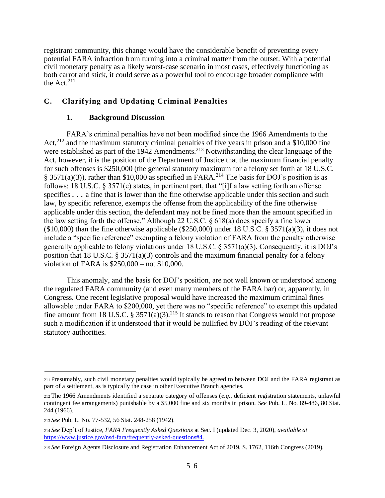registrant community, this change would have the considerable benefit of preventing every potential FARA infraction from turning into a criminal matter from the outset. With a potential civil monetary penalty as a likely worst-case scenario in most cases, effectively functioning as both carrot and stick, it could serve as a powerful tool to encourage broader compliance with the Act. $^{211}$ 

## **C. Clarifying and Updating Criminal Penalties**

#### **1. Background Discussion**

FARA's criminal penalties have not been modified since the 1966 Amendments to the Act,<sup>212</sup> and the maximum statutory criminal penalties of five years in prison and a \$10,000 fine were established as part of the 1942 Amendments.<sup>213</sup> Notwithstanding the clear language of the Act, however, it is the position of the Department of Justice that the maximum financial penalty for such offenses is \$250,000 (the general statutory maximum for a felony set forth at 18 U.S.C. § 3571(a)(3)), rather than \$10,000 as specified in FARA.<sup>214</sup> The basis for DOJ's position is as follows: 18 U.S.C. § 3571(e) states, in pertinent part, that "[i]f a law setting forth an offense specifies  $\ldots$  a fine that is lower than the fine otherwise applicable under this section and such law, by specific reference, exempts the offense from the applicability of the fine otherwise applicable under this section, the defendant may not be fined more than the amount specified in the law setting forth the offense." Although 22 U.S.C. § 618(a) does specify a fine lower  $(10,000)$  than the fine otherwise applicable  $(250,000)$  under 18 U.S.C. § 3571(a)(3), it does not include a "specific reference" exempting a felony violation of FARA from the penalty otherwise generally applicable to felony violations under 18 U.S.C. § 3571(a)(3). Consequently, it is DOJ's position that 18 U.S.C. § 3571(a)(3) controls and the maximum financial penalty for a felony violation of FARA is \$250,000 – not \$10,000.

This anomaly, and the basis for DOJ's position, are not well known or understood among the regulated FARA community (and even many members of the FARA bar) or, apparently, in Congress. One recent legislative proposal would have increased the maximum criminal fines allowable under FARA to \$200,000, yet there was no "specific reference" to exempt this updated fine amount from 18 U.S.C. § 3571(a)(3).<sup>215</sup> It stands to reason that Congress would not propose such a modification if it understood that it would be nullified by DOJ's reading of the relevant statutory authorities.

<sup>211</sup>Presumably, such civil monetary penalties would typically be agreed to between DOJ and the FARA registrant as part of a settlement, as is typically the case in other Executive Branch agencies.

<sup>212</sup>The 1966 Amendments identified a separate category of offenses (*e.g.*, deficient registration statements, unlawful contingent fee arrangements) punishable by a \$5,000 fine and six months in prison. *See* Pub. L. No. 89-486, 80 Stat. 244 (1966).

<sup>213</sup>*See* Pub. L. No. 77-532, 56 Stat. 248-258 (1942).

<sup>214</sup>*See* Dep't of Justice, *FARA Frequently Asked Questions* at Sec. I (updated Dec. 3, 2020), *available at*  <https://www.justice.gov/nsd-fara/frequently-asked-questions#4.>

<sup>215</sup>*See* Foreign Agents Disclosure and Registration Enhancement Act of 2019, S. 1762, 116th Congress (2019).